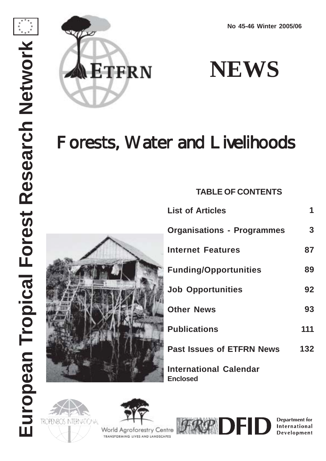



**NEWS**

# Forests, Water and Livelihoods

**TABLE OF CONTENTS**



| <b>List of Articles</b>           | 1   |
|-----------------------------------|-----|
| <b>Organisations - Programmes</b> | 3   |
| <b>Internet Features</b>          | 87  |
| <b>Funding/Opportunities</b>      | 89  |
| <b>Job Opportunities</b>          | 92  |
| <b>Other News</b>                 | 93  |
| <b>Publications</b>               | 111 |
| <b>Past Issues of ETFRN News</b>  | 132 |
|                                   |     |

**International Calendar Enclosed**





World Agroforestry Centre TEANSFORMING LIVES AND LANDSCAPES



**Department for** International Development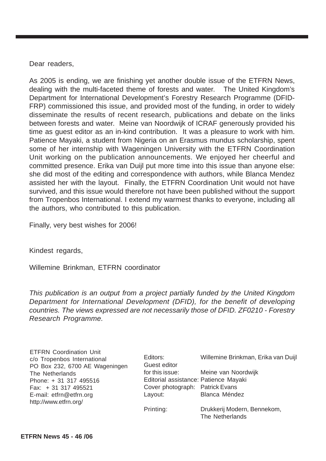Dear readers,

As 2005 is ending, we are finishing yet another double issue of the ETFRN News, dealing with the multi-faceted theme of forests and water. The United Kingdom's Department for International Development's Forestry Research Programme (DFID-FRP) commissioned this issue, and provided most of the funding, in order to widely disseminate the results of recent research, publications and debate on the links between forests and water. Meine van Noordwijk of ICRAF generously provided his time as guest editor as an in-kind contribution. It was a pleasure to work with him. Patience Mayaki, a student from Nigeria on an Erasmus mundus scholarship, spent some of her internship with Wageningen University with the ETFRN Coordination Unit working on the publication announcements. We enjoyed her cheerful and committed presence. Erika van Duijl put more time into this issue than anyone else: she did most of the editing and correspondence with authors, while Blanca Mendez assisted her with the layout. Finally, the ETFRN Coordination Unit would not have survived, and this issue would therefore not have been published without the support from Tropenbos International. I extend my warmest thanks to everyone, including all the authors, who contributed to this publication.

Finally, very best wishes for 2006!

Kindest regards,

Willemine Brinkman, ETFRN coordinator

This publication is an output from a project partially funded by the United Kingdom Department for International Development (DFID), for the benefit of developing countries. The views expressed are not necessarily those of DFID. ZF0210 - Forestry Research Programme.

| <b>ETFRN Coordination Unit</b> |
|--------------------------------|
| c/o Tropenbos International    |
| PO Box 232, 6700 AE Wageningen |
| The Netherlands                |
| Phone: + 31 317 495516         |
| $Fax: + 31317495521$           |
| E-mail: etfrn@etfrn.org        |
| http://www.etfrn.org/          |

| Editors:                              | Willemine Brinkman, Erika van Duijl |
|---------------------------------------|-------------------------------------|
| Guest editor                          |                                     |
| for this issue:                       | Meine van Noordwijk                 |
| Editorial assistance: Patience Mayaki |                                     |
| Cover photograph: Patrick Evans       |                                     |
| Layout:                               | Blanca Méndez                       |
| Printing:                             | Drukkerij Modern, Bennekom,         |
|                                       | The Netherlands                     |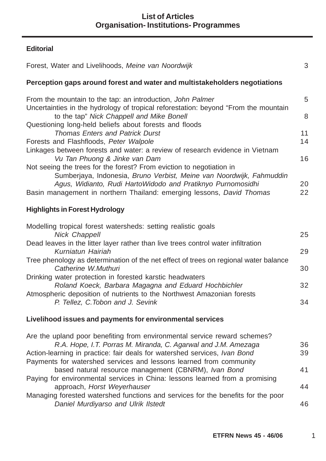# **Editorial**

| Forest, Water and Livelihoods, Meine van Noordwijk                                                                                                                                                                                                                                   | 3        |
|--------------------------------------------------------------------------------------------------------------------------------------------------------------------------------------------------------------------------------------------------------------------------------------|----------|
| Perception gaps around forest and water and multistakeholders negotiations                                                                                                                                                                                                           |          |
| From the mountain to the tap: an introduction, John Palmer                                                                                                                                                                                                                           | 5        |
| Uncertainties in the hydrology of tropical reforestation: beyond "From the mountain<br>to the tap" Nick Chappell and Mike Bonell                                                                                                                                                     | 8        |
| Questioning long-held beliefs about forests and floods<br><b>Thomas Enters and Patrick Durst</b>                                                                                                                                                                                     | 11       |
| Forests and Flashfloods, Peter Walpole                                                                                                                                                                                                                                               | 14       |
| Linkages between forests and water: a review of research evidence in Vietnam<br>Vu Tan Phuong & Jinke van Dam                                                                                                                                                                        | 16       |
| Not seeing the trees for the forest? From eviction to negotiation in<br>Sumberjaya, Indonesia, Bruno Verbist, Meine van Noordwijk, Fahmuddin<br>Agus, Widianto, Rudi HartoWidodo and Pratiknyo Purnomosidhi<br>Basin management in northern Thailand: emerging lessons, David Thomas | 20<br>22 |
| <b>Highlights in Forest Hydrology</b>                                                                                                                                                                                                                                                |          |
| Modelling tropical forest watersheds: setting realistic goals                                                                                                                                                                                                                        |          |
| <b>Nick Chappell</b>                                                                                                                                                                                                                                                                 | 25       |
| Dead leaves in the litter layer rather than live trees control water infiltration<br>Kurniatun Hairiah                                                                                                                                                                               | 29       |
| Tree phenology as determination of the net effect of trees on regional water balance<br>Catherine W.Muthuri                                                                                                                                                                          | 30       |
| Drinking water protection in forested karstic headwaters                                                                                                                                                                                                                             |          |
| Roland Koeck, Barbara Magagna and Eduard Hochbichler                                                                                                                                                                                                                                 | 32       |
| Atmospheric deposition of nutrients to the Northwest Amazonian forests<br>P. Tellez, C. Tobon and J. Sevink                                                                                                                                                                          | 34       |
| Livelihood issues and payments for environmental services                                                                                                                                                                                                                            |          |
| Are the upland poor benefiting from environmental service reward schemes?                                                                                                                                                                                                            |          |
| R.A. Hope, I.T. Porras M. Miranda, C. Agarwal and J.M. Amezaga                                                                                                                                                                                                                       | 36<br>39 |
| Action-learning in practice: fair deals for watershed services, Ivan Bond<br>Payments for watershed services and lessons learned from community                                                                                                                                      |          |
| based natural resource management (CBNRM), Ivan Bond                                                                                                                                                                                                                                 | 41       |
| Paying for environmental services in China: lessons learned from a promising                                                                                                                                                                                                         |          |
| approach, Horst Weyerhauser                                                                                                                                                                                                                                                          | 44       |
| Managing forested watershed functions and services for the benefits for the poor<br>Daniel Murdiyarso and Ulrik Ilstedt                                                                                                                                                              | 46       |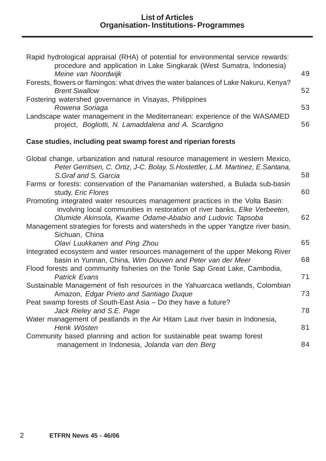| Rapid hydrological appraisal (RHA) of potential for environmental service rewards:<br>procedure and application in Lake Singkarak (West Sumatra, Indonesia)                                                                                                                                                   |    |
|---------------------------------------------------------------------------------------------------------------------------------------------------------------------------------------------------------------------------------------------------------------------------------------------------------------|----|
| Meine van Noordwijk                                                                                                                                                                                                                                                                                           | 49 |
| Forests, flowers or flamingos: what drives the water balances of Lake Nakuru, Kenya?<br><b>Brent Swallow</b>                                                                                                                                                                                                  | 52 |
| Fostering watershed governance in Visayas, Philippines<br>Rowena Soriaga                                                                                                                                                                                                                                      | 53 |
| Landscape water management in the Mediterranean: experience of the WASAMED<br>project, Bogliotti, N. Lamaddalena and A. Scardigno                                                                                                                                                                             | 56 |
| Case studies, including peat swamp forest and riperian forests                                                                                                                                                                                                                                                |    |
| Global change, urbanization and natural resource management in western Mexico,<br>Peter Gerritsen, C. Ortiz, J-C. Bolay, S. Hostettler, L.M. Martinez, E. Santana,                                                                                                                                            |    |
| S. Graf and S. Garcia                                                                                                                                                                                                                                                                                         | 58 |
| Farms or forests: conservation of the Panamanian watershed, a Bulada sub-basin<br>study, <i>Eric Flores</i>                                                                                                                                                                                                   | 60 |
| Promoting integrated water resources management practices in the Volta Basin:<br>involving local communities in restoration of river banks, Elke Verbeeten,<br>Olumide Akinsola, Kwame Odame-Ababio and Ludovic Tapsoba<br>Management strategies for forests and watersheds in the upper Yangtze river basin, | 62 |
| Sichuan, China                                                                                                                                                                                                                                                                                                |    |
| Olavi Luukkanen and Ping Zhou                                                                                                                                                                                                                                                                                 | 65 |
| Integrated ecosystem and water resources management of the upper Mekong River<br>basin in Yunnan, China, Wim Douven and Peter van der Meer                                                                                                                                                                    | 68 |
| Flood forests and community fisheries on the Tonle Sap Great Lake, Cambodia,<br><b>Patrick Evans</b>                                                                                                                                                                                                          | 71 |
| Sustainable Management of fish resources in the Yahuarcaca wetlands, Colombian<br>Amazon, Edgar Prieto and Santiago Duque                                                                                                                                                                                     | 73 |
| Peat swamp forests of South-East Asia - Do they have a future?<br>Jack Rieley and S.E. Page                                                                                                                                                                                                                   | 78 |
| Water management of peatlands in the Air Hitam Laut river basin in Indonesia,<br>Henk Wösten                                                                                                                                                                                                                  | 81 |
| Community based planning and action for sustainable peat swamp forest<br>management in Indonesia, Jolanda van den Berg                                                                                                                                                                                        | 84 |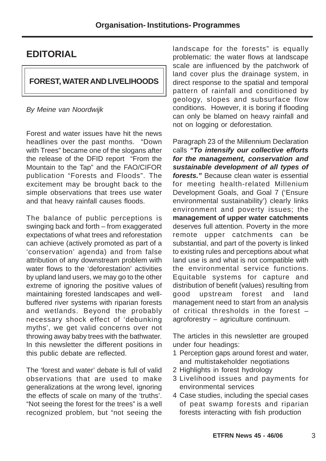# **EDITORIAL**

# **FOREST, WATER AND LIVELIHOODS**

## By Meine van Noordwijk

Forest and water issues have hit the news headlines over the past months. "Down with Trees" became one of the slogans after the release of the DFID report "From the Mountain to the Tap" and the FAO/CIFOR publication "Forests and Floods". The excitement may be brought back to the simple observations that trees use water and that heavy rainfall causes floods.

The balance of public perceptions is swinging back and forth – from exaggerated expectations of what trees and reforestation can achieve (actively promoted as part of a 'conservation' agenda) and from false attribution of any downstream problem with water flows to the 'deforestation' activities by upland land users, we may go to the other extreme of ignoring the positive values of maintaining forested landscapes and wellbuffered river systems with riparian forests and wetlands. Beyond the probably necessary shock effect of 'debunking myths', we get valid concerns over not throwing away baby trees with the bathwater. In this newsletter the different positions in this public debate are reflected.

The 'forest and water' debate is full of valid observations that are used to make generalizations at the wrong level, ignoring the effects of scale on many of the 'truths'. "Not seeing the forest for the trees" is a well recognized problem, but "not seeing the

landscape for the forests" is equally problematic: the water flows at landscape scale are influenced by the patchwork of land cover plus the drainage system, in direct response to the spatial and temporal pattern of rainfall and conditioned by geology, slopes and subsurface flow conditions. However, it is boring if flooding can only be blamed on heavy rainfall and not on logging or deforestation.

Paragraph 23 of the Millennium Declaration calls **"To intensify our collective efforts for the management, conservation and sustainable development of all types of forests."** Because clean water is essential for meeting health-related Millenium Development Goals, and Goal 7 ('Ensure environmental sustainability') clearly links environment and poverty issues; the **management of upper water catchments** deserves full attention. Poverty in the more remote upper catchments can be substantial, and part of the poverty is linked to existing rules and perceptions about what land use is and what is not compatible with the environmental service functions. Equitable systems for capture and distribution of benefit (values) resulting from good upstream forest and land management need to start from an analysis of critical thresholds in the forest – agroforestry – agriculture continuum.

The articles in this newsletter are grouped under four headings:

- 1 Perception gaps around forest and water, and multistakeholder negotiations
- 2 Highlights in forest hydrology
- 3 Livelihood issues and payments for environmental services
- 4 Case studies, including the special cases of peat swamp forests and riparian forests interacting with fish production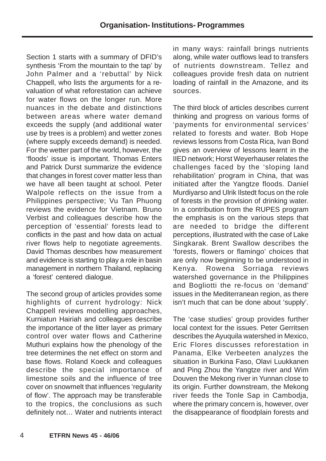Section 1 starts with a summary of DFID's synthesis 'From the mountain to the tap' by John Palmer and a 'rebuttal' by Nick Chappell, who lists the arguments for a revaluation of what reforestation can achieve for water flows on the longer run. More nuances in the debate and distinctions between areas where water demand exceeds the supply (and additional water use by trees is a problem) and wetter zones (where supply exceeds demand) is needed. For the wetter part of the world, however, the 'floods' issue is important. Thomas Enters and Patrick Durst summarize the evidence that changes in forest cover matter less than we have all been taught at school. Peter Walpole reflects on the issue from a Philippines perspective; Vu Tan Phuong reviews the evidence for Vietnam. Bruno Verbist and colleagues describe how the perception of 'essential' forests lead to conflicts in the past and how data on actual river flows help to negotiate agreements. David Thomas describes how measurement and evidence is starting to play a role in basin management in northern Thailand, replacing a 'forest' centered dialogue.

The second group of articles provides some highlights of current hydrology: Nick Chappell reviews modelling approaches, Kurniatun Hairiah and colleagues describe the importance of the litter layer as primary control over water flows and Catherine Muthuri explains how the phenology of the tree determines the net effect on storm and base flows. Roland Koeck and colleagues describe the special importance of limestone soils and the influence of tree cover on snowmelt that influences 'regularity of flow'. The approach may be transferable to the tropics, the conclusions as such definitely not… Water and nutrients interact in many ways: rainfall brings nutrients along, while water outflows lead to transfers of nutrients downstream. Tellez and colleagues provide fresh data on nutrient loading of rainfall in the Amazone, and its sources.

The third block of articles describes current thinking and progress on various forms of 'payments for environmental services' related to forests and water. Bob Hope reviews lessons from Costa Rica, Ivan Bond gives an overview of lessons learnt in the IIED network; Horst Weyerhauser relates the challenges faced by the 'sloping land rehabilitation' program in China, that was initiated after the Yangtze floods. Daniel Murdiyarso and Ulrik Ilstedt focus on the role of forests in the provision of drinking water. In a contribution from the RUPES program the emphasis is on the various steps that are needed to bridge the different perceptions, illustrated with the case of Lake Singkarak. Brent Swallow describes the 'forests, flowers or flamingo' choices that are only now beginning to be understood in Kenya. Rowena Sorriaga reviews watershed governance in the Philippines and Bogliotti the re-focus on 'demand' issues in the Mediterranean region, as there isn't much that can be done about 'supply'.

The 'case studies' group provides further local context for the issues. Peter Gerritsen describes the Ayuquila watershed in Mexico, Eric Flores discusses reforestation in Panama, Elke Verbeeten analyzes the situation in Burkina Faso, Olavi Luukkanen and Ping Zhou the Yangtze river and Wim Douven the Mekong river in Yunnan close to its origin. Further downstream, the Mekong river feeds the Tonle Sap in Cambodja, where the primary concern is, however, over the disappearance of floodplain forests and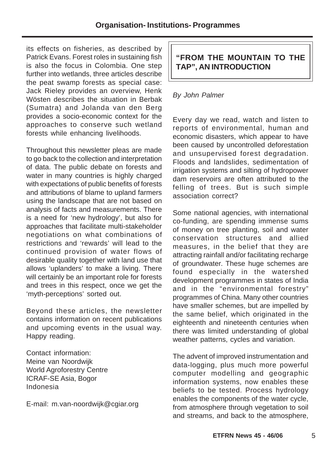its effects on fisheries, as described by Patrick Evans. Forest roles in sustaining fish is also the focus in Colombia. One step further into wetlands, three articles describe the peat swamp forests as special case: Jack Rieley provides an overview, Henk Wösten describes the situation in Berbak (Sumatra) and Jolanda van den Berg provides a socio-economic context for the approaches to conserve such wetland forests while enhancing livelihoods.

Throughout this newsletter pleas are made to go back to the collection and interpretation of data. The public debate on forests and water in many countries is highly charged with expectations of public benefits of forests and attributions of blame to upland farmers using the landscape that are not based on analysis of facts and measurements. There is a need for 'new hydrology', but also for approaches that facilitate multi-stakeholder negotiations on what combinations of restrictions and 'rewards' will lead to the continued provision of water flows of desirable quality together with land use that allows 'uplanders' to make a living. There will certainly be an important role for forests and trees in this respect, once we get the 'myth-perceptions' sorted out.

Beyond these articles, the newsletter contains information on recent publications and upcoming events in the usual way. Happy reading.

Contact information: Meine van Noordwijk World Agroforestry Centre ICRAF-SE Asia, Bogor Indonesia

E-mail: m.van-noordwijk@cgiar.org

# **"FROM THE MOUNTAIN TO THE TAP", AN INTRODUCTION**

# By John Palmer

Every day we read, watch and listen to reports of environmental, human and economic disasters, which appear to have been caused by uncontrolled deforestation and unsupervised forest degradation. Floods and landslides, sedimentation of irrigation systems and silting of hydropower dam reservoirs are often attributed to the felling of trees. But is such simple association correct?

Some national agencies, with international co-funding, are spending immense sums of money on tree planting, soil and water conservation structures and allied measures, in the belief that they are attracting rainfall and/or facilitating recharge of groundwater. These huge schemes are found especially in the watershed development programmes in states of India and in the "environmental forestry" programmes of China. Many other countries have smaller schemes, but are impelled by the same belief, which originated in the eighteenth and nineteenth centuries when there was limited understanding of global weather patterns, cycles and variation.

The advent of improved instrumentation and data-logging, plus much more powerful computer modelling and geographic information systems, now enables these beliefs to be tested. Process hydrology enables the components of the water cycle, from atmosphere through vegetation to soil and streams, and back to the atmosphere,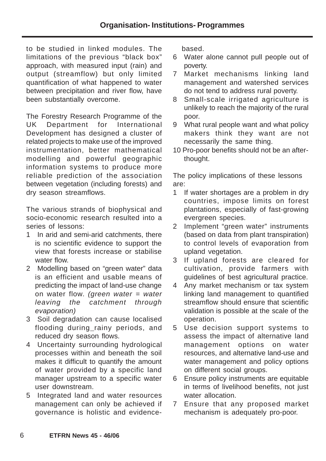to be studied in linked modules. The limitations of the previous "black box" approach, with measured input (rain) and output (streamflow) but only limited quantification of what happened to water between precipitation and river flow, have been substantially overcome.

The Forestry Research Programme of the UK Department for International Development has designed a cluster of related projects to make use of the improved instrumentation, better mathematical modelling and powerful geographic information systems to produce more reliable prediction of the association between vegetation (including forests) and dry season streamflows.

The various strands of biophysical and socio-economic research resulted into a series of lessons:

- 1 In arid and semi-arid catchments, there is no scientific evidence to support the view that forests increase or stabilise water flow
- 2 Modelling based on "green water" data is an efficient and usable means of predicting the impact of land-use change on water flow. (green water  $=$  water leaving the catchment through evaporation)
- 3 Soil degradation can cause localised flooding during rainy periods, and reduced dry season flows.
- 4 Uncertainty surrounding hydrological processes within and beneath the soil makes it difficult to quantify the amount of water provided by a specific land manager upstream to a specific water user downstream.
- 5 Integrated land and water resources management can only be achieved if governance is holistic and evidence-

based.

- 6 Water alone cannot pull people out of poverty.
- 7 Market mechanisms linking land management and watershed services do not tend to address rural poverty.
- 8 Small-scale irrigated agriculture is unlikely to reach the majority of the rural poor.
- 9 What rural people want and what policy makers think they want are not necessarily the same thing.
- 10 Pro-poor benefits should not be an afterthought.

The policy implications of these lessons are:

- 1 If water shortages are a problem in dry countries, impose limits on forest plantations, especially of fast-growing evergreen species.
- 2 Implement "green water" instruments (based on data from plant transpiration) to control levels of evaporation from upland vegetation.
- 3 If upland forests are cleared for cultivation, provide farmers with guidelines of best agricultural practice.
- 4 Any market mechanism or tax system linking land management to quantified streamflow should ensure that scientific validation is possible at the scale of the operation.
- 5 Use decision support systems to assess the impact of alternative land management options on water resources, and alternative land-use and water management and policy options on different social groups.
- 6 Ensure policy instruments are equitable in terms of livelihood benefits, not just water allocation.
- 7 Ensure that any proposed market mechanism is adequately pro-poor.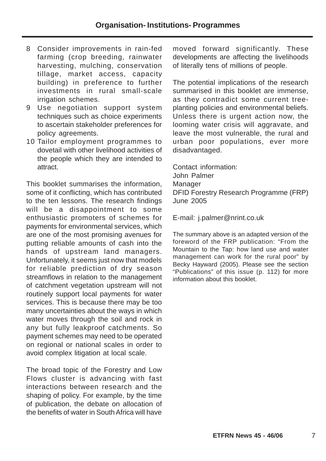- 8 Consider improvements in rain-fed farming (crop breeding, rainwater harvesting, mulching, conservation tillage, market access, capacity building) in preference to further investments in rural small-scale irrigation schemes.
- 9 Use negotiation support system techniques such as choice experiments to ascertain stakeholder preferences for policy agreements.
- 10 Tailor employment programmes to dovetail with other livelihood activities of the people which they are intended to attract.

This booklet summarises the information, some of it conflicting, which has contributed to the ten lessons. The research findings will be a disappointment to some enthusiastic promoters of schemes for payments for environmental services, which are one of the most promising avenues for putting reliable amounts of cash into the hands of upstream land managers. Unfortunately, it seems just now that models for reliable prediction of dry season streamflows in relation to the management of catchment vegetation upstream will not routinely support local payments for water services. This is because there may be too many uncertainties about the ways in which water moves through the soil and rock in any but fully leakproof catchments. So payment schemes may need to be operated on regional or national scales in order to avoid complex litigation at local scale.

The broad topic of the Forestry and Low Flows cluster is advancing with fast interactions between research and the shaping of policy. For example, by the time of publication, the debate on allocation of the benefits of water in South Africa will have moved forward significantly. These developments are affecting the livelihoods of literally tens of millions of people.

The potential implications of the research summarised in this booklet are immense, as they contradict some current treeplanting policies and environmental beliefs. Unless there is urgent action now, the looming water crisis will aggravate, and leave the most vulnerable, the rural and urban poor populations, ever more disadvantaged.

Contact information: John Palmer Manager DFID Forestry Research Programme (FRP) June 2005

E-mail: j.palmer@nrint.co.uk

The summary above is an adapted version of the foreword of the FRP publication: "From the Mountain to the Tap: how land use and water management can work for the rural poor" by Becky Hayward (2005). Please see the section "Publications" of this issue (p. 112) for more information about this booklet.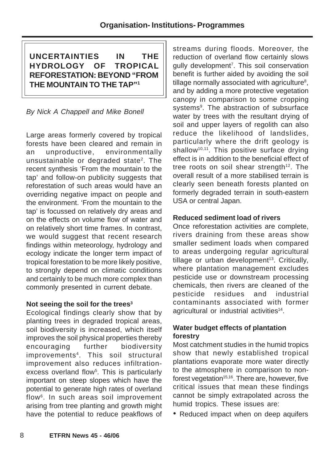**UNCERTAINTIES IN THE HYDROLOGY OF TROPICAL REFORESTATION: BEYOND "FROM THE MOUNTAIN TO THE TAP"1**

By Nick A Chappell and Mike Bonell

Large areas formerly covered by tropical forests have been cleared and remain in an unproductive, environmentally unsustainable or degraded state2. The recent synthesis 'From the mountain to the tap' and follow-on publicity suggests that reforestation of such areas would have an overriding negative impact on people and the environment. 'From the mountain to the tap' is focussed on relatively dry areas and on the effects on volume flow of water and on relatively short time frames. In contrast, we would suggest that recent research findings within meteorology, hydrology and ecology indicate the longer term impact of tropical forestation to be more likely positive, to strongly depend on climatic conditions and certainly to be much more complex than commonly presented in current debate.

## Not seeing the soil for the trees<sup>3</sup>

Ecological findings clearly show that by planting trees in degraded tropical areas, soil biodiversity is increased, which itself improves the soil physical properties thereby encouraging further biodiversity improvements4. This soil structural improvement also reduces infiltrationexcess overland flow<sup>5</sup>. This is particularly important on steep slopes which have the potential to generate high rates of overland flow6. In such areas soil improvement arising from tree planting and growth might have the potential to reduce peakflows of

streams during floods. Moreover, the reduction of overland flow certainly slows gully development<sup>7</sup>. This soil conservation benefit is further aided by avoiding the soil tillage normally associated with agriculture $8$ , and by adding a more protective vegetation canopy in comparison to some cropping systems<sup>9</sup>. The abstraction of subsurface water by trees with the resultant drying of soil and upper layers of regolith can also reduce the likelihood of landslides, particularly where the drift geology is shallow<sup>10,11</sup>. This positive surface drying effect is in addition to the beneficial effect of tree roots on soil shear strength $12$ . The overall result of a more stabilised terrain is clearly seen beneath forests planted on formerly degraded terrain in south-eastern USA or central Japan.

## **Reduced sediment load of rivers**

Once reforestation activities are complete, rivers draining from these areas show smaller sediment loads when compared to areas undergoing regular agricultural tillage or urban development<sup>13</sup>. Critically, where plantation management excludes pesticide use or downstream processing chemicals, then rivers are cleaned of the pesticide residues and industrial contaminants associated with former agricultural or industrial activities<sup>14</sup>.

# **Water budget effects of plantation forestry**

Most catchment studies in the humid tropics show that newly established tropical plantations evaporate more water directly to the atmosphere in comparison to nonforest vegetation $15,16$ . There are, however, five critical issues that mean these findings cannot be simply extrapolated across the humid tropics. These issues are:

• Reduced impact when on deep aquifers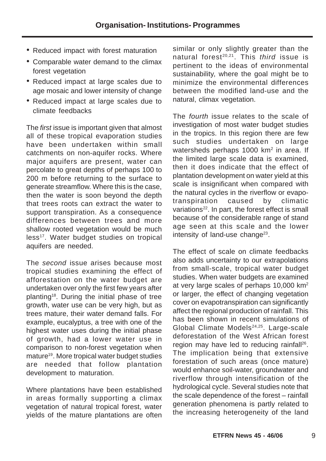- Reduced impact with forest maturation
- Comparable water demand to the climax forest vegetation
- Reduced impact at large scales due to age mosaic and lower intensity of change
- Reduced impact at large scales due to climate feedbacks

The first issue is important given that almost all of these tropical evaporation studies have been undertaken within small catchments on non-aquifer rocks. Where major aquifers are present, water can percolate to great depths of perhaps 100 to 200 m before returning to the surface to generate streamflow. Where this is the case, then the water is soon beyond the depth that trees roots can extract the water to support transpiration. As a consequence differences between trees and more shallow rooted vegetation would be much less<sup>17</sup>. Water budget studies on tropical aquifers are needed.

The second issue arises because most tropical studies examining the effect of afforestation on the water budget are undertaken over only the first few years after planting18. During the initial phase of tree growth, water use can be very high, but as trees mature, their water demand falls. For example, eucalyptus, a tree with one of the highest water uses during the initial phase of growth, had a lower water use in comparison to non-forest vegetation when mature<sup>19</sup>. More tropical water budget studies are needed that follow plantation development to maturation.

Where plantations have been established in areas formally supporting a climax vegetation of natural tropical forest, water yields of the mature plantations are often similar or only slightly greater than the natural forest<sup>20,21</sup>. This *third* issue is pertinent to the ideas of environmental sustainability, where the goal might be to minimize the environmental differences between the modified land-use and the natural, climax vegetation.

The *fourth* issue relates to the scale of investigation of most water budget studies in the tropics. In this region there are few such studies undertaken on large watersheds perhaps 1000 km<sup>2</sup> in area. If the limited large scale data is examined, then it does indicate that the effect of plantation development on water yield at this scale is insignificant when compared with the natural cycles in the riverflow or evapotranspiration caused by climatic variations<sup>22</sup>. In part, the forest effect is small because of the considerable range of stand age seen at this scale and the lower intensity of land-use change<sup>23</sup>.

The effect of scale on climate feedbacks also adds uncertainty to our extrapolations from small-scale, tropical water budget studies. When water budgets are examined at very large scales of perhaps 10,000 km2 or larger, the effect of changing vegetation cover on evapotranspiration can significantly affect the regional production of rainfall. This has been shown in recent simulations of Global Climate Models<sup>24,25</sup>. Large-scale deforestation of the West African forest region may have led to reducing rainfall<sup>26</sup>. The implication being that extensive forestation of such areas (once mature) would enhance soil-water, groundwater and riverflow through intensification of the hydrological cycle. Several studies note that the scale dependence of the forest – rainfall generation phenomena is partly related to the increasing heterogeneity of the land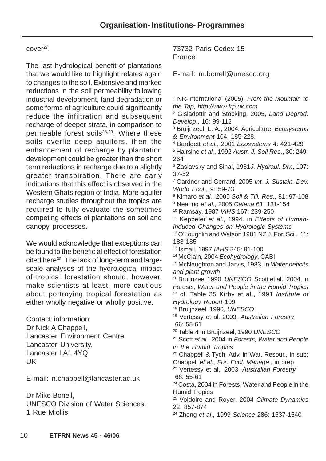## cover<sup>27</sup>.

The last hydrological benefit of plantations that we would like to highlight relates again to changes to the soil. Extensive and marked reductions in the soil permeability following industrial development, land degradation or some forms of agriculture could significantly reduce the infiltration and subsequent recharge of deeper strata, in comparison to permeable forest soils<sup>28,29</sup>. Where these soils overlie deep aquifers, then the enhancement of recharge by plantation development could be greater than the short term reductions in recharge due to a slightly greater transpiration. There are early indications that this effect is observed in the Western Ghats region of India. More aquifer recharge studies throughout the tropics are required to fully evaluate the sometimes competing effects of plantations on soil and canopy processes.

We would acknowledge that exceptions can be found to the beneficial effect of forestation cited here<sup>30</sup>. The lack of long-term and largescale analyses of the hydrological impact of tropical forestation should, however, make scientists at least, more cautious about portraying tropical forestation as either wholly negative or wholly positive.

Contact information: Dr Nick A Chappell, Lancaster Environment Centre, Lancaster University, Lancaster LA1 4YO UK

E-mail: n.chappell@lancaster.ac.uk

Dr Mike Bonell, UNESCO Division of Water Sciences, 1 Rue Miollis

## 73732 Paris Cedex 15 France

E-mail: m.bonell@unesco.org

<sup>1</sup> NR-International (2005), From the Mountain to the Tap, http://www.frp.uk.com

<sup>2</sup> Gisladottir and Stocking, 2005, Land Degrad. Develop., 16: 99-112

<sup>3</sup> Bruijnzeel, L. A., 2004. Agriculture, Ecosystems & Environment 104, 185-228.

4 Bardgett et al., 2001 Ecosystems 4: 421-429

5 Hairsine et al., 1992 Austr. J. Soil Res., 30: 249- 264

<sup>6</sup> Zaslavsky and Sinai, 1981J. Hydraul. Div., 107: 37-52

<sup>7</sup> Gardner and Gerrard, 2005 Int. J. Sustain. Dev. World Ecol., 9: 59-73

8 Kimaro et al., 2005 Soil & Till. Res., 81: 97-108

<sup>9</sup> Nearing *et al.*, 2005 Catena 61: 131-154

10 Ramsay, 1987 IAHS 167: 239-250

 $11$  Keppeler et al., 1994. in Effects of Human-Induced Changes on Hydrologic Systems

<sup>12</sup> O'Loughlin and Watson 1981 NZ J. For. Sci., 11: 183-185

13 Ismail, 1997 IAHS 245: 91-100

14 McClain, 2004 Ecohydrology, CABI

<sup>15</sup> McNaughton and Jarvis, 1983, in Water deficits and plant growth

<sup>16</sup> Bruijnzeel 1990, UNESCO; Scott et al., 2004, in Forests, Water and People in the Humid Tropics <sup>17</sup> cf. Table 35 Kirby et al., 1991 Institute of

Hydrology Report 109 18 Bruijnzeel, 1990, UNESCO

<sup>19</sup> Vertessy et al. 2003, Australian Forestry 66: 55-61

<sup>20</sup> Table 4 in Bruijnzeel, 1990 UNESCO

<sup>21</sup> Scott et al., 2004 in Forests, Water and People in the Humid Tropics

<sup>22</sup> Chappell & Tych, Adv. in Wat. Resour., in sub; Chappell et al., For. Ecol. Manage., in prep

<sup>23</sup> Vertessy et al., 2003, Australian Forestry 66: 55-61

24 Costa, 2004 in Forests, Water and People in the Humid Tropics

<sup>25</sup> Voldoire and Royer, 2004 Climate Dynamics 22: 857-874

<sup>24</sup> Zheng et al., 1999 Science 286: 1537-1540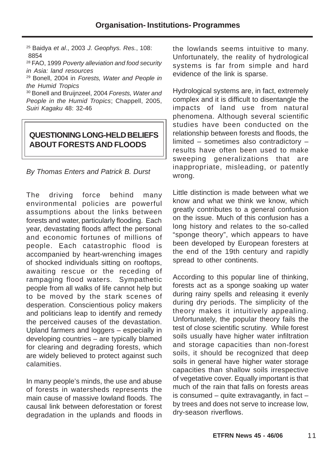25 Baidya et al., 2003 J. Geophys. Res., 108: 8854

28 FAO, 1999 Poverty alleviation and food security in Asia: land resources

29 Bonell, 2004 in Forests, Water and People in the Humid Tropics

<sup>30</sup> Bonell and Bruijnzeel, 2004 Forests, Water and People in the Humid Tropics; Chappell, 2005, Suiri Kagaku 48: 32-46

# **QUESTIONING LONG-HELD BELIEFS ABOUT FORESTS AND FLOODS**

By Thomas Enters and Patrick B. Durst

The driving force behind many environmental policies are powerful assumptions about the links between forests and water, particularly flooding. Each year, devastating floods affect the personal and economic fortunes of millions of people. Each catastrophic flood is accompanied by heart-wrenching images of shocked individuals sitting on rooftops, awaiting rescue or the receding of rampaging flood waters. Sympathetic people from all walks of life cannot help but to be moved by the stark scenes of desperation. Conscientious policy makers and politicians leap to identify and remedy the perceived causes of the devastation. Upland farmers and loggers – especially in developing countries – are typically blamed for clearing and degrading forests, which are widely believed to protect against such calamities.

In many people's minds, the use and abuse of forests in watersheds represents the main cause of massive lowland floods. The causal link between deforestation or forest degradation in the uplands and floods in the lowlands seems intuitive to many. Unfortunately, the reality of hydrological systems is far from simple and hard evidence of the link is sparse.

Hydrological systems are, in fact, extremely complex and it is difficult to disentangle the impacts of land use from natural phenomena. Although several scientific studies have been conducted on the relationship between forests and floods, the limited – sometimes also contradictory – results have often been used to make sweeping generalizations that are inappropriate, misleading, or patently wrong.

Little distinction is made between what we know and what we think we know, which greatly contributes to a general confusion on the issue. Much of this confusion has a long history and relates to the so-called "sponge theory", which appears to have been developed by European foresters at the end of the 19th century and rapidly spread to other continents.

According to this popular line of thinking, forests act as a sponge soaking up water during rainy spells and releasing it evenly during dry periods. The simplicity of the theory makes it intuitively appealing. Unfortunately, the popular theory fails the test of close scientific scrutiny. While forest soils usually have higher water infiltration and storage capacities than non-forest soils, it should be recognized that deep soils in general have higher water storage capacities than shallow soils irrespective of vegetative cover. Equally important is that much of the rain that falls on forests areas is consumed  $-$  quite extravagantly, in fact  $$ by trees and does not serve to increase low, dry-season riverflows.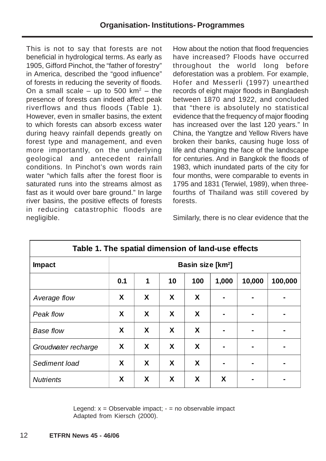This is not to say that forests are not beneficial in hydrological terms. As early as 1905, Gifford Pinchot, the "father of forestry" in America, described the "good influence" of forests in reducing the severity of floods. On a small scale – up to 500  $km^2$  – the presence of forests can indeed affect peak riverflows and thus floods (Table 1). However, even in smaller basins, the extent to which forests can absorb excess water during heavy rainfall depends greatly on forest type and management, and even more importantly, on the underlying geological and antecedent rainfall conditions. In Pinchot's own words rain water "which falls after the forest floor is saturated runs into the streams almost as fast as it would over bare ground." In large river basins, the positive effects of forests in reducing catastrophic floods are negligible.

How about the notion that flood frequencies have increased? Floods have occurred throughout the world long before deforestation was a problem. For example, Hofer and Messerli (1997) unearthed records of eight major floods in Bangladesh between 1870 and 1922, and concluded that "there is absolutely no statistical evidence that the frequency of major flooding has increased over the last 120 years." In China, the Yangtze and Yellow Rivers have broken their banks, causing huge loss of life and changing the face of the landscape for centuries. And in Bangkok the floods of 1983, which inundated parts of the city for four months, were comparable to events in 1795 and 1831 (Terwiel, 1989), when threefourths of Thailand was still covered by forests.

Similarly, there is no clear evidence that the

| Table 1. The spatial dimension of land-use effects |                               |   |                  |     |       |                |         |  |
|----------------------------------------------------|-------------------------------|---|------------------|-----|-------|----------------|---------|--|
| <b>Impact</b>                                      | Basin size [km <sup>2</sup> ] |   |                  |     |       |                |         |  |
|                                                    | 0.1                           | 1 | 10               | 100 | 1,000 | 10,000         | 100,000 |  |
| Average flow                                       | X                             | X | X                | X   |       |                |         |  |
| Peak flow                                          | X                             | X | X                | X   |       | -              |         |  |
| <b>Base flow</b>                                   | X                             | X | X                | X   |       |                |         |  |
| Groudwater recharge                                | X                             | X | X                | X   |       | $\blacksquare$ |         |  |
| Sediment load                                      | X                             | X | $\boldsymbol{X}$ | X   |       |                |         |  |
| <b>Nutrients</b>                                   | X                             | X | X                | X   | X     |                |         |  |

Legend:  $x =$  Observable impact;  $-$  = no observable impact Adapted from Kiersch (2000).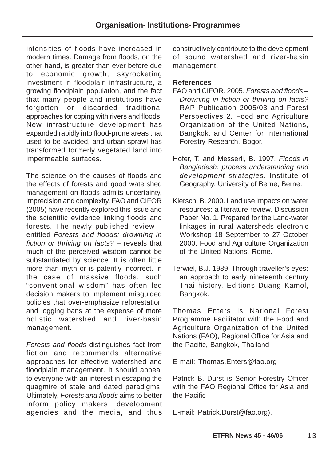intensities of floods have increased in modern times. Damage from floods, on the other hand, is greater than ever before due to economic growth, skyrocketing investment in floodplain infrastructure, a growing floodplain population, and the fact that many people and institutions have forgotten or discarded traditional approaches for coping with rivers and floods. New infrastructure development has expanded rapidly into flood-prone areas that used to be avoided, and urban sprawl has transformed formerly vegetated land into impermeable surfaces.

The science on the causes of floods and the effects of forests and good watershed management on floods admits uncertainty, imprecision and complexity. FAO and CIFOR (2005) have recently explored this issue and the scientific evidence linking floods and forests. The newly published review – entitled Forests and floods: drowning in fiction or thriving on facts? – reveals that much of the perceived wisdom cannot be substantiated by science. It is often little more than myth or is patently incorrect. In the case of massive floods, such "conventional wisdom" has often led decision makers to implement misguided policies that over-emphasize reforestation and logging bans at the expense of more holistic watershed and river-basin management.

Forests and floods distinguishes fact from fiction and recommends alternative approaches for effective watershed and floodplain management. It should appeal to everyone with an interest in escaping the quagmire of stale and dated paradigms. Ultimately, Forests and floods aims to better inform policy makers, development agencies and the media, and thus constructively contribute to the development of sound watershed and river-basin management.

## **References**

- FAO and CIFOR. 2005. Forests and floods Drowning in fiction or thriving on facts? RAP Publication 2005/03 and Forest Perspectives 2. Food and Agriculture Organization of the United Nations, Bangkok, and Center for International Forestry Research, Bogor.
- Hofer, T. and Messerli, B. 1997. Floods in Bangladesh: process understanding and development strategies. Institute of Geography, University of Berne, Berne.
- Kiersch, B. 2000. Land use impacts on water resources: a literature review. Discussion Paper No. 1. Prepared for the Land-water linkages in rural watersheds electronic Workshop 18 September to 27 October 2000. Food and Agriculture Organization of the United Nations, Rome.
- Terwiel, B.J. 1989. Through traveller's eyes: an approach to early nineteenth century Thai history. Editions Duang Kamol, Bangkok.

Thomas Enters is National Forest Programme Facilitator with the Food and Agriculture Organization of the United Nations (FAO), Regional Office for Asia and the Pacific, Bangkok, Thailand

E-mail: Thomas.Enters@fao.org

Patrick B. Durst is Senior Forestry Officer with the FAO Regional Office for Asia and the Pacific

E-mail: Patrick.Durst@fao.org).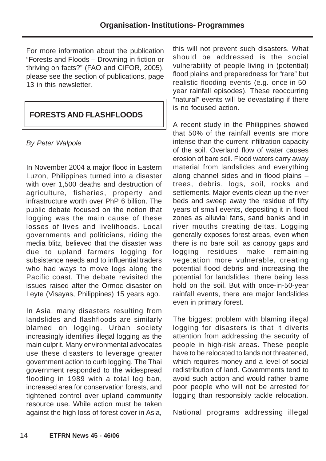For more information about the publication "Forests and Floods – Drowning in fiction or thriving on facts?" (FAO and CIFOR, 2005), please see the section of publications, page 13 in this newsletter

# **FORESTS AND FLASHFLOODS**

By Peter Walpole

In November 2004 a major flood in Eastern Luzon, Philippines turned into a disaster with over 1,500 deaths and destruction of agriculture, fisheries, property and infrastructure worth over PhP 6 billion. The public debate focused on the notion that logging was the main cause of these losses of lives and livelihoods. Local governments and politicians, riding the media blitz, believed that the disaster was due to upland farmers logging for subsistence needs and to influential traders who had ways to move logs along the Pacific coast. The debate revisited the issues raised after the Ormoc disaster on Leyte (Visayas, Philippines) 15 years ago.

In Asia, many disasters resulting from landslides and flashfloods are similarly blamed on logging. Urban society increasingly identifies illegal logging as the main culprit. Many environmental advocates use these disasters to leverage greater government action to curb logging. The Thai government responded to the widespread flooding in 1989 with a total log ban, increased area for conservation forests, and tightened control over upland community resource use. While action must be taken against the high loss of forest cover in Asia,

this will not prevent such disasters. What should be addressed is the social vulnerability of people living in (potential) flood plains and preparedness for "rare" but realistic flooding events (e.g. once-in-50 year rainfall episodes). These reoccurring "natural" events will be devastating if there is no focused action.

A recent study in the Philippines showed that 50% of the rainfall events are more intense than the current infiltration capacity of the soil. Overland flow of water causes erosion of bare soil. Flood waters carry away material from landslides and everything along channel sides and in flood plains – trees, debris, logs, soil, rocks and settlements. Major events clean up the river beds and sweep away the residue of fifty years of small events, depositing it in flood zones as alluvial fans, sand banks and in river mouths creating deltas. Logging generally exposes forest areas, even when there is no bare soil, as canopy gaps and logging residues make remaining vegetation more vulnerable, creating potential flood debris and increasing the potential for landslides, there being less hold on the soil. But with once-in-50-year rainfall events, there are major landslides even in primary forest.

The biggest problem with blaming illegal logging for disasters is that it diverts attention from addressing the security of people in high-risk areas. These people have to be relocated to lands not threatened, which requires money and a level of social redistribution of land. Governments tend to avoid such action and would rather blame poor people who will not be arrested for logging than responsibly tackle relocation.

National programs addressing illegal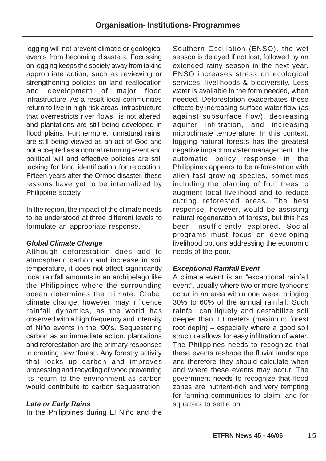logging will not prevent climatic or geological events from becoming disasters. Focussing on logging keeps the society away from taking appropriate action, such as reviewing or strengthening policies on land reallocation and development of major flood infrastructure. As a result local communities return to live in high risk areas, infrastructure that overrestricts river flows is not altered, and plantations are still being developed in flood plains. Furthermore, 'unnatural rains' are still being viewed as an act of God and not accepted as a normal returning event and political will and effective policies are still lacking for land identification for relocation. Fifteen years after the Ormoc disaster, these lessons have yet to be internalized by Philippine society.

In the region, the impact of the climate needs to be understood at three different levels to formulate an appropriate response.

# **Global Climate Change**

Although deforestation does add to atmospheric carbon and increase in soil temperature, it does not affect significantly local rainfall amounts in an archipelago like the Philippines where the surrounding ocean determines the climate. Global climate change, however, may influence rainfall dynamics, as the world has observed with a high frequency and intensity of Niño events in the '90's. Sequestering carbon as an immediate action, plantations and reforestation are the primary responses in creating new 'forest'. Any forestry activity that locks up carbon and improves processing and recycling of wood preventing its return to the environment as carbon would contribute to carbon sequestration.

## **Late or Early Rains**

In the Philippines during El Niño and the

Southern Oscillation (ENSO), the wet season is delayed if not lost, followed by an extended rainy season in the next year. ENSO increases stress on ecological services, livelihoods & biodiversity. Less water is available in the form needed, when needed. Deforestation exacerbates these effects by increasing surface water flow (as against subsurface flow), decreasing aquifer infiltration, and increasing microclimate temperature. In this context, logging natural forests has the greatest negative impact on water management. The automatic policy response in the Philippines appears to be reforestation with alien fast-growing species, sometimes including the planting of fruit trees to augment local livelihood and to reduce cutting reforested areas. The best response, however, would be assisting natural regeneration of forests, but this has been insufficiently explored. Social programs must focus on developing livelihood options addressing the economic needs of the poor.

# **Exceptional Rainfall Event**

A climate event is an "exceptional rainfall event", usually where two or more typhoons occur in an area within one week, bringing 30% to 60% of the annual rainfall. Such rainfall can liquefy and destabilize soil deeper than 10 meters (maximum forest root depth) – especially where a good soil structure allows for easy infiltration of water. The Philippines needs to recognize that these events reshape the fluvial landscape and therefore they should calculate when and where these events may occur. The government needs to recognize that flood zones are nutrient-rich and very tempting for farming communities to claim, and for squatters to settle on.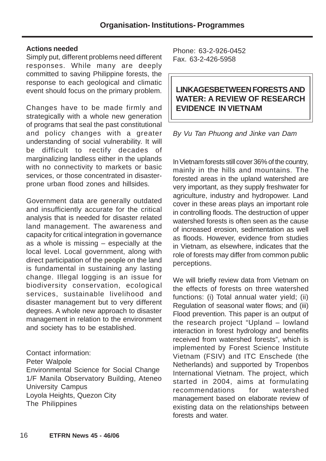#### **Actions needed**

Simply put, different problems need different responses. While many are deeply committed to saving Philippine forests, the response to each geological and climatic event should focus on the primary problem.

Changes have to be made firmly and strategically with a whole new generation of programs that seal the past constitutional and policy changes with a greater understanding of social vulnerability. It will be difficult to rectify decades of marginalizing landless either in the uplands with no connectivity to markets or basic services, or those concentrated in disasterprone urban flood zones and hillsides.

Government data are generally outdated and insufficiently accurate for the critical analysis that is needed for disaster related land management. The awareness and capacity for critical integration in governance as a whole is missing – especially at the local level. Local government, along with direct participation of the people on the land is fundamental in sustaining any lasting change. Illegal logging is an issue for biodiversity conservation, ecological services, sustainable livelihood and disaster management but to very different degrees. A whole new approach to disaster management in relation to the environment and society has to be established.

Contact information: Peter Walpole Environmental Science for Social Change 1/F Manila Observatory Building, Ateneo University Campus Loyola Heights, Quezon City The Philippines

Phone: 63-2-926-0452 Fax. 63-2-426-5958

# **LINKAGESBETWEEN FORESTS AND WATER: A REVIEW OF RESEARCH EVIDENCE IN VIETNAM**

## By Vu Tan Phuong and Jinke van Dam

In Vietnam forests still cover 36% of the country, mainly in the hills and mountains. The forested areas in the upland watershed are very important, as they supply freshwater for agriculture, industry and hydropower. Land cover in these areas plays an important role in controlling floods. The destruction of upper watershed forests is often seen as the cause of increased erosion, sedimentation as well as floods. However, evidence from studies in Vietnam, as elsewhere, indicates that the role of forests may differ from common public perceptions.

We will briefly review data from Vietnam on the effects of forests on three watershed functions: (i) Total annual water yield; (ii) Regulation of seasonal water flows; and (iii) Flood prevention. This paper is an output of the research project "Upland – lowland interaction in forest hydrology and benefits received from watershed forests", which is implemented by Forest Science Institute Vietnam (FSIV) and ITC Enschede (the Netherlands) and supported by Tropenbos International Vietnam. The project, which started in 2004, aims at formulating recommendations for watershed management based on elaborate review of existing data on the relationships between forests and water.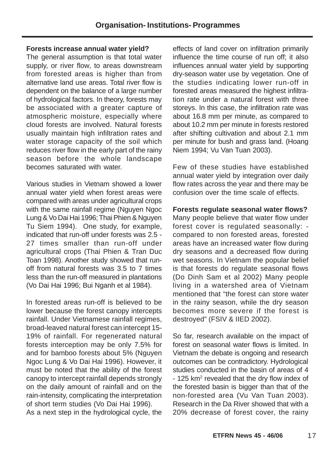#### **Forests increase annual water yield?**

The general assumption is that total water supply, or river flow, to areas downstream from forested areas is higher than from alternative land use areas. Total river flow is dependent on the balance of a large number of hydrological factors. In theory, forests may be associated with a greater capture of atmospheric moisture, especially where cloud forests are involved. Natural forests usually maintain high infiltration rates and water storage capacity of the soil which reduces river flow in the early part of the rainy season before the whole landscape becomes saturated with water.

Various studies in Vietnam showed a lower annual water yield when forest areas were compared with areas under agricultural crops with the same rainfall regime (Nguyen Ngoc Lung & Vo Dai Hai 1996; Thai Phien & Nguyen Tu Siem 1994). One study, for example, indicated that run-off under forests was 2.5 - 27 times smaller than run-off under agricultural crops (Thai Phien & Tran Duc Toan 1998). Another study showed that runoff from natural forests was 3.5 to 7 times less than the run-off measured in plantations (Vo Dai Hai 1996; Bui Nganh et al 1984).

In forested areas run-off is believed to be lower because the forest canopy intercepts rainfall. Under Vietnamese rainfall regimes, broad-leaved natural forest can intercept 15- 19% of rainfall. For regenerated natural forests interception may be only 7.5% for and for bamboo forests about 5% (Nguyen Ngoc Lung & Vo Dai Hai 1996). However, it must be noted that the ability of the forest canopy to intercept rainfall depends strongly on the daily amount of rainfall and on the rain-intensity, complicating the interpretation of short term studies (Vo Dai Hai 1996). As a next step in the hydrological cycle, the

effects of land cover on infiltration primarily influence the time course of run off; it also influences annual water yield by supporting dry-season water use by vegetation. One of the studies indicating lower run-off in forested areas measured the highest infiltration rate under a natural forest with three storeys. In this case, the infiltration rate was about 16.8 mm per minute, as compared to about 10.2 mm per minute in forests restored after shifting cultivation and about 2.1 mm per minute for bush and grass land. (Hoang Niem 1994; Vu Van Tuan 2003).

Few of these studies have established annual water yield by integration over daily flow rates across the year and there may be confusion over the time scale of effects.

**Forests regulate seasonal water flows?** Many people believe that water flow under forest cover is regulated seasonally: compared to non forested areas, forested areas have an increased water flow during dry seasons and a decreased flow during wet seasons. In Vietnam the popular belief is that forests do regulate seasonal flows (Do Dinh Sam et al 2002) Many people living in a watershed area of Vietnam mentioned that "the forest can store water in the rainy season, while the dry season becomes more severe if the forest is destroyed" (FSIV & IIED 2002).

So far, research available on the impact of forest on seasonal water flows is limited. In Vietnam the debate is ongoing and research outcomes can be contradictory. Hydrological studies conducted in the basin of areas of 4 - 125 km<sup>2</sup> revealed that the dry flow index of the forested basin is bigger than that of the non-forested area (Vu Van Tuan 2003). Research in the Da River showed that with a 20% decrease of forest cover, the rainy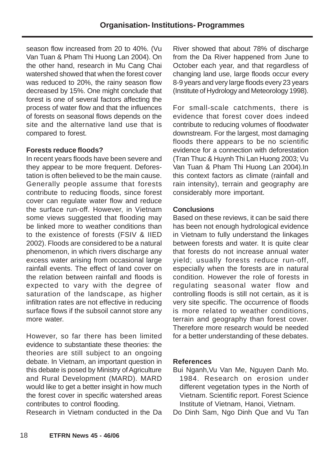season flow increased from 20 to 40%. (Vu Van Tuan & Pham Thi Huong Lan 2004). On the other hand, research in Mu Cang Chai watershed showed that when the forest cover was reduced to 20%, the rainy season flow decreased by 15%. One might conclude that forest is one of several factors affecting the process of water flow and that the influences of forests on seasonal flows depends on the site and the alternative land use that is compared to forest.

## **Forests reduce floods?**

In recent years floods have been severe and they appear to be more frequent. Deforestation is often believed to be the main cause. Generally people assume that forests contribute to reducing floods, since forest cover can regulate water flow and reduce the surface run-off. However, in Vietnam some views suggested that flooding may be linked more to weather conditions than to the existence of forests (FSIV & IIED 2002). Floods are considered to be a natural phenomenon, in which rivers discharge any excess water arising from occasional large rainfall events. The effect of land cover on the relation between rainfall and floods is expected to vary with the degree of saturation of the landscape, as higher infiltration rates are not effective in reducing surface flows if the subsoil cannot store any more water.

However, so far there has been limited evidence to substantiate these theories: the theories are still subject to an ongoing debate. In Vietnam, an important question in this debate is posed by Ministry of Agriculture and Rural Development (MARD). MARD would like to get a better insight in how much the forest cover in specific watershed areas contributes to control flooding.

Research in Vietnam conducted in the Da

River showed that about 78% of discharge from the Da River happened from June to October each year, and that regardless of changing land use, large floods occur every 8-9 years and very large floods every 23 years (Institute of Hydrology and Meteorology 1998).

For small-scale catchments, there is evidence that forest cover does indeed contribute to reducing volumes of floodwater downstream. For the largest, most damaging floods there appears to be no scientific evidence for a connection with deforestation (Tran Thuc & Huynh Thi Lan Huong 2003; Vu Van Tuan & Pham Thi Huong Lan 2004).In this context factors as climate (rainfall and rain intensity), terrain and geography are considerably more important.

## **Conclusions**

Based on these reviews, it can be said there has been not enough hydrological evidence in Vietnam to fully understand the linkages between forests and water. It is quite clear that forests do not increase annual water yield; usually forests reduce run-off, especially when the forests are in natural condition. However the role of forests in regulating seasonal water flow and controlling floods is still not certain, as it is very site specific. The occurrence of floods is more related to weather conditions, terrain and geography than forest cover. Therefore more research would be needed for a better understanding of these debates.

## **References**

- Bui Nganh,Vu Van Me, Nguyen Danh Mo. 1984. Research on erosion under different vegetation types in the North of Vietnam. Scientific report. Forest Science Institute of Vietnam, Hanoi, Vietnam.
- Do Dinh Sam, Ngo Dinh Que and Vu Tan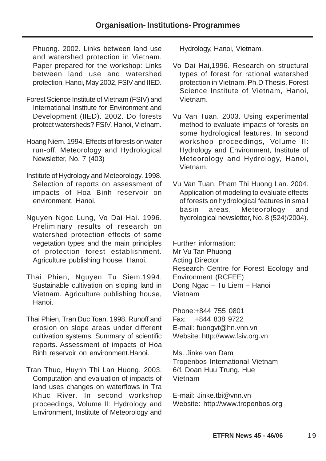Phuong. 2002. Links between land use and watershed protection in Vietnam. Paper prepared for the workshop: Links between land use and watershed protection, Hanoi, May 2002, FSIV and IIED.

- Forest Science Institute of Vietnam (FSIV) and International Institute for Environment and Development (IIED). 2002. Do forests protect watersheds? FSIV, Hanoi, Vietnam.
- Hoang Niem. 1994. Effects of forests on water run-off. Meteorology and Hydrological Newsletter, No. 7 (403)
- Institute of Hydrology and Meteorology. 1998. Selection of reports on assessment of impacts of Hoa Binh reservoir on environment. Hanoi.
- Nguyen Ngoc Lung, Vo Dai Hai. 1996. Preliminary results of research on watershed protection effects of some vegetation types and the main principles of protection forest establishment. Agriculture publishing house, Hanoi.
- Thai Phien, Nguyen Tu Siem.1994. Sustainable cultivation on sloping land in Vietnam. Agriculture publishing house, Hanoi.
- Thai Phien, Tran Duc Toan. 1998. Runoff and erosion on slope areas under different cultivation systems. Summary of scientific reports. Assessment of impacts of Hoa Binh reservoir on environment.Hanoi.
- Tran Thuc, Huynh Thi Lan Huong. 2003. Computation and evaluation of impacts of land uses changes on waterflows in Tra Khuc River. In second workshop proceedings, Volume II: Hydrology and Environment, Institute of Meteorology and

Hydrology, Hanoi, Vietnam.

- Vo Dai Hai,1996. Research on structural types of forest for rational watershed protection in Vietnam. Ph.D Thesis. Forest Science Institute of Vietnam, Hanoi, Vietnam.
- Vu Van Tuan. 2003. Using experimental method to evaluate impacts of forests on some hydrological features. In second workshop proceedings, Volume II: Hydrology and Environment, Institute of Meteorology and Hydrology, Hanoi, Vietnam.
- Vu Van Tuan, Pham Thi Huong Lan. 2004. Application of modeling to evaluate effects of forests on hydrological features in small basin areas, Meteorology and hydrological newsletter, No. 8 (524)/2004).

Further information: Mr Vu Tan Phuong Acting Director Research Centre for Forest Ecology and Environment (RCFEE) Dong Ngac – Tu Liem – Hanoi Vietnam

Phone:+844 755 0801 Fax: +844 838 9722 E-mail: fuongvt@hn.vnn.vn Website: http://www.fsiv.org.vn

Ms. Jinke van Dam Tropenbos International Vietnam 6/1 Doan Huu Trung, Hue Vietnam

E-mail: Jinke.tbi@vnn.vn Website: http://www.tropenbos.org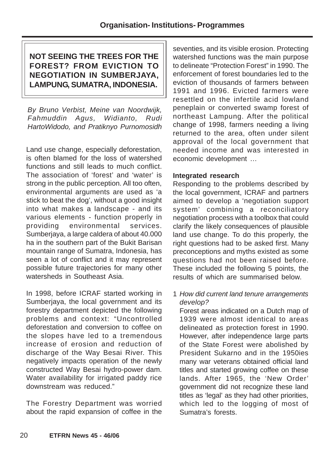# **NOT SEEING THE TREES FOR THE FOREST? FROM EVICTION TO NEGOTIATION IN SUMBERJAYA, LAMPUNG, SUMATRA, INDONESIA.**

By Bruno Verbist, Meine van Noordwijk, Fahmuddin Agus, Widianto, Rudi HartoWidodo, and Pratiknyo Purnomosidh

Land use change, especially deforestation, is often blamed for the loss of watershed functions and still leads to much conflict. The association of 'forest' and 'water' is strong in the public perception. All too often, environmental arguments are used as 'a stick to beat the dog', without a good insight into what makes a landscape - and its various elements - function properly in providing environmental services. Sumberjaya, a large caldera of about 40.000 ha in the southern part of the Bukit Barisan mountain range of Sumatra, Indonesia, has seen a lot of conflict and it may represent possible future trajectories for many other watersheds in Southeast Asia.

In 1998, before ICRAF started working in Sumberjaya, the local government and its forestry department depicted the following problems and context: "Uncontrolled deforestation and conversion to coffee on the slopes have led to a tremendous increase of erosion and reduction of discharge of the Way Besai River. This negatively impacts operation of the newly constructed Way Besai hydro-power dam. Water availability for irrigated paddy rice downstream was reduced."

The Forestry Department was worried about the rapid expansion of coffee in the

seventies, and its visible erosion. Protecting watershed functions was the main purpose to delineate "Protection Forest" in 1990. The enforcement of forest boundaries led to the eviction of thousands of farmers between 1991 and 1996. Evicted farmers were resettled on the infertile acid lowland peneplain or converted swamp forest of northeast Lampung. After the political change of 1998, farmers needing a living returned to the area, often under silent approval of the local government that needed income and was interested in economic development …

## **Integrated research**

Responding to the problems described by the local government, ICRAF and partners aimed to develop a 'negotiation support system' combining a reconciliatory negotiation process with a toolbox that could clarify the likely consequences of plausible land use change. To do this properly, the right questions had to be asked first. Many preconceptions and myths existed as some questions had not been raised before. These included the following 5 points, the results of which are summarised below.

1 How did current land tenure arrangements develop?

Forest areas indicated on a Dutch map of 1939 were almost identical to areas delineated as protection forest in 1990. However, after independence large parts of the State Forest were abolished by President Sukarno and in the 1950ies many war veterans obtained official land titles and started growing coffee on these lands. After 1965, the 'New Order' government did not recognize these land titles as 'legal' as they had other priorities, which led to the logging of most of Sumatra's forests.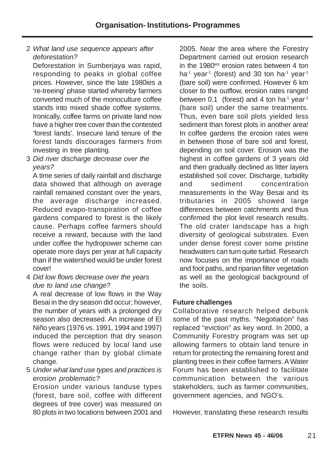# 2 What land use sequence appears after deforestation?

Deforestation in Sumberjaya was rapid, responding to peaks in global coffee prices. However, since the late 1980ies a 're-treeing' phase started whereby farmers converted much of the monoculture coffee stands into mixed shade coffee systems. Ironically, coffee farms on private land now have a higher tree cover than the contested 'forest lands'. Insecure land tenure of the forest lands discourages farmers from investing in tree planting.

3 Did river discharge decrease over the years?

A time series of daily rainfall and discharge data showed that although on average rainfall remained constant over the years, the average discharge increased. Reduced evapo-transpiration of coffee gardens compared to forest is the likely cause. Perhaps coffee farmers should receive a reward, because with the land under coffee the hydropower scheme can operate more days per year at full capacity than if the watershed would be under forest cover!

4 Did low flows decrease over the years due to land use change?

A real decrease of low flows in the Way Besai in the dry season did occur; however, the number of years with a prolonged dry season also decreased. An increase of El Niño years (1976 vs. 1991, 1994 and 1997) induced the perception that dry season flows were reduced by local land use change rather than by global climate change.

5 Under what land use types and practices is erosion problematic?

Erosion under various landuse types (forest, bare soil, coffee with different degrees of tree cover) was measured on 80 plots in two locations between 2001 and

2005. Near the area where the Forestry Department carried out erosion research in the 1980<sup>ies</sup> erosion rates between 4 ton ha<sup>-1</sup> year<sup>-1</sup> (forest) and 30 ton ha<sup>-1</sup> year<sup>-1</sup> (bare soil) were confirmed. However 6 km closer to the outflow, erosion rates ranged between 0.1 (forest) and 4 ton ha<sup>-1</sup> year<sup>-1</sup> (bare soil) under the same treatments. Thus, even bare soil plots yielded less sediment than forest plots in another area! In coffee gardens the erosion rates were in between those of bare soil and forest, depending on soil cover. Erosion was the highest in coffee gardens of 3 years old and then gradually declined as litter layers established soil cover. Discharge, turbidity and sediment concentration measurements in the Way Besai and its tributaries in 2005 showed large differences between catchments and thus confirmed the plot level research results. The old crater landscape has a high diversity of geological substrates. Even under dense forest cover some pristine headwaters can turn quite turbid. Research now focuses on the importance of roads and foot paths, and riparian filter vegetation as well as the geological background of the soils.

## **Future challenges**

Collaborative research helped debunk some of the past myths. "Negotiation" has replaced "eviction" as key word. In 2000, a Community Forestry program was set up allowing farmers to obtain land tenure in return for protecting the remaining forest and planting trees in their coffee farmers. A Water Forum has been established to facilitate communication between the various stakeholders, such as farmer communities, government agencies, and NGO's.

However, translating these research results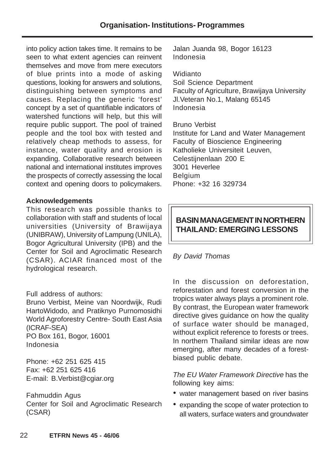into policy action takes time. It remains to be seen to what extent agencies can reinvent themselves and move from mere executors of blue prints into a mode of asking questions, looking for answers and solutions, distinguishing between symptoms and causes. Replacing the generic 'forest' concept by a set of quantifiable indicators of watershed functions will help, but this will require public support. The pool of trained people and the tool box with tested and relatively cheap methods to assess, for instance, water quality and erosion is expanding. Collaborative research between national and international institutes improves the prospects of correctly assessing the local context and opening doors to policymakers.

## **Acknowledgements**

This research was possible thanks to collaboration with staff and students of local universities (University of Brawijaya (UNIBRAW), University of Lampung (UNILA), Bogor Agricultural University (IPB) and the Center for Soil and Agroclimatic Research (CSAR). ACIAR financed most of the hydrological research.

## Full address of authors:

Bruno Verbist, Meine van Noordwijk, Rudi HartoWidodo, and Pratiknyo Purnomosidhi World Agroforestry Centre- South East Asia (ICRAF-SEA) PO Box 161, Bogor, 16001 Indonesia

Phone: +62 251 625 415 Fax: +62 251 625 416 E-mail: B.Verbist@cgiar.org

Fahmuddin Agus Center for Soil and Agroclimatic Research (CSAR)

Jalan Juanda 98, Bogor 16123 Indonesia

**Widianto** Soil Science Department Faculty of Agriculture, Brawijaya University Jl.Veteran No.1, Malang 65145 Indonesia

Bruno Verbist Institute for Land and Water Management Faculty of Bioscience Engineering Katholieke Universiteit Leuven, Celestijnenlaan 200 E 3001 Heverlee Belgium Phone: +32 16 329734

# **BASIN MANAGEMENT IN NORTHERN THAILAND: EMERGING LESSONS**

# By David Thomas

In the discussion on deforestation, reforestation and forest conversion in the tropics water always plays a prominent role. By contrast, the European water framework directive gives guidance on how the quality of surface water should be managed, without explicit reference to forests or trees. In northern Thailand similar ideas are now emerging, after many decades of a forestbiased public debate.

The EU Water Framework Directive has the following key aims:

- water management based on river basins
- expanding the scope of water protection to all waters, surface waters and groundwater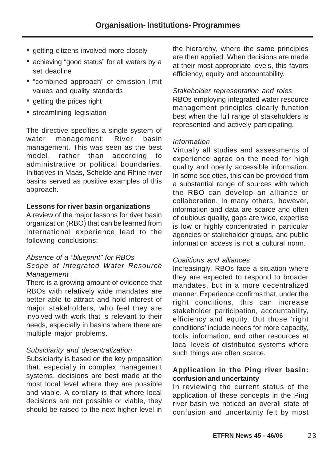- getting citizens involved more closely
- achieving "good status" for all waters by a set deadline
- "combined approach" of emission limit values and quality standards
- getting the prices right
- streamlining legislation

The directive specifies a single system of water management: River basin management. This was seen as the best model, rather than according to administrative or political boundaries. Initiatives in Maas, Schelde and Rhine river basins served as positive examples of this approach.

## **Lessons for river basin organizations**

A review of the major lessons for river basin organization (RBO) that can be learned from international experience lead to the following conclusions:

#### Absence of a "blueprint" for RBOs Scope of Integrated Water Resource Management

There is a growing amount of evidence that RBOs with relatively wide mandates are better able to attract and hold interest of major stakeholders, who feel they are involved with work that is relevant to their needs, especially in basins where there are multiple major problems.

## Subsidiarity and decentralization

Subsidiarity is based on the key proposition that, especially in complex management systems, decisions are best made at the most local level where they are possible and viable. A corollary is that where local decisions are not possible or viable, they should be raised to the next higher level in

the hierarchy, where the same principles are then applied. When decisions are made at their most appropriate levels, this favors efficiency, equity and accountability.

Stakeholder representation and roles RBOs employing integrated water resource management principles clearly function best when the full range of stakeholders is represented and actively participating.

#### Information

Virtually all studies and assessments of experience agree on the need for high quality and openly accessible information. In some societies, this can be provided from a substantial range of sources with which the RBO can develop an alliance or collaboration. In many others, however, information and data are scarce and often of dubious quality, gaps are wide, expertise is low or highly concentrated in particular agencies or stakeholder groups, and public information access is not a cultural norm.

## Coalitions and alliances

Increasingly, RBOs face a situation where they are expected to respond to broader mandates, but in a more decentralized manner. Experience confirms that, under the right conditions, this can increase stakeholder participation, accountability, efficiency and equity. But those 'right conditions' include needs for more capacity, tools, information, and other resources at local levels of distributed systems where such things are often scarce.

## **Application in the Ping river basin: confusion and uncertainty**

In reviewing the current status of the application of these concepts in the Ping river basin we noticed an overall state of confusion and uncertainty felt by most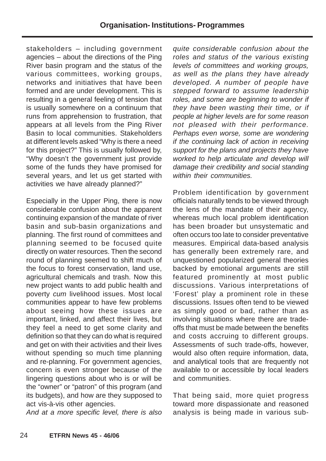stakeholders – including government agencies – about the directions of the Ping River basin program and the status of the various committees, working groups, networks and initiatives that have been formed and are under development. This is resulting in a general feeling of tension that is usually somewhere on a continuum that runs from apprehension to frustration, that appears at all levels from the Ping River Basin to local communities. Stakeholders at different levels asked "Why is there a need for this project?" This is usually followed by, "Why doesn't the government just provide some of the funds they have promised for several years, and let us get started with activities we have already planned?"

Especially in the Upper Ping, there is now considerable confusion about the apparent continuing expansion of the mandate of river basin and sub-basin organizations and planning. The first round of committees and planning seemed to be focused quite directly on water resources. Then the second round of planning seemed to shift much of the focus to forest conservation, land use, agricultural chemicals and trash. Now this new project wants to add public health and poverty cum livelihood issues. Most local communities appear to have few problems about seeing how these issues are important, linked, and affect their lives, but they feel a need to get some clarity and definition so that they can do what is required and get on with their activities and their lives without spending so much time planning and re-planning. For government agencies, concern is even stronger because of the lingering questions about who is or will be the "owner" or "patron" of this program (and its budgets), and how are they supposed to act vis-à-vis other agencies.

And at a more specific level, there is also

quite considerable confusion about the roles and status of the various existing levels of committees and working groups, as well as the plans they have already developed. A number of people have stepped forward to assume leadership roles, and some are beginning to wonder if they have been wasting their time, or if people at higher levels are for some reason not pleased with their performance. Perhaps even worse, some are wondering if the continuing lack of action in receiving support for the plans and projects they have worked to help articulate and develop will damage their credibility and social standing within their communities.

Problem identification by government officials naturally tends to be viewed through the lens of the mandate of their agency, whereas much local problem identification has been broader but unsystematic and often occurs too late to consider preventative measures. Empirical data-based analysis has generally been extremely rare, and unquestioned popularized general theories backed by emotional arguments are still featured prominently at most public discussions. Various interpretations of 'Forest' play a prominent role in these discussions. Issues often tend to be viewed as simply good or bad, rather than as involving situations where there are tradeoffs that must be made between the benefits and costs accruing to different groups. Assessments of such trade-offs, however, would also often require information, data, and analytical tools that are frequently not available to or accessible by local leaders and communities.

That being said, more quiet progress toward more dispassionate and reasoned analysis is being made in various sub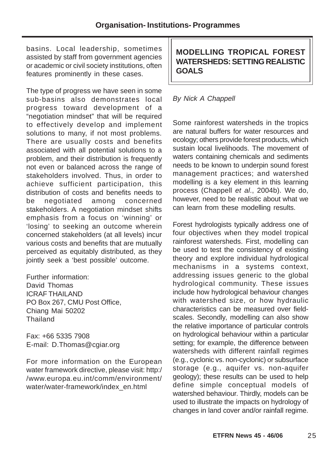basins. Local leadership, sometimes assisted by staff from government agencies or academic or civil society institutions, often features prominently in these cases.

The type of progress we have seen in some sub-basins also demonstrates local progress toward development of a "negotiation mindset" that will be required to effectively develop and implement solutions to many, if not most problems. There are usually costs and benefits associated with all potential solutions to a problem, and their distribution is frequently not even or balanced across the range of stakeholders involved. Thus, in order to achieve sufficient participation, this distribution of costs and benefits needs to be negotiated among concerned stakeholders. A negotiation mindset shifts emphasis from a focus on 'winning' or 'losing' to seeking an outcome wherein concerned stakeholders (at all levels) incur various costs and benefits that are mutually perceived as equitably distributed, as they jointly seek a 'best possible' outcome.

Further information: David Thomas ICRAF THAILAND PO Box 267, CMU Post Office, Chiang Mai 50202 **Thailand** 

Fax: +66 5335 7908 E-mail: D.Thomas@cgiar.org

For more information on the European water framework directive, please visit: http:/ /www.europa.eu.int/comm/environment/ water/water-framework/index\_en.html

**MODELLING TROPICAL FOREST WATERSHEDS: SETTING REALISTIC GOALS**

# By Nick A Chappell

Some rainforest watersheds in the tropics are natural buffers for water resources and ecology; others provide forest products, which sustain local livelihoods. The movement of waters containing chemicals and sediments needs to be known to underpin sound forest management practices; and watershed modelling is a key element in this learning process (Chappell et al., 2004b). We do, however, need to be realistic about what we can learn from these modelling results.

Forest hydrologists typically address one of four objectives when they model tropical rainforest watersheds. First, modelling can be used to test the consistency of existing theory and explore individual hydrological mechanisms in a systems context, addressing issues generic to the global hydrological community. These issues include how hydrological behaviour changes with watershed size, or how hydraulic characteristics can be measured over fieldscales. Secondly, modelling can also show the relative importance of particular controls on hydrological behaviour within a particular setting; for example, the difference between watersheds with different rainfall regimes (e.g., cyclonic vs. non-cyclonic) or subsurface storage (e.g., aquifer vs. non-aquifer geology); these results can be used to help define simple conceptual models of watershed behaviour. Thirdly, models can be used to illustrate the impacts on hydrology of changes in land cover and/or rainfall regime.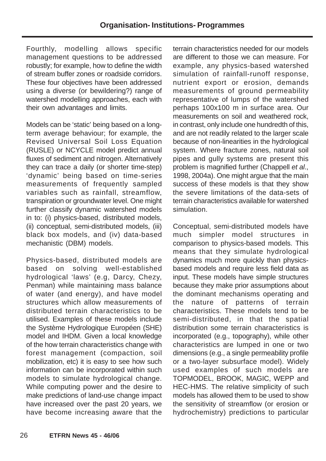Fourthly, modelling allows specific management questions to be addressed robustly; for example, how to define the width of stream buffer zones or roadside corridors. These four objectives have been addressed using a diverse (or bewildering?) range of watershed modelling approaches, each with their own advantages and limits.

Models can be 'static' being based on a longterm average behaviour; for example, the Revised Universal Soil Loss Equation (RUSLE) or NCYCLE model predict annual fluxes of sediment and nitrogen. Alternatively they can trace a daily (or shorter time-step) 'dynamic' being based on time-series measurements of frequently sampled variables such as rainfall, streamflow, transpiration or groundwater level. One might further classify dynamic watershed models in to: (i) physics-based, distributed models, (ii) conceptual, semi-distributed models, (iii) black box models, and (iv) data-based mechanistic (DBM) models.

Physics-based, distributed models are based on solving well-established hydrological 'laws' (e.g, Darcy, Chezy, Penman) while maintaining mass balance of water (and energy), and have model structures which allow measurements of distributed terrain characteristics to be utilised. Examples of these models include the Système Hydrologique Européen (SHE) model and IHDM. Given a local knowledge of the how terrain characteristics change with forest management (compaction, soil mobilization, etc) it is easy to see how such information can be incorporated within such models to simulate hydrological change. While computing power and the desire to make predictions of land-use change impact have increased over the past 20 years, we have become increasing aware that the

terrain characteristics needed for our models are different to those we can measure. For example, any physics-based watershed simulation of rainfall-runoff response, nutrient export or erosion, demands measurements of ground permeability representative of lumps of the watershed perhaps 100x100 m in surface area. Our measurements on soil and weathered rock, in contrast, only include one hundredth of this, and are not readily related to the larger scale because of non-linearities in the hydrological system. Where fracture zones, natural soil pipes and gully systems are present this problem is magnified further (Chappell et al., 1998, 2004a). One might argue that the main success of these models is that they show the severe limitations of the data-sets of terrain characteristics available for watershed simulation.

Conceptual, semi-distributed models have much simpler model structures in comparison to physics-based models. This means that they simulate hydrological dynamics much more quickly than physicsbased models and require less field data as input. These models have simple structures because they make prior assumptions about the dominant mechanisms operating and the nature of patterns of terrain characteristics. These models tend to be semi-distributed, in that the spatial distribution some terrain characteristics is incorporated (e.g., topography), while other characteristics are lumped in one or two dimensions (e.g., a single permeability profile or a two-layer subsurface model). Widely used examples of such models are TOPMODEL, BROOK, MAGIC, WEPP and HEC-HMS. The relative simplicity of such models has allowed them to be used to show the sensitivity of streamflow (or erosion or hydrochemistry) predictions to particular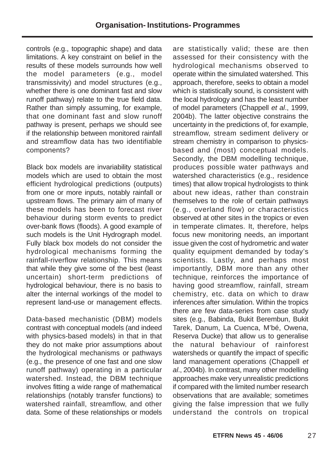controls (e.g., topographic shape) and data limitations. A key constraint on belief in the results of these models surrounds how well the model parameters (e.g., model transmissivity) and model structures (e.g., whether there is one dominant fast and slow runoff pathway) relate to the true field data. Rather than simply assuming, for example, that one dominant fast and slow runoff pathway is present, perhaps we should see if the relationship between monitored rainfall and streamflow data has two identifiable components?

Black box models are invariability statistical models which are used to obtain the most efficient hydrological predictions (outputs) from one or more inputs, notably rainfall or upstream flows. The primary aim of many of these models has been to forecast river behaviour during storm events to predict over-bank flows (floods). A good example of such models is the Unit Hydrograph model. Fully black box models do not consider the hydrological mechanisms forming the rainfall-riverflow relationship. This means that while they give some of the best (least uncertain) short-term predictions of hydrological behaviour, there is no basis to alter the internal workings of the model to represent land-use or management effects.

Data-based mechanistic (DBM) models contrast with conceptual models (and indeed with physics-based models) in that in that they do not make prior assumptions about the hydrological mechanisms or pathways (e.g., the presence of one fast and one slow runoff pathway) operating in a particular watershed. Instead, the DBM technique involves fitting a wide range of mathematical relationships (notably transfer functions) to watershed rainfall, streamflow, and other data. Some of these relationships or models

are statistically valid; these are then assessed for their consistency with the hydrological mechanisms observed to operate within the simulated watershed. This approach, therefore, seeks to obtain a model which is statistically sound, is consistent with the local hydrology and has the least number of model parameters (Chappell et al., 1999, 2004b). The latter objective constrains the uncertainty in the predictions of, for example, streamflow, stream sediment delivery or stream chemistry in comparison to physicsbased and (most) conceptual models. Secondly, the DBM modelling technique, produces possible water pathways and watershed characteristics (e.g., residence times) that allow tropical hydrologists to think about new ideas, rather than constrain themselves to the role of certain pathways (e.g., overland flow) or characteristics observed at other sites in the tropics or even in temperate climates. It, therefore, helps focus new monitoring needs, an important issue given the cost of hydrometric and water quality equipment demanded by today's scientists. Lastly, and perhaps most importantly, DBM more than any other technique, reinforces the importance of having good streamflow, rainfall, stream chemistry, etc. data on which to draw inferences after simulation. Within the tropics there are few data-series from case study sites (e.g., Babinda, Bukit Berembun, Bukit Tarek, Danum, La Cuenca, M'bé, Owena, Reserva Ducke) that allow us to generalise the natural behaviour of rainforest watersheds or quantify the impact of specific land management operations (Chappell et al., 2004b). In contrast, many other modelling approaches make very unrealistic predictions if compared with the limited number research observations that are available; sometimes giving the false impression that we fully understand the controls on tropical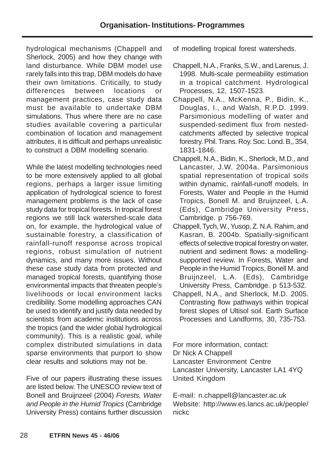hydrological mechanisms (Chappell and Sherlock, 2005) and how they change with land disturbance. While DBM model use rarely falls into this trap, DBM models do have their own limitations. Critically, to study differences between locations or management practices, case study data must be available to undertake DBM simulations. Thus where there are no case studies available covering a particular combination of location and management attributes, it is difficult and perhaps unrealistic to construct a DBM modelling scenario.

While the latest modelling technologies need to be more extensively applied to all global regions, perhaps a larger issue limiting application of hydrological science to forest management problems is the lack of case study data for tropical forests. In tropical forest regions we still lack watershed-scale data on, for example, the hydrological value of sustainable forestry, a classification of rainfall-runoff response across tropical regions, robust simulation of nutrient dynamics, and many more issues. Without these case study data from protected and managed tropical forests, quantifying those environmental impacts that threaten people's livelihoods or local environment lacks credibility. Some modelling approaches CAN be used to identify and justify data needed by scientists from academic institutions across the tropics (and the wider global hydrological community). This is a realistic goal, while complex distributed simulations in data sparse environments that purport to show clear results and solutions may not be.

Five of our papers illustrating these issues are listed below. The UNESCO review text of Bonell and Bruijnzeel (2004) Forests, Water and People in the Humid Tropics (Cambridge University Press) contains further discussion

of modelling tropical forest watersheds.

- Chappell, N.A., Franks, S.W., and Larenus, J. 1998. Multi-scale permeability estimation in a tropical catchment. Hydrological Processes, 12, 1507-1523.
- Chappell, N.A., McKenna, P., Bidin, K., Douglas, I., and Walsh, R.P.D. 1999. Parsimonious modelling of water and suspended-sediment flux from nestedcatchments affected by selective tropical forestry. Phil. Trans. Roy. Soc. Lond. B,, 354, 1831-1846.
- Chappell, N.A., Bidin, K., Sherlock, M.D., and Lancaster, J.W. 2004a. Parsimonious spatial representation of tropical soils within dynamic, rainfall-runoff models. In Forests, Water and People in the Humid Tropics, Bonell M. and Bruijnzeel, L.A. (Eds), Cambridge University Press, Cambridge. p 756-769.
- Chappell, Tych, W., Yusop, Z. N.A. Rahim, and Kasran, B. 2004b. Spatially-significant effects of selective tropical forestry on water, nutrient and sediment flows: a modellingsupported review. In Forests, Water and People in the Humid Tropics, Bonell M. and Bruijnzeel, L.A. (Eds), Cambridge University Press, Cambridge. p 513-532.
- Chappell, N.A., and Sherlock, M.D. 2005. Contrasting flow pathways within tropical forest slopes of Ultisol soil. Earth Surface Processes and Landforms, 30, 735-753.

For more information, contact: Dr Nick A Chappell Lancaster Environment Centre Lancaster University, Lancaster LA1 4YQ United Kingdom

E-mail: n.chappell@lancaster.ac.uk Website: http://www.es.lancs.ac.uk/people/ nickc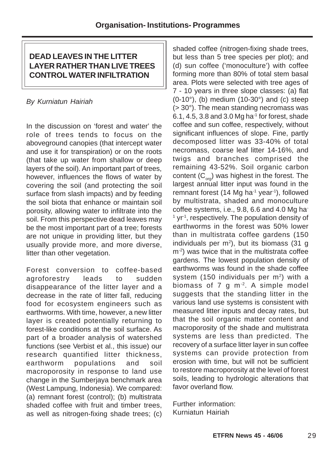# **DEAD LEAVES IN THE LITTER LAYER RATHER THAN LIVE TREES CONTROL WATER INFILTRATION**

# By Kurniatun Hairiah

In the discussion on 'forest and water' the role of trees tends to focus on the aboveground canopies (that intercept water and use it for transpiration) or on the roots (that take up water from shallow or deep layers of the soil). An important part of trees, however, influences the flows of water by covering the soil (and protecting the soil surface from slash impacts) and by feeding the soil biota that enhance or maintain soil porosity, allowing water to infiltrate into the soil. From this perspective dead leaves may be the most important part of a tree; forests are not unique in providing litter, but they usually provide more, and more diverse, litter than other vegetation.

Forest conversion to coffee-based agroforestry leads to sudden disappearance of the litter layer and a decrease in the rate of litter fall, reducing food for ecosystem engineers such as earthworms. With time, however, a new litter layer is created potentially returning to forest-like conditions at the soil surface. As part of a broader analysis of watershed functions (see Verbist et al., this issue) our research quantified litter thickness, earthworm populations and soil macroporosity in response to land use change in the Sumberjaya benchmark area (West Lampung, Indonesia). We compared: (a) remnant forest (control); (b) multistrata shaded coffee with fruit and timber trees, as well as nitrogen-fixing shade trees; (c)

shaded coffee (nitrogen-fixing shade trees, but less than 5 tree species per plot); and (d) sun coffee ('monoculture') with coffee forming more than 80% of total stem basal area. Plots were selected with tree ages of 7 - 10 years in three slope classes: (a) flat  $(0-10^\circ)$ , (b) medium  $(10-30^\circ)$  and  $(c)$  steep (> 30°). The mean standing necromass was  $6.1, 4.5, 3.8$  and  $3.0$  Mg ha<sup>-1</sup> for forest, shade coffee and sun coffee, respectively, without significant influences of slope. Fine, partly decomposed litter was 33-40% of total necromass, coarse leaf litter 14-16%, and twigs and branches comprised the remaining 43-52%. Soil organic carbon content  $(C_{\text{occ}})$  was highest in the forest. The largest annual litter input was found in the remnant forest (14 Mg ha $^{-1}$  year $^{-1}$ ), followed by multistrata, shaded and monoculture coffee systems, i.e., 9.8, 6.6 and 4.0 Mg ha-<sup>1</sup> yr<sup>-1</sup>, respectively. The population density of earthworms in the forest was 50% lower than in multistrata coffee gardens (150 individuals per  $m^2$ ), but its biomass (31 g  $m<sup>-2</sup>$ ) was twice that in the multistrata coffee gardens. The lowest population density of earthworms was found in the shade coffee system (150 individuals per m<sup>2</sup>) with a biomass of  $7 \text{ g m}^2$ . A simple model suggests that the standing litter in the various land use systems is consistent with measured litter inputs and decay rates, but that the soil organic matter content and macroporosity of the shade and multistrata systems are less than predicted. The recovery of a surface litter layer in sun coffee systems can provide protection from erosion with time, but will not be sufficient to restore macroporosity at the level of forest soils, leading to hydrologic alterations that favor overland flow.

Further information: Kurniatun Hairiah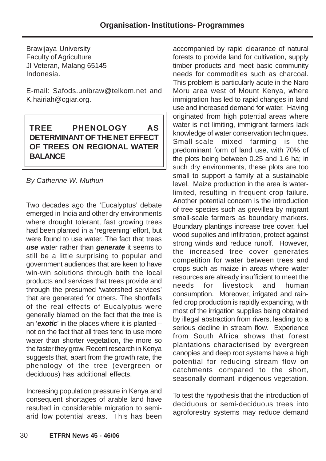Brawijaya University Faculty of Agriculture Jl Veteran, Malang 65145 Indonesia.

E-mail: Safods.unibraw@telkom.net and K.hairiah@cgiar.org.

# **TREE PHENOLOGY AS DETERMINANT OF THE NET EFFECT OF TREES ON REGIONAL WATER BALANCE**

By Catherine W. Muthuri

Two decades ago the 'Eucalyptus' debate emerged in India and other dry environments where drought tolerant, fast growing trees had been planted in a 'regreening' effort, but were found to use water. The fact that trees **use** water rather than **generate** it seems to still be a little surprising to popular and government audiences that are keen to have win-win solutions through both the local products and services that trees provide and through the presumed 'watershed services' that are generated for others. The shortfalls of the real effects of Eucalyptus were generally blamed on the fact that the tree is an '**exotic**' in the places where it is planted – not on the fact that all trees tend to use more water than shorter vegetation, the more so the faster they grow. Recent research in Kenya suggests that, apart from the growth rate, the phenology of the tree (evergreen or deciduous) has additional effects.

Increasing population pressure in Kenya and consequent shortages of arable land have resulted in considerable migration to semiarid low potential areas. This has been

accompanied by rapid clearance of natural forests to provide land for cultivation, supply timber products and meet basic community needs for commodities such as charcoal. This problem is particularly acute in the Naro Moru area west of Mount Kenya, where immigration has led to rapid changes in land use and increased demand for water. Having originated from high potential areas where water is not limiting, immigrant farmers lack knowledge of water conservation techniques. Small-scale mixed farming is the predominant form of land use, with 70% of the plots being between 0.25 and 1.6 ha; in such dry environments, these plots are too small to support a family at a sustainable level. Maize production in the area is waterlimited, resulting in frequent crop failure. Another potential concern is the introduction of tree species such as grevillea by migrant small-scale farmers as boundary markers. Boundary plantings increase tree cover, fuel wood supplies and infiltration, protect against strong winds and reduce runoff. However, the increased tree cover generates competition for water between trees and crops such as maize in areas where water resources are already insufficient to meet the needs for livestock and human consumption. Moreover, irrigated and rainfed crop production is rapidly expanding, with most of the irrigation supplies being obtained by illegal abstraction from rivers, leading to a serious decline in stream flow. Experience from South Africa shows that forest plantations characterised by evergreen canopies and deep root systems have a high potential for reducing stream flow on catchments compared to the short, seasonally dormant indigenous vegetation.

To test the hypothesis that the introduction of deciduous or semi-deciduous trees into agroforestry systems may reduce demand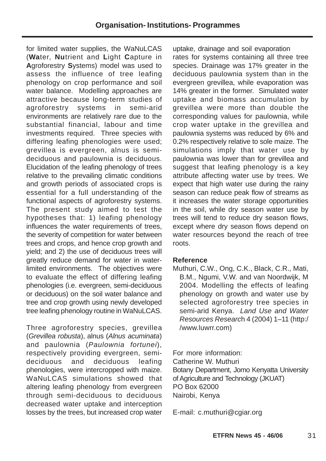for limited water supplies, the WaNuLCAS (**Wa**ter, **Nu**trient and **L**ight **C**apture in **A**groforestry **S**ystems) model was used to assess the influence of tree leafing phenology on crop performance and soil water balance. Modelling approaches are attractive because long-term studies of agroforestry systems in semi-arid environments are relatively rare due to the substantial financial, labour and time investments required. Three species with differing leafing phenologies were used; grevillea is evergreen, alnus is semideciduous and paulownia is deciduous. Elucidation of the leafing phenology of trees relative to the prevailing climatic conditions and growth periods of associated crops is essential for a full understanding of the functional aspects of agroforestry systems. The present study aimed to test the hypotheses that: 1) leafing phenology influences the water requirements of trees, the severity of competition for water between trees and crops, and hence crop growth and yield; and 2) the use of deciduous trees will greatly reduce demand for water in waterlimited environments. The objectives were to evaluate the effect of differing leafing phenologies (i.e. evergreen, semi-deciduous or deciduous) on the soil water balance and tree and crop growth using newly developed tree leafing phenology routine in WaNuLCAS.

Three agroforestry species, grevillea (Grevillea robusta), alnus (Alnus acuminata) and paulownia (Paulownia fortunei), respectively providing evergreen, semideciduous and deciduous leafing phenologies, were intercropped with maize. WaNuLCAS simulations showed that altering leafing phenology from evergreen through semi-deciduous to deciduous decreased water uptake and interception losses by the trees, but increased crop water

uptake, drainage and soil evaporation rates for systems containing all three tree species. Drainage was 17% greater in the deciduous paulownia system than in the evergreen grevillea, while evaporation was 14% greater in the former. Simulated water uptake and biomass accumulation by grevillea were more than double the corresponding values for paulownia, while crop water uptake in the grevillea and paulownia systems was reduced by 6% and 0.2% respectively relative to sole maize. The simulations imply that water use by paulownia was lower than for grevillea and suggest that leafing phenology is a key attribute affecting water use by trees. We expect that high water use during the rainy season can reduce peak flow of streams as it increases the water storage opportunities in the soil, while dry season water use by trees will tend to reduce dry season flows, except where dry season flows depend on water resources beyond the reach of tree roots.

#### **Reference**

Muthuri, C.W., Ong, C.K., Black, C.R., Mati, B.M., Ngumi, V.W. and van Noordwijk, M 2004. Modelling the effects of leafing phenology on growth and water use by selected agroforestry tree species in semi-arid Kenya. Land Use and Water Resources Research 4 (2004) 1–11 (http:/ /www.luwrr.com)

For more information: Catherine W. Muthuri Botany Department, Jomo Kenyatta University of Agriculture and Technology (JKUAT) PO Box 62000 Nairobi, Kenya

E-mail: c.muthuri@cgiar.org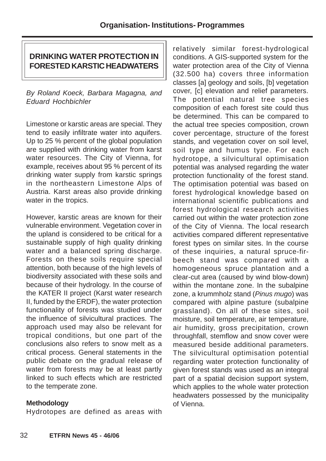# **DRINKING WATER PROTECTION IN FORESTED KARSTIC HEADWATERS**

By Roland Koeck, Barbara Magagna, and Eduard Hochbichler

Limestone or karstic areas are special. They tend to easily infiltrate water into aquifers. Up to 25 % percent of the global population are supplied with drinking water from karst water resources. The City of Vienna, for example, receives about 95 % percent of its drinking water supply from karstic springs in the northeastern Limestone Alps of Austria. Karst areas also provide drinking water in the tropics.

However, karstic areas are known for their vulnerable environment. Vegetation cover in the upland is considered to be critical for a sustainable supply of high quality drinking water and a balanced spring discharge. Forests on these soils require special attention, both because of the high levels of biodiversity associated with these soils and because of their hydrology. In the course of the KATER II project (Karst water research II, funded by the ERDF), the water protection functionality of forests was studied under the influence of silvicultural practices. The approach used may also be relevant for tropical conditions, but one part of the conclusions also refers to snow melt as a critical process. General statements in the public debate on the gradual release of water from forests may be at least partly linked to such effects which are restricted to the temperate zone.

## **Methodology**

Hydrotopes are defined as areas with

relatively similar forest-hydrological conditions. A GIS-supported system for the water protection area of the City of Vienna (32.500 ha) covers three information classes [a] geology and soils, [b] vegetation cover, [c] elevation and relief parameters. The potential natural tree species composition of each forest site could thus be determined. This can be compared to the actual tree species composition, crown cover percentage, structure of the forest stands, and vegetation cover on soil level, soil type and humus type. For each hydrotope, a silvicultural optimisation potential was analysed regarding the water protection functionality of the forest stand. The optimisation potential was based on forest hydrological knowledge based on international scientific publications and forest hydrological research activities carried out within the water protection zone of the City of Vienna. The local research activities compared different representative forest types on similar sites. In the course of these inquiries, a natural spruce-firbeech stand was compared with a homogeneous spruce plantation and a clear-cut area (caused by wind blow-down) within the montane zone. In the subalpine zone, a krummholz stand (Pinus mugo) was compared with alpine pasture (subalpine grassland). On all of these sites, soil moisture, soil temperature, air temperature, air humidity, gross precipitation, crown throughfall, stemflow and snow cover were measured beside additional parameters. The silvicultural optimisation potential regarding water protection functionality of given forest stands was used as an integral part of a spatial decision support system, which applies to the whole water protection headwaters possessed by the municipality of Vienna.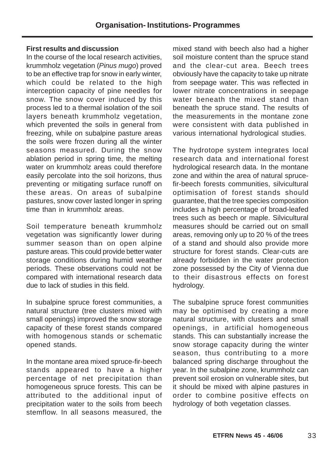#### **First results and discussion**

In the course of the local research activities, krummholz vegetation (Pinus mugo) proved to be an effective trap for snow in early winter, which could be related to the high interception capacity of pine needles for snow. The snow cover induced by this process led to a thermal isolation of the soil layers beneath krummholz vegetation, which prevented the soils in general from freezing, while on subalpine pasture areas the soils were frozen during all the winter seasons measured. During the snow ablation period in spring time, the melting water on krummholz areas could therefore easily percolate into the soil horizons, thus preventing or mitigating surface runoff on these areas. On areas of subalpine pastures, snow cover lasted longer in spring time than in krummholz areas.

Soil temperature beneath krummholz vegetation was significantly lower during summer season than on open alpine pasture areas. This could provide better water storage conditions during humid weather periods. These observations could not be compared with international research data due to lack of studies in this field.

In subalpine spruce forest communities, a natural structure (tree clusters mixed with small openings) improved the snow storage capacity of these forest stands compared with homogenous stands or schematic opened stands.

In the montane area mixed spruce-fir-beech stands appeared to have a higher percentage of net precipitation than homogeneous spruce forests. This can be attributed to the additional input of precipitation water to the soils from beech stemflow. In all seasons measured, the mixed stand with beech also had a higher soil moisture content than the spruce stand and the clear-cut area. Beech trees obviously have the capacity to take up nitrate from seepage water. This was reflected in lower nitrate concentrations in seepage water beneath the mixed stand than beneath the spruce stand. The results of the measurements in the montane zone were consistent with data published in various international hydrological studies.

The hydrotope system integrates local research data and international forest hydrological research data. In the montane zone and within the area of natural sprucefir-beech forests communities, silvicultural optimisation of forest stands should guarantee, that the tree species composition includes a high percentage of broad-leafed trees such as beech or maple. Silvicultural measures should be carried out on small areas, removing only up to 20 % of the trees of a stand and should also provide more structure for forest stands. Clear-cuts are already forbidden in the water protection zone possessed by the City of Vienna due to their disastrous effects on forest hydrology.

The subalpine spruce forest communities may be optimised by creating a more natural structure, with clusters and small openings, in artificial homogeneous stands. This can substantially increase the snow storage capacity during the winter season, thus contributing to a more balanced spring discharge throughout the year. In the subalpine zone, krummholz can prevent soil erosion on vulnerable sites, but it should be mixed with alpine pastures in order to combine positive effects on hydrology of both vegetation classes.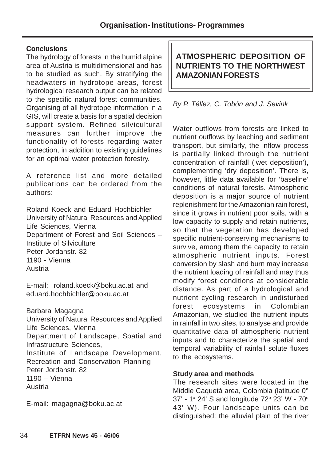## **Conclusions**

The hydrology of forests in the humid alpine area of Austria is multidimensional and has to be studied as such. By stratifying the headwaters in hydrotope areas, forest hydrological research output can be related to the specific natural forest communities. Organising of all hydrotope information in a GIS, will create a basis for a spatial decision support system. Refined silvicultural measures can further improve the functionality of forests regarding water protection, in addition to existing guidelines for an optimal water protection forestry.

A reference list and more detailed publications can be ordered from the authors:

Roland Koeck and Eduard Hochbichler University of Natural Resources and Applied Life Sciences, Vienna Department of Forest and Soil Sciences – Institute of Silviculture Peter Jordanstr. 82 1190 - Vienna Austria

E-mail: roland.koeck@boku.ac.at and eduard.hochbichler@boku.ac.at

Barbara Magagna

University of Natural Resources and Applied Life Sciences, Vienna Department of Landscape, Spatial and Infrastructure Sciences, Institute of Landscape Development, Recreation and Conservation Planning Peter Jordanstr. 82 1190 – Vienna Austria

E-mail: magagna@boku.ac.at

# **ATMOSPHERIC DEPOSITION OF NUTRIENTS TO THE NORTHWEST AMAZONIAN FORESTS**

By P. Téllez, C. Tobón and J. Sevink

Water outflows from forests are linked to nutrient outflows by leaching and sediment transport, but similarly, the inflow process is partially linked through the nutrient concentration of rainfall ('wet deposition'), complementing 'dry deposition'. There is, however, little data available for 'baseline' conditions of natural forests. Atmospheric deposition is a major source of nutrient replenishment for the Amazonian rain forest, since it grows in nutrient poor soils, with a low capacity to supply and retain nutrients, so that the vegetation has developed specific nutrient-conserving mechanisms to survive, among them the capacity to retain atmospheric nutrient inputs. Forest conversion by slash and burn may increase the nutrient loading of rainfall and may thus modify forest conditions at considerable distance. As part of a hydrological and nutrient cycling research in undisturbed forest ecosystems in Colombian Amazonian, we studied the nutrient inputs in rainfall in two sites, to analyse and provide quantitative data of atmospheric nutrient inputs and to characterize the spatial and temporal variability of rainfall solute fluxes to the ecosystems.

# **Study area and methods**

The research sites were located in the Middle Caquetá area, Colombia (latitude 0° 37' - 1º 24' S and longitude 72º 23' W - 70º 43' W). Four landscape units can be distinguished: the alluvial plain of the river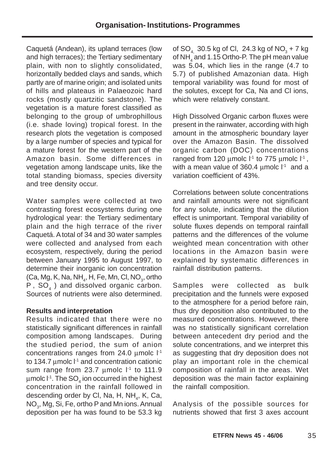Caquetá (Andean), its upland terraces (low and high terraces); the Tertiary sedimentary plain, with non to slightly consolidated, horizontally bedded clays and sands, which partly are of marine origin; and isolated units of hills and plateaus in Palaeozoic hard rocks (mostly quartzitic sandstone). The vegetation is a mature forest classified as belonging to the group of umbrophillous (i.e. shade loving) tropical forest. In the research plots the vegetation is composed by a large number of species and typical for a mature forest for the western part of the Amazon basin. Some differences in vegetation among landscape units, like the total standing biomass, species diversity and tree density occur.

Water samples were collected at two contrasting forest ecosystems during one hydrological year: the Tertiary sedimentary plain and the high terrace of the river Caquetá. A total of 34 and 30 water samples were collected and analysed from each ecosystem, respectively, during the period between January 1995 to August 1997, to determine their inorganic ion concentration (Ca, Mg, K, Na, NH $_{\textrm{\tiny{4}}}$ , H, Fe, Mn, Cl, NO $_{\textrm{\tiny{3}}}$ , ortho  $P$ ,  $SO<sub>4</sub>$ ) and dissolved organic carbon. Sources of nutrients were also determined.

#### **Results and interpretation**

Results indicated that there were no statistically significant differences in rainfall composition among landscapes. During the studied period, the sum of anion concentrations ranges from 24.0  $\mu$ molc  $1<sup>-1</sup>$ to 134.7  $\mu$ molc  $l<sup>-1</sup>$  and concentration cationic sum range from 23.7  $\mu$ molc  $l<sup>-1</sup>$  to 111.9  $\mu$ molc l<sup>-1</sup>. The SO<sub>4</sub> ion occurred in the highest concentration in the rainfall followed in descending order by Cl, Na, H, NH<sub>4</sub>, K, Ca, NO<sub>3</sub>, Mg, Si, Fe, ortho P and Mn ions. Annual deposition per ha was found to be 53.3 kg

of SO<sub>4</sub> 30.5 kg of Cl, 24.3 kg of NO<sub>3</sub> + 7 kg of NH $_4^{\,}$  and 1.15 Ortho-P. The pH mean value was 5.04, which lies in the range (4.7 to 5.7) of published Amazonian data. High temporal variability was found for most of the solutes, except for Ca, Na and Cl ions, which were relatively constant.

High Dissolved Organic carbon fluxes were present in the rainwater, according with high amount in the atmospheric boundary layer over the Amazon Basin. The dissolved organic carbon (DOC) concentrations ranged from 120  $\mu$ molc  $l<sup>-1</sup>$  to 775  $\mu$ molc  $l<sup>-1</sup>$ , with a mean value of 360.4  $\mu$ molc  $l<sup>-1</sup>$  and a variation coefficient of 43%.

Correlations between solute concentrations and rainfall amounts were not significant for any solute, indicating that the dilution effect is unimportant. Temporal variability of solute fluxes depends on temporal rainfall patterns and the differences of the volume weighted mean concentration with other locations in the Amazon basin were explained by systematic differences in rainfall distribution patterns.

Samples were collected as bulk precipitation and the funnels were exposed to the atmosphere for a period before rain, thus dry deposition also contributed to the measured concentrations. However, there was no statistically significant correlation between antecedent dry period and the solute concentrations, and we interpret this as suggesting that dry deposition does not play an important role in the chemical composition of rainfall in the areas. Wet deposition was the main factor explaining the rainfall composition.

Analysis of the possible sources for nutrients showed that first 3 axes account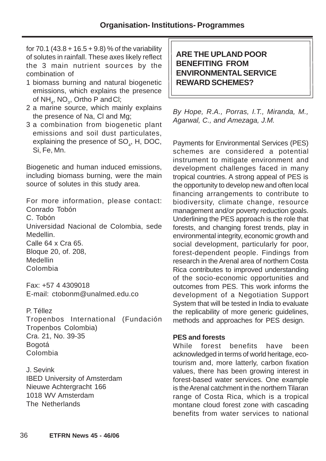for 70.1 (43.8 + 16.5 + 9.8) % of the variability of solutes in rainfall. These axes likely reflect the 3 main nutrient sources by the combination of

- 1 biomass burning and natural biogenetic emissions, which explains the presence of  $NH<sub>4</sub>$ , NO<sub>3</sub>, Ortho P and Cl;
- 2 a marine source, which mainly explains the presence of Na, Cl and Mg;
- 3 a combination from biogenetic plant emissions and soil dust particulates, explaining the presence of  $\mathsf{SO}_{4}$ , H, DOC, Si, Fe, Mn.

Biogenetic and human induced emissions, including biomass burning, were the main source of solutes in this study area.

For more information, please contact: Conrado Tobón C. Tobón Universidad Nacional de Colombia, sede Medellin. Calle 64 x Cra 65. Bloque 20, of. 208,

**Medellin** 

Colombia

Fax: +57 4 4309018 E-mail: ctobonm@unalmed.edu.co

P. Téllez

Tropenbos International (Fundación Tropenbos Colombia) Cra. 21, No. 39-35 Bogotá Colombia

J. Sevink IBED University of Amsterdam Nieuwe Achtergracht 166 1018 WV Amsterdam The Netherlands

# **ARE THE UPLAND POOR BENEFITING FROM ENVIRONMENTAL SERVICE REWARD SCHEMES?**

By Hope, R.A., Porras, I.T., Miranda, M., Agarwal, C., and Amezaga, J.M.

Payments for Environmental Services (PES) schemes are considered a potential instrument to mitigate environment and development challenges faced in many tropical countries. A strong appeal of PES is the opportunity to develop new and often local financing arrangements to contribute to biodiversity, climate change, resource management and/or poverty reduction goals. Underlining the PES approach is the role that forests, and changing forest trends, play in environmental integrity, economic growth and social development, particularly for poor, forest-dependent people. Findings from research in the Arenal area of northern Costa Rica contributes to improved understanding of the socio-economic opportunities and outcomes from PES. This work informs the development of a Negotiation Support System that will be tested in India to evaluate the replicability of more generic guidelines, methods and approaches for PES design.

# **PES and forests**

While forest benefits have been acknowledged in terms of world heritage, ecotourism and, more latterly, carbon fixation values, there has been growing interest in forest-based water services. One example is the Arenal catchment in the northern Tilaran range of Costa Rica, which is a tropical montane cloud forest zone with cascading benefits from water services to national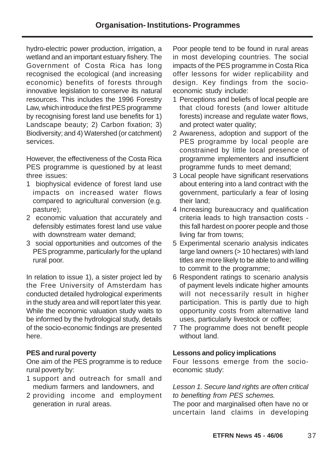hydro-electric power production, irrigation, a wetland and an important estuary fishery. The Government of Costa Rica has long recognised the ecological (and increasing economic) benefits of forests through innovative legislation to conserve its natural resources. This includes the 1996 Forestry Law, which introduce the first PES programme by recognising forest land use benefits for 1) Landscape beauty; 2) Carbon fixation; 3) Biodiversity; and 4) Watershed (or catchment) services.

However, the effectiveness of the Costa Rica PES programme is questioned by at least three issues:

- 1 biophysical evidence of forest land use impacts on increased water flows compared to agricultural conversion (e.g. pasture);
- 2 economic valuation that accurately and defensibly estimates forest land use value with downstream water demand;
- 3 social opportunities and outcomes of the PES programme, particularly for the upland rural poor.

In relation to issue 1), a sister project led by the Free University of Amsterdam has conducted detailed hydrological experiments in the study area and will report later this year. While the economic valuation study waits to be informed by the hydrological study, details of the socio-economic findings are presented here.

#### **PES and rural poverty**

One aim of the PES programme is to reduce rural poverty by:

- 1 support and outreach for small and medium farmers and landowners, and
- 2 providing income and employment generation in rural areas.

Poor people tend to be found in rural areas in most developing countries. The social impacts of the PES programme in Costa Rica offer lessons for wider replicability and design. Key findings from the socioeconomic study include:

- 1 Perceptions and beliefs of local people are that cloud forests (and lower altitude forests) increase and regulate water flows, and protect water quality;
- 2 Awareness, adoption and support of the PES programme by local people are constrained by little local presence of programme implementers and insufficient programme funds to meet demand;
- 3 Local people have significant reservations about entering into a land contract with the government, particularly a fear of losing their land;
- 4 Increasing bureaucracy and qualification criteria leads to high transaction costs this fall hardest on poorer people and those living far from towns;
- 5 Experimental scenario analysis indicates large land owners (> 10 hectares) with land titles are more likely to be able to and willing to commit to the programme;
- 6 Respondent ratings to scenario analysis of payment levels indicate higher amounts will not necessarily result in higher participation. This is partly due to high opportunity costs from alternative land uses, particularly livestock or coffee;
- 7 The programme does not benefit people without land.

#### **Lessons and policy implications**

Four lessons emerge from the socioeconomic study:

#### Lesson 1. Secure land rights are often critical to benefiting from PES schemes.

The poor and marginalised often have no or uncertain land claims in developing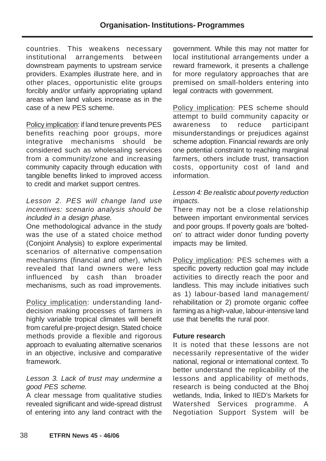countries. This weakens necessary institutional arrangements between downstream payments to upstream service providers. Examples illustrate here, and in other places, opportunistic elite groups forcibly and/or unfairly appropriating upland areas when land values increase as in the case of a new PES scheme.

Policy implication: if land tenure prevents PES benefits reaching poor groups, more integrative mechanisms should be considered such as wholesaling services from a community/zone and increasing community capacity through education with tangible benefits linked to improved access to credit and market support centres.

### Lesson 2. PES will change land use incentives: scenario analysis should be included in a design phase.

One methodological advance in the study was the use of a stated choice method (Conjoint Analysis) to explore experimental scenarios of alternative compensation mechanisms (financial and other), which revealed that land owners were less influenced by cash than broader mechanisms, such as road improvements.

Policy implication: understanding landdecision making processes of farmers in highly variable tropical climates will benefit from careful pre-project design. Stated choice methods provide a flexible and rigorous approach to evaluating alternative scenarios in an objective, inclusive and comparative framework.

### Lesson 3. Lack of trust may undermine a good PES scheme.

A clear message from qualitative studies revealed significant and wide-spread distrust of entering into any land contract with the

government. While this may not matter for local institutional arrangements under a reward framework, it presents a challenge for more regulatory approaches that are premised on small-holders entering into legal contracts with government.

Policy implication: PES scheme should attempt to build community capacity or awareness to reduce participant misunderstandings or prejudices against scheme adoption. Financial rewards are only one potential constraint to reaching marginal farmers, others include trust, transaction costs, opportunity cost of land and information.

#### Lesson 4: Be realistic about poverty reduction impacts.

There may not be a close relationship between important environmental services and poor groups. If poverty goals are 'boltedon' to attract wider donor funding poverty impacts may be limited.

Policy implication: PES schemes with a specific poverty reduction goal may include activities to directly reach the poor and landless. This may include initiatives such as 1) labour-based land management/ rehabilitation or 2) promote organic coffee farming as a high-value, labour-intensive land use that benefits the rural poor.

#### **Future research**

It is noted that these lessons are not necessarily representative of the wider national, regional or international context. To better understand the replicability of the lessons and applicability of methods, research is being conducted at the Bhoj wetlands, India, linked to IIED's Markets for Watershed Services programme. A Negotiation Support System will be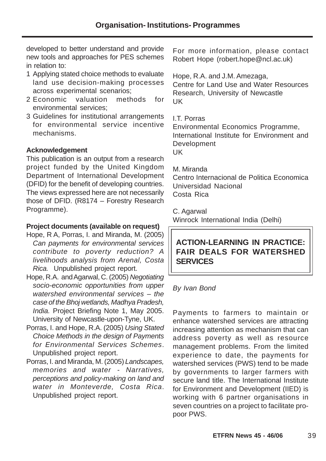developed to better understand and provide new tools and approaches for PES schemes in relation to:

- 1 Applying stated choice methods to evaluate land use decision-making processes across experimental scenarios;
- 2 Economic valuation methods for environmental services;
- 3 Guidelines for institutional arrangements for environmental service incentive mechanisms.

### **Acknowledgement**

This publication is an output from a research project funded by the United Kingdom Department of International Development (DFID) for the benefit of developing countries. The views expressed here are not necessarily those of DFID. (R8174 – Forestry Research Programme).

#### **Project documents (available on request)**

- Hope, R A, Porras, I. and Miranda, M. (2005) Can payments for environmental services contribute to poverty reduction? A livelihoods analysis from Arenal, Costa Rica. Unpublished project report.
- Hope, R.A. and Agarwal, C. (2005) Negotiating socio-economic opportunities from upper watershed environmental services – the case of the Bhoj wetlands, Madhya Pradesh, India. Project Briefing Note 1, May 2005. University of Newcastle-upon-Tyne, UK.
- Porras, I. and Hope, R.A. (2005) Using Stated Choice Methods in the design of Payments for Environmental Services Schemes. Unpublished project report.
- Porras, I. and Miranda, M. (2005) Landscapes, memories and water - Narratives, perceptions and policy-making on land and water in Monteverde, Costa Rica. Unpublished project report.

For more information, please contact Robert Hope (robert.hope@ncl.ac.uk)

Hope, R.A. and J.M. Amezaga,

Centre for Land Use and Water Resources Research, University of Newcastle UK

I.T. Porras

Environmental Economics Programme, International Institute for Environment and Development UK

M. Miranda

Centro Internacional de Politica Economica Universidad Nacional Costa Rica

C. Agarwal

Winrock International India (Delhi)

# **ACTION-LEARNING IN PRACTICE: FAIR DEALS FOR WATERSHED SERVICES**

# By Ivan Bond

Payments to farmers to maintain or enhance watershed services are attracting increasing attention as mechanism that can address poverty as well as resource management problems. From the limited experience to date, the payments for watershed services (PWS) tend to be made by governments to larger farmers with secure land title. The International Institute for Environment and Development (IIED) is working with 6 partner organisations in seven countries on a project to facilitate propoor PWS.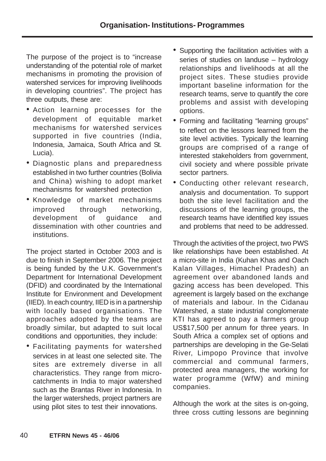The purpose of the project is to "increase understanding of the potential role of market mechanisms in promoting the provision of watershed services for improving livelihoods in developing countries". The project has three outputs, these are:

- Action learning processes for the development of equitable market mechanisms for watershed services supported in five countries (India, Indonesia, Jamaica, South Africa and St. Lucia).
- Diagnostic plans and preparedness established in two further countries (Bolivia and China) wishing to adopt market mechanisms for watershed protection
- Knowledge of market mechanisms improved through networking, development of guidance and dissemination with other countries and institutions.

The project started in October 2003 and is due to finish in September 2006. The project is being funded by the U.K. Government's Department for International Development (DFID) and coordinated by the International Institute for Environment and Development (IIED). In each country, IIED is in a partnership with locally based organisations. The approaches adopted by the teams are broadly similar, but adapted to suit local conditions and opportunities, they include:

• Facilitating payments for watershed services in at least one selected site. The sites are extremely diverse in all characteristics. They range from microcatchments in India to major watershed such as the Brantas River in Indonesia. In the larger watersheds, project partners are using pilot sites to test their innovations.

- Supporting the facilitation activities with a series of studies on landuse – hydrology relationships and livelihoods at all the project sites. These studies provide important baseline information for the research teams, serve to quantify the core problems and assist with developing options.
- Forming and facilitating "learning groups" to reflect on the lessons learned from the site level activities. Typically the learning groups are comprised of a range of interested stakeholders from government, civil society and where possible private sector partners.
- Conducting other relevant research, analysis and documentation. To support both the site level facilitation and the discussions of the learning groups, the research teams have identified key issues and problems that need to be addressed.

Through the activities of the project, two PWS like relationships have been established. At a micro-site in India (Kuhan Khas and Oach Kalan Villages, Himachel Pradesh) an agreement over abandoned lands and gazing access has been developed. This agreement is largely based on the exchange of materials and labour. In the Cidanau Watershed, a state industrial conglomerate KTI has agreed to pay a farmers group US\$17,500 per annum for three years. In South Africa a complex set of options and partnerships are developing in the Ge-Selati River, Limpopo Province that involve commercial and communal farmers, protected area managers, the working for water programme (WfW) and mining companies.

Although the work at the sites is on-going, three cross cutting lessons are beginning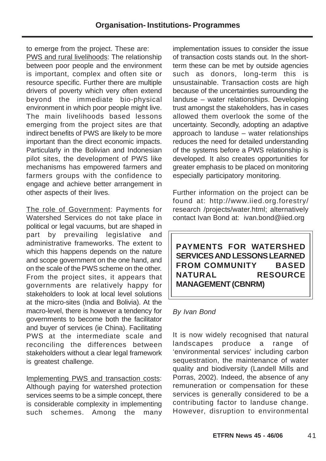to emerge from the project. These are: PWS and rural livelihoods: The relationship between poor people and the environment is important, complex and often site or resource specific. Further there are multiple drivers of poverty which very often extend beyond the immediate bio-physical environment in which poor people might live. The main livelihoods based lessons emerging from the project sites are that indirect benefits of PWS are likely to be more important than the direct economic impacts. Particularly in the Bolivian and Indonesian pilot sites, the development of PWS like mechanisms has empowered farmers and farmers groups with the confidence to engage and achieve better arrangement in other aspects of their lives.

The role of Government: Payments for Watershed Services do not take place in political or legal vacuums, but are shaped in part by prevailing legislative and administrative frameworks. The extent to which this happens depends on the nature and scope government on the one hand, and on the scale of the PWS scheme on the other. From the project sites, it appears that governments are relatively happy for stakeholders to look at local level solutions at the micro-sites (India and Bolivia). At the macro-level, there is however a tendency for governments to become both the facilitator and buyer of services (ie China). Facilitating PWS at the intermediate scale and reconciling the differences between stakeholders without a clear legal framework is greatest challenge.

Implementing PWS and transaction costs: Although paying for watershed protection services seems to be a simple concept, there is considerable complexity in implementing such schemes. Among the many implementation issues to consider the issue of transaction costs stands out. In the shortterm these can be met by outside agencies such as donors, long-term this is unsustainable. Transaction costs are high because of the uncertainties surrounding the landuse – water relationships. Developing trust amongst the stakeholders, has in cases allowed them overlook the some of the uncertainty. Secondly, adopting an adaptive approach to landuse – water relationships reduces the need for detailed understanding of the systems before a PWS relationship is developed. It also creates opportunities for greater emphasis to be placed on monitoring especially participatory monitoring.

Further information on the project can be found at: http://www.iied.org.forestry/ research /projects/water.html; alternatively contact Ivan Bond at: ivan.bond@iied.org

**PAYMENTS FOR WATERSHED SERVICES AND LESSONS LEARNED FROM COMMUNITY BASED NATURAL RESOURCE MANAGEMENT (CBNRM)**

# By Ivan Bond

It is now widely recognised that natural landscapes produce a range of 'environmental services' including carbon sequestration, the maintenance of water quality and biodiversity (Landell Mills and Porras, 2002). Indeed, the absence of any remuneration or compensation for these services is generally considered to be a contributing factor to landuse change. However, disruption to environmental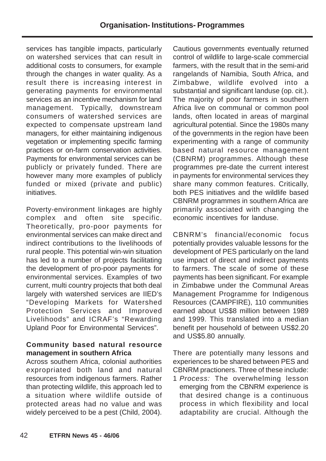services has tangible impacts, particularly on watershed services that can result in additional costs to consumers, for example through the changes in water quality. As a result there is increasing interest in generating payments for environmental services as an incentive mechanism for land management. Typically, downstream consumers of watershed services are expected to compensate upstream land managers, for either maintaining indigenous vegetation or implementing specific farming practices or on-farm conservation activities. Payments for environmental services can be publicly or privately funded. There are however many more examples of publicly funded or mixed (private and public) initiatives.

Poverty-environment linkages are highly complex and often site specific. Theoretically, pro-poor payments for environmental services can make direct and indirect contributions to the livelihoods of rural people. This potential win-win situation has led to a number of projects facilitating the development of pro-poor payments for environmental services. Examples of two current, multi country projects that both deal largely with watershed services are IIED's "Developing Markets for Watershed Protection Services and Improved Livelihoods" and ICRAF's "Rewarding Upland Poor for Environmental Services".

#### **Community based natural resource management in southern Africa**

Across southern Africa, colonial authorities expropriated both land and natural resources from indigenous farmers. Rather than protecting wildlife, this approach led to a situation where wildlife outside of protected areas had no value and was widely perceived to be a pest (Child, 2004).

Cautious governments eventually returned control of wildlife to large-scale commercial farmers, with the result that in the semi-arid rangelands of Namibia, South Africa, and Zimbabwe, wildlife evolved into a substantial and significant landuse (op. cit.). The majority of poor farmers in southern Africa live on communal or common pool lands, often located in areas of marginal agricultural potential. Since the 1980s many of the governments in the region have been experimenting with a range of community based natural resource management (CBNRM) programmes. Although these programmes pre-date the current interest in payments for environmental services they share many common features. Critically, both PES initiatives and the wildlife based CBNRM programmes in southern Africa are primarily associated with changing the economic incentives for landuse.

CBNRM's financial/economic focus potentially provides valuable lessons for the development of PES particularly on the land use impact of direct and indirect payments to farmers. The scale of some of these payments has been significant. For example in Zimbabwe under the Communal Areas Management Programme for Indigenous Resources (CAMPFIRE), 110 communities earned about US\$8 million between 1989 and 1999. This translated into a median benefit per household of between US\$2.20 and US\$5.80 annually.

There are potentially many lessons and experiences to be shared between PES and CBNRM practioners. Three of these include:

1 Process: The overwhelming lesson emerging from the CBNRM experience is that desired change is a continuous process in which flexibility and local adaptability are crucial. Although the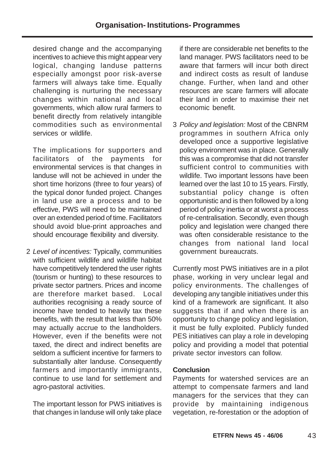desired change and the accompanying incentives to achieve this might appear very logical, changing landuse patterns especially amongst poor risk-averse farmers will always take time. Equally challenging is nurturing the necessary changes within national and local governments, which allow rural farmers to benefit directly from relatively intangible commodities such as environmental services or wildlife.

The implications for supporters and facilitators of the payments for environmental services is that changes in landuse will not be achieved in under the short time horizons (three to four years) of the typical donor funded project. Changes in land use are a process and to be effective, PWS will need to be maintained over an extended period of time. Facilitators should avoid blue-print approaches and should encourage flexibility and diversity.

2 Level of incentives: Typically, communities with sufficient wildlife and wildlife habitat have competitively tendered the user rights (tourism or hunting) to these resources to private sector partners. Prices and income are therefore market based. Local authorities recognising a ready source of income have tended to heavily tax these benefits, with the result that less than 50% may actually accrue to the landholders. However, even if the benefits were not taxed, the direct and indirect benefits are seldom a sufficient incentive for farmers to substantially alter landuse. Consequently farmers and importantly immigrants, continue to use land for settlement and agro-pastoral activities.

The important lesson for PWS initiatives is that changes in landuse will only take place if there are considerable net benefits to the land manager. PWS facilitators need to be aware that farmers will incur both direct and indirect costs as result of landuse change. Further, when land and other resources are scare farmers will allocate their land in order to maximise their net economic benefit.

3 Policy and legislation: Most of the CBNRM programmes in southern Africa only developed once a supportive legislative policy environment was in place. Generally this was a compromise that did not transfer sufficient control to communities with wildlife. Two important lessons have been learned over the last 10 to 15 years. Firstly, substantial policy change is often opportunistic and is then followed by a long period of policy inertia or at worst a process of re-centralisation. Secondly, even though policy and legislation were changed there was often considerable resistance to the changes from national land local government bureaucrats.

Currently most PWS initiatives are in a pilot phase, working in very unclear legal and policy environments. The challenges of developing any tangible initiatives under this kind of a framework are significant. It also suggests that if and when there is an opportunity to change policy and legislation, it must be fully exploited. Publicly funded PES initiatives can play a role in developing policy and providing a model that potential private sector investors can follow.

# **Conclusion**

Payments for watershed services are an attempt to compensate farmers and land managers for the services that they can provide by maintaining indigenous vegetation, re-forestation or the adoption of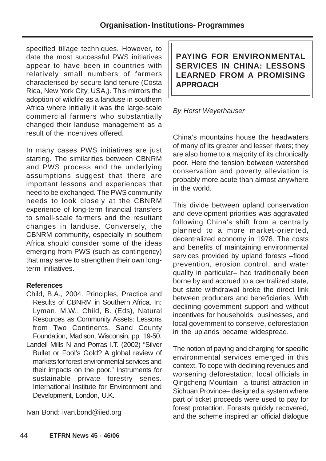specified tillage techniques. However, to date the most successful PWS initiatives appear to have been in countries with relatively small numbers of farmers characterised by secure land tenure (Costa Rica, New York City, USA,). This mirrors the adoption of wildlife as a landuse in southern Africa where initially it was the large-scale commercial farmers who substantially changed their landuse management as a result of the incentives offered.

In many cases PWS initiatives are just starting. The similarities between CBNRM and PWS process and the underlying assumptions suggest that there are important lessons and experiences that need to be exchanged. The PWS community needs to look closely at the CBNRM experience of long-term financial transfers to small-scale farmers and the resultant changes in landuse. Conversely, the CBNRM community, especially in southern Africa should consider some of the ideas emerging from PWS (such as contingency) that may serve to strengthen their own longterm initiatives.

# **References**

- Child, B.A., 2004. Principles, Practice and Results of CBNRM in Southern Africa. In: Lyman, M.W., Child, B. (Eds), Natural Resources as Community Assets: Lessons from Two Continents. Sand County Foundation, Madison, Wisconsin, pp. 19-50.
- Landell Mills N and Porras I.T. (2002) "Silver Bullet or Fool's Gold? A global review of markets for forest environmental services and their impacts on the poor." Instruments for sustainable private forestry series. International Institute for Environment and Development, London, U.K.

Ivan Bond: ivan.bond@iied.org

**PAYING FOR ENVIRONMENTAL SERVICES IN CHINA: LESSONS LEARNED FROM A PROMISING APPROACH**

# By Horst Weyerhauser

China's mountains house the headwaters of many of its greater and lesser rivers; they are also home to a majority of its chronically poor. Here the tension between watershed conservation and poverty alleviation is probably more acute than almost anywhere in the world.

This divide between upland conservation and development priorities was aggravated following China's shift from a centrally planned to a more market-oriented, decentralized economy in 1978. The costs and benefits of maintaining environmental services provided by upland forests –flood prevention, erosion control, and water quality in particular– had traditionally been borne by and accrued to a centralized state, but state withdrawal broke the direct link between producers and beneficiaries. With declining government support and without incentives for households, businesses, and local government to conserve, deforestation in the uplands became widespread.

The notion of paying and charging for specific environmental services emerged in this context. To cope with declining revenues and worsening deforestation, local officials in Qingcheng Mountain –a tourist attraction in Sichuan Province– designed a system where part of ticket proceeds were used to pay for forest protection. Forests quickly recovered, and the scheme inspired an official dialogue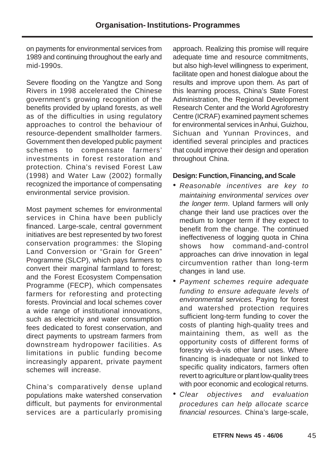on payments for environmental services from 1989 and continuing throughout the early and mid-1990s.

Severe flooding on the Yangtze and Song Rivers in 1998 accelerated the Chinese government's growing recognition of the benefits provided by upland forests, as well as of the difficulties in using regulatory approaches to control the behaviour of resource-dependent smallholder farmers. Government then developed public payment schemes to compensate farmers' investments in forest restoration and protection. China's revised Forest Law (1998) and Water Law (2002) formally recognized the importance of compensating environmental service provision.

Most payment schemes for environmental services in China have been publicly financed. Large-scale, central government initiatives are best represented by two forest conservation programmes: the Sloping Land Conversion or "Grain for Green" Programme (SLCP), which pays farmers to convert their marginal farmland to forest; and the Forest Ecosystem Compensation Programme (FECP), which compensates farmers for reforesting and protecting forests. Provincial and local schemes cover a wide range of institutional innovations, such as electricity and water consumption fees dedicated to forest conservation, and direct payments to upstream farmers from downstream hydropower facilities. As limitations in public funding become increasingly apparent, private payment schemes will increase.

China's comparatively dense upland populations make watershed conservation difficult, but payments for environmental services are a particularly promising

approach. Realizing this promise will require adequate time and resource commitments, but also high-level willingness to experiment, facilitate open and honest dialogue about the results and improve upon them. As part of this learning process, China's State Forest Administration, the Regional Development Research Center and the World Agroforestry Centre (ICRAF) examined payment schemes for environmental services in Anhui, Guizhou, Sichuan and Yunnan Provinces, and identified several principles and practices that could improve their design and operation throughout China.

### **Design: Function, Financing, and Scale**

- Reasonable incentives are key to maintaining environmental services over the longer term. Upland farmers will only change their land use practices over the medium to longer term if they expect to benefit from the change. The continued ineffectiveness of logging quota in China shows how command-and-control approaches can drive innovation in legal circumvention rather than long-term changes in land use.
- Payment schemes require adequate funding to ensure adequate levels of environmental services. Paying for forest and watershed protection requires sufficient long-term funding to cover the costs of planting high-quality trees and maintaining them, as well as the opportunity costs of different forms of forestry vis-à-vis other land uses. Where financing is inadequate or not linked to specific quality indicators, farmers often revert to agriculture or plant low-quality trees with poor economic and ecological returns.
- Clear objectives and evaluation procedures can help allocate scarce financial resources. China's large-scale,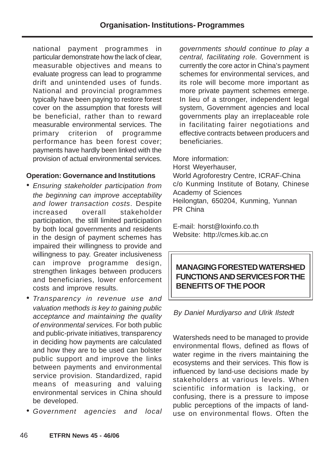national payment programmes in particular demonstrate how the lack of clear, measurable objectives and means to evaluate progress can lead to programme drift and unintended uses of funds. National and provincial programmes typically have been paying to restore forest cover on the assumption that forests will be beneficial, rather than to reward measurable environmental services. The primary criterion of programme performance has been forest cover; payments have hardly been linked with the provision of actual environmental services.

# **Operation: Governance and Institutions**

- Ensuring stakeholder participation from the beginning can improve acceptability and lower transaction costs. Despite increased overall stakeholder participation, the still limited participation by both local governments and residents in the design of payment schemes has impaired their willingness to provide and willingness to pay. Greater inclusiveness can improve programme design, strengthen linkages between producers and beneficiaries, lower enforcement costs and improve results.
- Transparency in revenue use and valuation methods is key to gaining public acceptance and maintaining the quality of environmental services. For both public and public-private initiatives, transparency in deciding how payments are calculated and how they are to be used can bolster public support and improve the links between payments and environmental service provision. Standardized, rapid means of measuring and valuing environmental services in China should be developed.
- Government agencies and local

governments should continue to play a central, facilitating role. Government is currently the core actor in China's payment schemes for environmental services, and its role will become more important as more private payment schemes emerge. In lieu of a stronger, independent legal system, Government agencies and local governments play an irreplaceable role in facilitating fairer negotiations and effective contracts between producers and beneficiaries.

More information:

Horst Weyerhauser, World Agroforestry Centre, ICRAF-China c/o Kunming Institute of Botany, Chinese Academy of Sciences Heilongtan, 650204, Kunming, Yunnan PR China

E-mail: horst@loxinfo.co.th Website: http://cmes.kib.ac.cn

# **MANAGING FORESTED WATERSHED FUNCTIONS AND SERVICES FOR THE BENEFITS OF THE POOR**

By Daniel Murdiyarso and Ulrik Ilstedt

Watersheds need to be managed to provide environmental flows, defined as flows of water regime in the rivers maintaining the ecosystems and their services. This flow is influenced by land-use decisions made by stakeholders at various levels. When scientific information is lacking, or confusing, there is a pressure to impose public perceptions of the impacts of landuse on environmental flows. Often the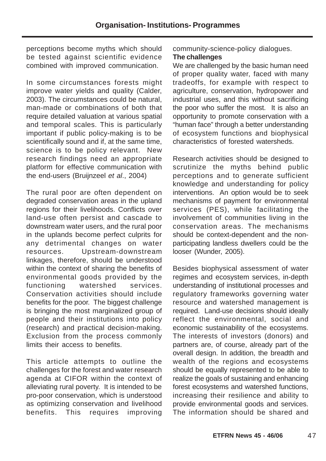perceptions become myths which should be tested against scientific evidence combined with improved communication.

In some circumstances forests might improve water yields and quality (Calder, 2003). The circumstances could be natural, man-made or combinations of both that require detailed valuation at various spatial and temporal scales. This is particularly important if public policy-making is to be scientifically sound and if, at the same time, science is to be policy relevant. New research findings need an appropriate platform for effective communication with the end-users (Bruijnzeel et al., 2004)

The rural poor are often dependent on degraded conservation areas in the upland regions for their livelihoods. Conflicts over land-use often persist and cascade to downstream water users, and the rural poor in the uplands become perfect culprits for any detrimental changes on water resources. Upstream-downstream linkages, therefore, should be understood within the context of sharing the benefits of environmental goods provided by the functioning watershed services. Conservation activities should include benefits for the poor. The biggest challenge is bringing the most marginalized group of people and their institutions into policy (research) and practical decision-making. Exclusion from the process commonly limits their access to benefits.

This article attempts to outline the challenges for the forest and water research agenda at CIFOR within the context of alleviating rural poverty. It is intended to be pro-poor conservation, which is understood as optimizing conservation and livelihood benefits. This requires improving community-science-policy dialogues.

#### **The challenges**

We are challenged by the basic human need of proper quality water, faced with many tradeoffs, for example with respect to agriculture, conservation, hydropower and industrial uses, and this without sacrificing the poor who suffer the most. It is also an opportunity to promote conservation with a "human face" through a better understanding of ecosystem functions and biophysical characteristics of forested watersheds.

Research activities should be designed to scrutinize the myths behind public perceptions and to generate sufficient knowledge and understanding for policy interventions. An option would be to seek mechanisms of payment for environmental services (PES), while facilitating the involvement of communities living in the conservation areas. The mechanisms should be context-dependent and the nonparticipating landless dwellers could be the looser (Wunder, 2005).

Besides biophysical assessment of water regimes and ecosystem services, in-depth understanding of institutional processes and regulatory frameworks governing water resource and watershed management is required. Land-use decisions should ideally reflect the environmental, social and economic sustainability of the ecosystems. The interests of investors (donors) and partners are, of course, already part of the overall design. In addition, the breadth and wealth of the regions and ecosystems should be equally represented to be able to realize the goals of sustaining and enhancing forest ecosystems and watershed functions, increasing their resilience and ability to provide environmental goods and services. The information should be shared and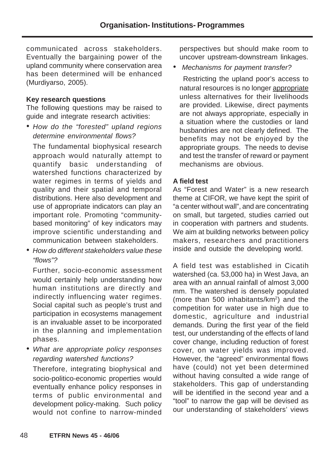communicated across stakeholders. Eventually the bargaining power of the upland community where conservation area has been determined will be enhanced (Murdiyarso, 2005).

#### **Key research questions**

The following questions may be raised to guide and integrate research activities:

• How do the "forested" upland regions determine environmental flows?

The fundamental biophysical research approach would naturally attempt to quantify basic understanding of watershed functions characterized by water regimes in terms of yields and quality and their spatial and temporal distributions. Here also development and use of appropriate indicators can play an important role. Promoting "communitybased monitoring" of key indicators may improve scientific understanding and communication between stakeholders.

• How do different stakeholders value these "flows"?

Further, socio-economic assessment would certainly help understanding how human institutions are directly and indirectly influencing water regimes. Social capital such as people's trust and participation in ecosystems management is an invaluable asset to be incorporated in the planning and implementation phases.

• What are appropriate policy responses regarding watershed functions?

Therefore, integrating biophysical and socio-politico-economic properties would eventually enhance policy responses in terms of public environmental and development policy-making. Such policy would not confine to narrow-minded perspectives but should make room to uncover upstream-downstream linkages.

Mechanisms for payment transfer?

Restricting the upland poor's access to natural resources is no longer appropriate unless alternatives for their livelihoods are provided. Likewise, direct payments are not always appropriate, especially in a situation where the custodies or land husbandries are not clearly defined. The benefits may not be enjoyed by the appropriate groups. The needs to devise and test the transfer of reward or payment mechanisms are obvious.

### **A field test**

As "Forest and Water" is a new research theme at CIFOR, we have kept the spirit of "a center without wall", and are concentrating on small, but targeted, studies carried out in cooperation with partners and students. We aim at building networks between policy makers, researchers and practitioners inside and outside the developing world.

A field test was established in Cicatih watershed (ca. 53,000 ha) in West Java, an area with an annual rainfall of almost 3,000 mm. The watershed is densely populated (more than 500 inhabitants/km<sup>2</sup>) and the competition for water use in high due to domestic, agriculture and industrial demands. During the first year of the field test, our understanding of the effects of land cover change, including reduction of forest cover, on water yields was improved. However, the "agreed" environmental flows have (could) not yet been determined without having consulted a wide range of stakeholders. This gap of understanding will be identified in the second year and a "tool" to narrow the gap will be devised as our understanding of stakeholders' views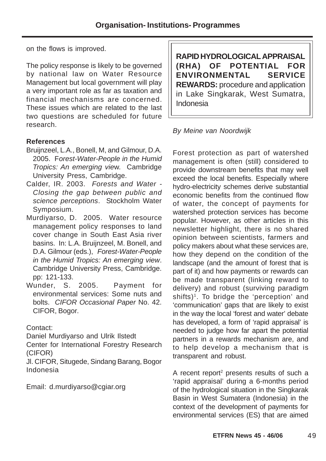on the flows is improved.

The policy response is likely to be governed by national law on Water Resource Management but local government will play a very important role as far as taxation and financial mechanisms are concerned. These issues which are related to the last two questions are scheduled for future research.

# **References**

- Bruijnzeel, L.A., Bonell, M, and Gilmour, D.A. 2005. Forest-Water-People in the Humid Tropics: An emerging view. Cambridge University Press, Cambridge.
- Calder, IR. 2003. Forests and Water Closing the gap between public and science perceptions. Stockholm Water Symposium.
- Murdiyarso, D. 2005. Water resource management policy responses to land cover change in South East Asia river basins. In: L.A. Bruijnzeel, M. Bonell, and D.A. Gilmour (eds.), Forest-Water-People in the Humid Tropics: An emerging view. Cambridge University Press, Cambridge. pp: 121-133.
- Wunder, S. 2005. Payment for environmental services: Some nuts and bolts. CIFOR Occasional Paper No. 42. CIFOR, Bogor.

Contact:

Daniel Murdiyarso and Ulrik Ilstedt

Center for International Forestry Research (CIFOR)

Jl. CIFOR, Situgede, Sindang Barang, Bogor Indonesia

Email: d.murdiyarso@cgiar.org

**RAPID HYDROLOGICAL APPRAISAL (RHA) OF POTENTIAL FOR ENVIRONMENTAL SERVICE REWARDS:** procedure and application in Lake Singkarak, West Sumatra, Indonesia

### By Meine van Noordwijk

Forest protection as part of watershed management is often (still) considered to provide downstream benefits that may well exceed the local benefits. Especially where hydro-electricity schemes derive substantial economic benefits from the continued flow of water, the concept of payments for watershed protection services has become popular. However, as other articles in this newsletter highlight, there is no shared opinion between scientists, farmers and policy makers about what these services are, how they depend on the condition of the landscape (and the amount of forest that is part of it) and how payments or rewards can be made transparent (linking reward to delivery) and robust (surviving paradigm shifts)<sup>1</sup>. To bridge the 'perception' and 'communication' gaps that are likely to exist in the way the local 'forest and water' debate has developed, a form of 'rapid appraisal' is needed to judge how far apart the potential partners in a rewards mechanism are, and to help develop a mechanism that is transparent and robust.

A recent report<sup>2</sup> presents results of such a 'rapid appraisal' during a 6-months period of the hydrological situation in the Singkarak Basin in West Sumatera (Indonesia) in the context of the development of payments for environmental services (ES) that are aimed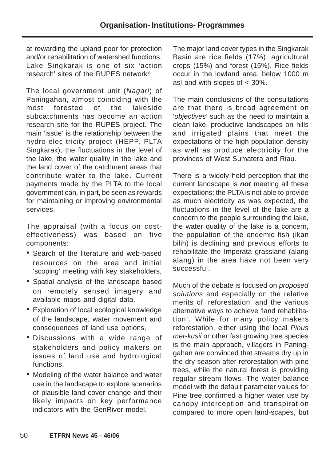at rewarding the upland poor for protection and/or rehabilitation of watershed functions. Lake Singkarak is one of six 'action research' sites of the RUPES network<sup>3.</sup>

The local government unit (Nagari) of Paningahan, almost coinciding with the most forested of the lakeside subcatchments has become an action research site for the RUPES project. The main 'issue' is the relationship between the hydro-elec-tricity project (HEPP, PLTA Singkarak), the fluctuations in the level of the lake, the water quality in the lake and the land cover of the catchment areas that contribute water to the lake. Current payments made by the PLTA to the local government can, in part, be seen as rewards for maintaining or improving environmental services.

The appraisal (with a focus on costeffectiveness) was based on five components:

- Search of the literature and web-based resources on the area and initial 'scoping' meeting with key stakeholders,
- Spatial analysis of the landscape based on remotely sensed imagery and available maps and digital data,
- Exploration of local ecological knowledge of the landscape, water movement and consequences of land use options,
- Discussions with a wide range of stakeholders and policy makers on issues of land use and hydrological functions,
- Modeling of the water balance and water use in the landscape to explore scenarios of plausible land cover change and their likely impacts on key performance indicators with the GenRiver model.

The major land cover types in the Singkarak Basin are rice fields (17%), agricultural crops (15%) and forest (15%). Rice fields occur in the lowland area, below 1000 m asl and with slopes of < 30%.

The main conclusions of the consultations are that there is broad agreement on 'objectives' such as the need to maintain a clean lake, productive landscapes on hills and irrigated plains that meet the expectations of the high population density as well as produce electricity for the provinces of West Sumatera and Riau.

There is a widely held perception that the current landscape is **not** meeting all these expectations: the PLTA is not able to provide as much electricity as was expected, the fluctuations in the level of the lake are a concern to the people surrounding the lake, the water quality of the lake is a concern, the population of the endemic fish (ikan bilih) is declining and previous efforts to rehabilitate the Imperata grassland (alang alang) in the area have not been very successful.

Much of the debate is focused on proposed solutions and especially on the relative merits of 'reforestation' and the various alternative ways to achieve 'land rehabilitation'. While for many policy makers reforestation, either using the local Pinus mer-kusii or other fast growing tree species is the main approach, villagers in Paninggahan are convinced that streams dry up in the dry season after reforestation with pine trees, while the natural forest is providing regular stream flows. The water balance model with the default parameter values for Pine tree confirmed a higher water use by canopy interception and transpiration compared to more open land-scapes, but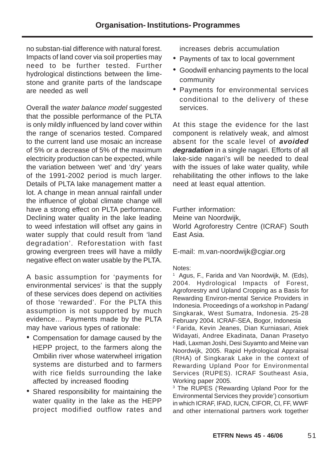no substan-tial difference with natural forest. Impacts of land cover via soil properties may need to be further tested. Further hydrological distinctions between the limestone and granite parts of the landscape are needed as well

Overall the water balance model suggested that the possible performance of the PLTA is only mildly influenced by land cover within the range of scenarios tested. Compared to the current land use mosaic an increase of 5% or a decrease of 5% of the maximum electricity production can be expected, while the variation between 'wet' and 'dry' years of the 1991-2002 period is much larger. Details of PLTA lake management matter a lot. A change in mean annual rainfall under the influence of global climate change will have a strong effect on PLTA performance. Declining water quality in the lake leading to weed infestation will offset any gains in water supply that could result from 'land degradation'. Reforestation with fast growing evergreen trees will have a mildly negative effect on water usable by the PLTA.

A basic assumption for 'payments for environmental services' is that the supply of these services does depend on activities of those 'rewarded'. For the PLTA this assumption is not supported by much evidence… Payments made by the PLTA may have various types of rationale:

- Compensation for damage caused by the HEPP project, to the farmers along the Ombilin river whose waterwheel irrigation systems are disturbed and to farmers with rice fields surrounding the lake affected by increased flooding
- Shared responsibility for maintaining the water quality in the lake as the HEPP project modified outflow rates and

increases debris accumulation

- Payments of tax to local government
- Goodwill enhancing payments to the local community
- Payments for environmental services conditional to the delivery of these services.

At this stage the evidence for the last component is relatively weak, and almost absent for the scale level of **avoided degradation** in a single nagari. Efforts of all lake-side nagari's will be needed to deal with the issues of lake water quality, while rehabilitating the other inflows to the lake need at least equal attention.

Further information:

Meine van Noordwijk,

World Agroforestry Centre (ICRAF) South East Asia.

E-mail: m.van-noordwijk@cgiar.org

#### Notes:

<sup>1</sup> Agus, F., Farida and Van Noordwijk, M. (Eds), 2004. Hydrological Impacts of Forest, Agroforestry and Upland Cropping as a Basis for Rewarding Environ-mental Service Providers in Indonesia. Proceedings of a workshop in Padang/ Singkarak, West Sumatra, Indonesia. 25-28 February 2004. ICRAF-SEA, Bogor, Indonesia <sup>2</sup> Farida, Kevin Jeanes, Dian Kurniasari, Atiek Widayati, Andree Ekadinata, Danan Prasetyo Hadi, Laxman Joshi, Desi Suyamto and Meine van Noordwijk, 2005. Rapid Hydrological Appraisal (RHA) of Singkarak Lake in the context of Rewarding Upland Poor for Environmental Services (RUPES). ICRAF Southeast Asia, Working paper 2005.

<sup>3</sup> The RUPES ('Rewarding Upland Poor for the Environmental Services they provide') consortium in which ICRAF, IFAD, IUCN, CIFOR, CI, FF, WWF and other international partners work together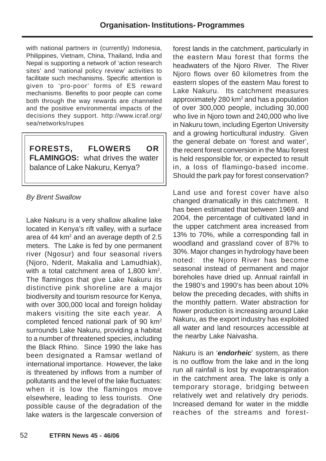with national partners in (currently) Indonesia, Philippines, Vietnam, China, Thailand, India and Nepal is supporting a network of 'action research sites' and 'national policy review' activities to facilitate such mechanisms. Specific attention is given to 'pro-poor' forms of ES reward mechanisms. Benefits to poor people can come both through the way rewards are channeled and the positive environmental impacts of the decisions they support. http://www.icraf.org/ sea/networks/rupes

**FORESTS, FLOWERS OR FLAMINGOS:** what drives the water balance of Lake Nakuru, Kenya?

# By Brent Swallow

Lake Nakuru is a very shallow alkaline lake located in Kenya's rift valley, with a surface area of 44  $km^2$  and an average depth of 2.5 meters. The Lake is fed by one permanent river (Ngosur) and four seasonal rivers (Njoro, Nderit, Makalia and Lamudhiak), with a total catchment area of  $1,800$  km<sup>2</sup>. The flamingos that give Lake Nakuru its distinctive pink shoreline are a major biodiversity and tourism resource for Kenya, with over 300,000 local and foreign holiday makers visiting the site each year. A completed fenced national park of 90 km2 surrounds Lake Nakuru, providing a habitat to a number of threatened species, including the Black Rhino. Since 1990 the lake has been designated a Ramsar wetland of international importance. However, the lake is threatened by inflows from a number of pollutants and the level of the lake fluctuates: when it is low the flamingos move elsewhere, leading to less tourists. One possible cause of the degradation of the lake waters is the largescale conversion of forest lands in the catchment, particularly in the eastern Mau forest that forms the headwaters of the Njoro River. The River Njoro flows over 60 kilometres from the eastern slopes of the eastern Mau forest to Lake Nakuru. Its catchment measures approximately 280 km<sup>2</sup> and has a population of over 300,000 people, including 30,000 who live in Njoro town and 240,000 who live in Nakuru town, including Egerton University and a growing horticultural industry. Given the general debate on 'forest and water', the recent forest conversion in the Mau forest is held responsible for, or expected to result in, a loss of flamingo-based income. Should the park pay for forest conservation?

Land use and forest cover have also changed dramatically in this catchment. It has been estimated that between 1969 and 2004, the percentage of cultivated land in the upper catchment area increased from 13% to 70%, while a corresponding fall in woodland and grassland cover of 87% to 30%. Major changes in hydrology have been noted: the Njoro River has become seasonal instead of permanent and major boreholes have dried up. Annual rainfall in the 1980's and 1990's has been about 10% below the preceding decades, with shifts in the monthly pattern. Water abstraction for flower production is increasing around Lake Nakuru, as the export industry has exploited all water and land resources accessible at the nearby Lake Naivasha.

Nakuru is an '**endorheic**' system, as there is no outflow from the lake and in the long run all rainfall is lost by evapotranspiration in the catchment area. The lake is only a temporary storage, bridging between relatively wet and relatively dry periods. Increased demand for water in the middle reaches of the streams and forest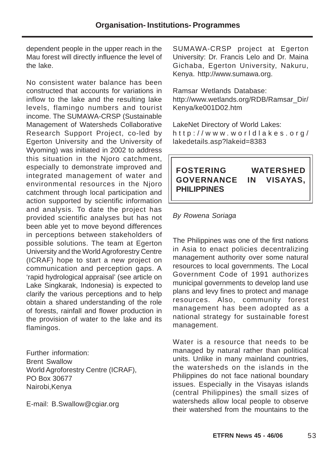dependent people in the upper reach in the Mau forest will directly influence the level of the lake.

No consistent water balance has been constructed that accounts for variations in inflow to the lake and the resulting lake levels, flamingo numbers and tourist income. The SUMAWA-CRSP (Sustainable Management of Watersheds Collaborative Research Support Project, co-led by Egerton University and the University of Wyoming) was initiated in 2002 to address this situation in the Njoro catchment, especially to demonstrate improved and integrated management of water and environmental resources in the Njoro catchment through local participation and action supported by scientific information and analysis. To date the project has provided scientific analyses but has not been able yet to move beyond differences in perceptions between stakeholders of possible solutions. The team at Egerton University and the World Agroforestry Centre (ICRAF) hope to start a new project on communication and perception gaps. A 'rapid hydrological appraisal' (see article on Lake Singkarak, Indonesia) is expected to clarify the various perceptions and to help obtain a shared understanding of the role of forests, rainfall and flower production in the provision of water to the lake and its flamingos.

Further information: Brent Swallow World Agroforestry Centre (ICRAF), PO Box 30677 Nairobi,Kenya

E-mail: B.Swallow@cgiar.org

SUMAWA-CRSP project at Egerton University: Dr. Francis Lelo and Dr. Maina Gichaba, Egerton University, Nakuru, Kenya. http://www.sumawa.org.

Ramsar Wetlands Database: http://www.wetlands.org/RDB/Ramsar\_Dir/ Kenya/ke001D02.htm

LakeNet Directory of World Lakes: http://www.worldlakes.org/ lakedetails.asp?lakeid=8383

# **FOSTERING WATERSHED GOVERNANCE IN VISAYAS, PHILIPPINES**

### By Rowena Soriaga

The Philippines was one of the first nations in Asia to enact policies decentralizing management authority over some natural resources to local governments. The Local Government Code of 1991 authorizes municipal governments to develop land use plans and levy fines to protect and manage resources. Also, community forest management has been adopted as a national strategy for sustainable forest management.

Water is a resource that needs to be managed by natural rather than political units. Unlike in many mainland countries, the watersheds on the islands in the Philippines do not face national boundary issues. Especially in the Visayas islands (central Philippines) the small sizes of watersheds allow local people to observe their watershed from the mountains to the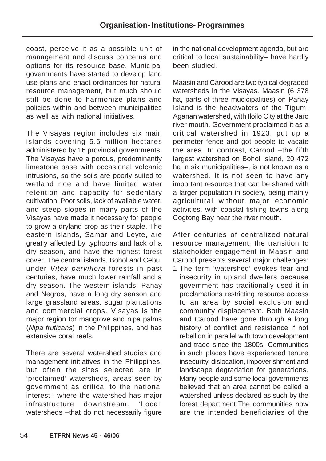coast, perceive it as a possible unit of management and discuss concerns and options for its resource base. Municipal governments have started to develop land use plans and enact ordinances for natural resource management, but much should still be done to harmonize plans and policies within and between municipalities as well as with national initiatives.

The Visayas region includes six main islands covering 5.6 million hectares administered by 16 provincial governments. The Visayas have a porous, predominantly limestone base with occasional volcanic intrusions, so the soils are poorly suited to wetland rice and have limited water retention and capacity for sedentary cultivation. Poor soils, lack of available water, and steep slopes in many parts of the Visayas have made it necessary for people to grow a dryland crop as their staple. The eastern islands, Samar and Leyte, are greatly affected by typhoons and lack of a dry season, and have the highest forest cover. The central islands, Bohol and Cebu, under Vitex parviflora forests in past centuries, have much lower rainfall and a dry season. The western islands, Panay and Negros, have a long dry season and large grassland areas, sugar plantations and commercial crops. Visayas is the major region for mangrove and nipa palms (Nipa fruticans) in the Philippines, and has extensive coral reefs.

There are several watershed studies and management initiatives in the Philippines, but often the sites selected are in 'proclaimed' watersheds, areas seen by government as critical to the national interest –where the watershed has major infrastructure downstream. 'Local' watersheds -that do not necessarily figure

in the national development agenda, but are critical to local sustainability– have hardly been studied.

Maasin and Carood are two typical degraded watersheds in the Visayas. Maasin (6 378 ha, parts of three mucicipalities) on Panay Island is the headwaters of the Tigum-Aganan watershed, with Iloilo City at the Jaro river mouth. Government proclaimed it as a critical watershed in 1923, put up a perimeter fence and got people to vacate the area. In contrast, Carood –the fifth largest watershed on Bohol Island, 20 472 ha in six municipalities–, is not known as a watershed. It is not seen to have any important resource that can be shared with a larger population in society, being mainly agricultural without major economic activities, with coastal fishing towns along Cogtong Bay near the river mouth.

After centuries of centralized natural resource management, the transition to stakeholder engagement in Maasin and Carood presents several major challenges: 1 The term 'watershed' evokes fear and insecurity in upland dwellers because government has traditionally used it in proclamations restricting resource access to an area by social exclusion and community displacement. Both Maasin and Carood have gone through a long history of conflict and resistance if not rebellion in parallel with town development and trade since the 1800s. Communities in such places have experienced tenure insecurity, dislocation, impoverishment and landscape degradation for generations. Many people and some local governments believed that an area cannot be called a watershed unless declared as such by the forest department.The communities now are the intended beneficiaries of the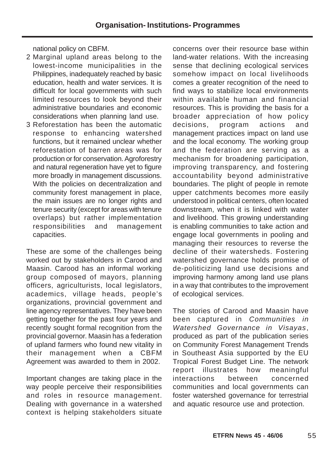national policy on CBFM.

- 2 Marginal upland areas belong to the lowest-income municipalities in the Philippines, inadequately reached by basic education, health and water services. It is difficult for local governments with such limited resources to look beyond their administrative boundaries and economic considerations when planning land use.
- 3 Reforestation has been the automatic response to enhancing watershed functions, but it remained unclear whether reforestation of barren areas was for production or for conservation. Agroforestry and natural regeneration have yet to figure more broadly in management discussions. With the policies on decentralization and community forest management in place, the main issues are no longer rights and tenure security (except for areas with tenure overlaps) but rather implementation responsibilities and management capacities.

These are some of the challenges being worked out by stakeholders in Carood and Maasin. Carood has an informal working group composed of mayors, planning officers, agriculturists, local legislators, academics, village heads, people's organizations, provincial government and line agency representatives. They have been getting together for the past four years and recently sought formal recognition from the provincial governor. Maasin has a federation of upland farmers who found new vitality in their management when a CBFM Agreement was awarded to them in 2002.

Important changes are taking place in the way people perceive their responsibilities and roles in resource management. Dealing with governance in a watershed context is helping stakeholders situate

concerns over their resource base within land-water relations. With the increasing sense that declining ecological services somehow impact on local livelihoods comes a greater recognition of the need to find ways to stabilize local environments within available human and financial resources. This is providing the basis for a broader appreciation of how policy decisions, program actions and management practices impact on land use and the local economy. The working group and the federation are serving as a mechanism for broadening participation, improving transparency, and fostering accountability beyond administrative boundaries. The plight of people in remote upper catchments becomes more easily understood in political centers, often located downstream, when it is linked with water and livelihood. This growing understanding is enabling communities to take action and engage local governments in pooling and managing their resources to reverse the decline of their watersheds. Fostering watershed governance holds promise of de-politicizing land use decisions and improving harmony among land use plans in a way that contributes to the improvement of ecological services.

The stories of Carood and Maasin have been captured in Communities in Watershed Governance in Visayas, produced as part of the publication series on Community Forest Management Trends in Southeast Asia supported by the EU Tropical Forest Budget Line. The network report illustrates how meaningful interactions between concerned communities and local governments can foster watershed governance for terrestrial and aquatic resource use and protection.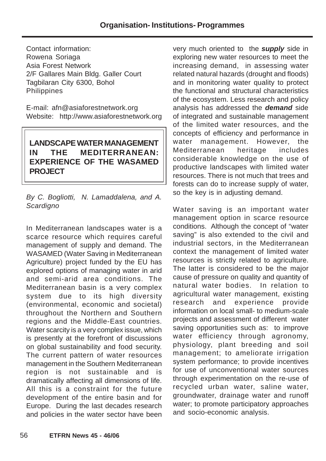Contact information: Rowena Soriaga Asia Forest Network 2/F Gallares Main Bldg. Galler Court Tagbilaran City 6300, Bohol **Philippines** 

E-mail: afn@asiaforestnetwork.org Website: http://www.asiaforestnetwork.org

# **LANDSCAPE WATER MANAGEMENT IN THE MEDITERRANEAN: EXPERIENCE OF THE WASAMED PROJECT**

By C. Bogliotti, N. Lamaddalena, and A. **Scardigno** 

In Mediterranean landscapes water is a scarce resource which requires careful management of supply and demand. The WASAMED (Water Saving in Mediterranean Agriculture) project funded by the EU has explored options of managing water in arid and semi-arid area conditions. The Mediterranean basin is a very complex system due to its high diversity (environmental, economic and societal) throughout the Northern and Southern regions and the Middle-East countries. Water scarcity is a very complex issue, which is presently at the forefront of discussions on global sustainability and food security. The current pattern of water resources management in the Southern Mediterranean region is not sustainable and is dramatically affecting all dimensions of life. All this is a constraint for the future development of the entire basin and for Europe. During the last decades research and policies in the water sector have been

very much oriented to the **supply** side in exploring new water resources to meet the increasing demand, in assessing water related natural hazards (drought and floods) and in monitoring water quality to protect the functional and structural characteristics of the ecosystem. Less research and policy analysis has addressed the **demand** side of integrated and sustainable management of the limited water resources, and the concepts of efficiency and performance in water management. However, the Mediterranean heritage includes considerable knowledge on the use of productive landscapes with limited water resources. There is not much that trees and forests can do to increase supply of water, so the key is in adjusting demand.

Water saving is an important water management option in scarce resource conditions. Although the concept of "water saving" is also extended to the civil and industrial sectors, in the Mediterranean context the management of limited water resources is strictly related to agriculture. The latter is considered to be the major cause of pressure on quality and quantity of natural water bodies. In relation to agricultural water management, existing research and experience provide information on local small- to medium-scale projects and assessment of different water saving opportunities such as: to improve water efficiency through agronomy, physiology, plant breeding and soil management; to ameliorate irrigation system performance; to provide incentives for use of unconventional water sources through experimentation on the re-use of recycled urban water, saline water, groundwater, drainage water and runoff water; to promote participatory approaches and socio-economic analysis.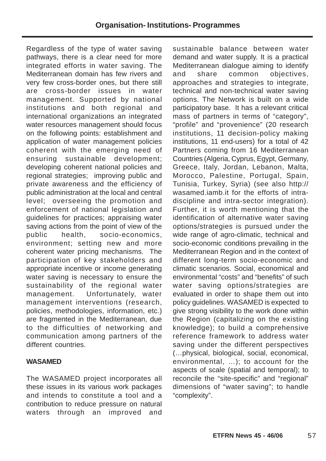Regardless of the type of water saving pathways, there is a clear need for more integrated efforts in water saving. The Mediterranean domain has few rivers and very few cross-border ones, but there still are cross-border issues in water management. Supported by national institutions and both regional and international organizations an integrated water resources management should focus on the following points: establishment and application of water management policies coherent with the emerging need of ensuring sustainable development; developing coherent national policies and regional strategies; improving public and private awareness and the efficiency of public administration at the local and central level; overseeing the promotion and enforcement of national legislation and guidelines for practices; appraising water saving actions from the point of view of the public health, socio-economics, environment; setting new and more coherent water pricing mechanisms. The participation of key stakeholders and appropriate incentive or income generating water saving is necessary to ensure the sustainability of the regional water management. Unfortunately, water management interventions (research, policies, methodologies, information, etc.) are fragmented in the Mediterranean, due to the difficulties of networking and communication among partners of the different countries.

#### **WASAMED**

The WASAMED project incorporates all these issues in its various work packages and intends to constitute a tool and a contribution to reduce pressure on natural waters through an improved and

sustainable balance between water demand and water supply. It is a practical Mediterranean dialogue aiming to identify and share common objectives, approaches and strategies to integrate, technical and non-technical water saving options. The Network is built on a wide participatory base. It has a relevant critical mass of partners in terms of "category", "profile" and "provenience" (20 research institutions, 11 decision-policy making institutions, 11 end-users) for a total of 42 Partners coming from 16 Mediterranean Countries (Algeria, Cyprus, Egypt, Germany, Greece, Italy, Jordan, Lebanon, Malta, Morocco, Palestine, Portugal, Spain, Tunisia, Turkey, Syria) (see also http:// wasamed.iamb.it for the efforts of intradiscipline and intra-sector integration). Further, it is worth mentioning that the identification of alternative water saving options/strategies is pursued under the wide range of agro-climatic, technical and socio-economic conditions prevailing in the Mediterranean Region and in the context of different long-term socio-economic and climatic scenarios. Social, economical and environmental "costs" and "benefits" of such water saving options/strategies are evaluated in order to shape them out into policy guidelines. WASAMED is expected to give strong visibility to the work done within the Region (capitalizing on the existing knowledge); to build a comprehensive reference framework to address water saving under the different perspectives (…physical, biological, social, economical, environmental, …); to account for the aspects of scale (spatial and temporal); to reconcile the "site-specific" and "regional" dimensions of "water saving"; to handle "complexity".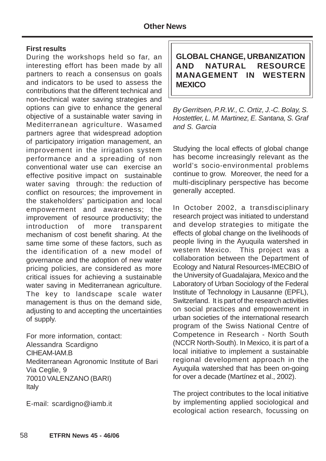#### **First results**

During the workshops held so far, an interesting effort has been made by all partners to reach a consensus on goals and indicators to be used to assess the contributions that the different technical and non-technical water saving strategies and options can give to enhance the general objective of a sustainable water saving in Mediterranean agriculture. Wasamed partners agree that widespread adoption of participatory irrigation management, an improvement in the irrigation system performance and a spreading of non conventional water use can exercise an effective positive impact on sustainable water saving through: the reduction of conflict on resources; the improvement in the stakeholders' participation and local empowerment and awareness; the improvement of resource productivity; the introduction of more transparent mechanism of cost benefit sharing. At the same time some of these factors, such as the identification of a new model of governance and the adoption of new water pricing policies, are considered as more critical issues for achieving a sustainable water saving in Mediterranean agriculture. The key to landscape scale water management is thus on the demand side, adjusting to and accepting the uncertainties of supply.

For more information, contact: Alessandra Scardigno CIHEAM-IAM.B Mediterranean Agronomic Institute of Bari Via Ceglie, 9 70010 VALENZANO (BARI) Italy

E-mail: scardigno@iamb.it

**GLOBAL CHANGE, URBANIZATION AND NATURAL RESOURCE MANAGEMENT IN WESTERN MEXICO**

By Gerritsen, P.R.W., C. Ortiz, J.-C. Bolay, S. Hostettler, L. M. Martinez, E. Santana, S. Graf and S. Garcia

Studying the local effects of global change has become increasingly relevant as the world's socio-environmental problems continue to grow. Moreover, the need for a multi-disciplinary perspective has become generally accepted.

In October 2002, a transdisciplinary research project was initiated to understand and develop strategies to mitigate the effects of global change on the livelihoods of people living in the Ayuquila watershed in western Mexico. This project was a collaboration between the Department of Ecology and Natural Resources-IMECBIO of the University of Guadalajara, Mexico and the Laboratory of Urban Sociology of the Federal Institute of Technology in Lausanne (EPFL), Switzerland. It is part of the research activities on social practices and empowerment in urban societies of the international research program of the Swiss National Centre of Competence in Research - North South (NCCR North-South). In Mexico, it is part of a local initiative to implement a sustainable regional development approach in the Ayuquila watershed that has been on-going for over a decade (Martínez et al., 2002).

The project contributes to the local initiative by implementing applied sociological and ecological action research, focussing on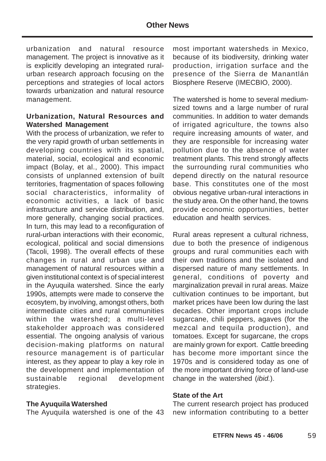urbanization and natural resource management. The project is innovative as it is explicitly developing an integrated ruralurban research approach focusing on the perceptions and strategies of local actors towards urbanization and natural resource management.

#### **Urbanization, Natural Resources and Watershed Management**

With the process of urbanization, we refer to the very rapid growth of urban settlements in developing countries with its spatial, material, social, ecological and economic impact (Bolay, et al., 2000). This impact consists of unplanned extension of built territories, fragmentation of spaces following social characteristics, informality of economic activities, a lack of basic infrastructure and service distribution, and, more generally, changing social practices. In turn, this may lead to a reconfiguration of rural-urban interactions with their economic, ecological, political and social dimensions (Tacoli, 1998). The overall effects of these changes in rural and urban use and management of natural resources within a given institutional context is of special interest in the Ayuquila watershed. Since the early 1990s, attempts were made to conserve the ecosytem, by involving, amongst others, both intermediate cities and rural communities within the watershed; a multi-level stakeholder approach was considered essential. The ongoing analysis of various decision-making platforms on natural resource management is of particular interest, as they appear to play a key role in the development and implementation of sustainable regional development strategies.

#### **The Ayuquila Watershed**

The Ayuquila watershed is one of the 43

most important watersheds in Mexico, because of its biodiversity, drinking water production, irrigation surface and the presence of the Sierra de Manantlán Biosphere Reserve (IMECBIO, 2000).

The watershed is home to several mediumsized towns and a large number of rural communities. In addition to water demands of irrigated agriculture, the towns also require increasing amounts of water, and they are responsible for increasing water pollution due to the absence of water treatment plants. This trend strongly affects the surrounding rural communities who depend directly on the natural resource base. This constitutes one of the most obvious negative urban-rural interactions in the study area. On the other hand, the towns provide economic opportunities, better education and health services.

Rural areas represent a cultural richness, due to both the presence of indigenous groups and rural communities each with their own traditions and the isolated and dispersed nature of many settlements. In general, conditions of poverty and marginalization prevail in rural areas. Maize cultivation continues to be important, but market prices have been low during the last decades. Other important crops include sugarcane, chili peppers, agaves (for the mezcal and tequila production), and tomatoes. Except for sugarcane, the crops are mainly grown for export. Cattle breeding has become more important since the 1970s and is considered today as one of the more important driving force of land-use change in the watershed (ibid.).

#### **State of the Art**

The current research project has produced new information contributing to a better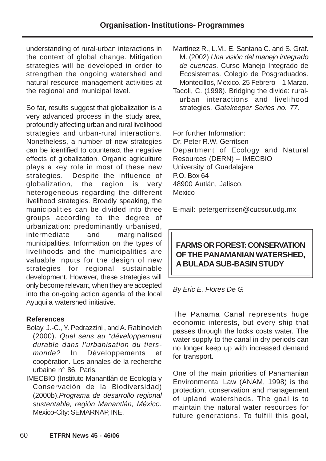understanding of rural-urban interactions in the context of global change. Mitigation strategies will be developed in order to strengthen the ongoing watershed and natural resource management activities at the regional and municipal level.

So far, results suggest that globalization is a very advanced process in the study area, profoundly affecting urban and rural livelihood strategies and urban-rural interactions. Nonetheless, a number of new strategies can be identified to counteract the negative effects of globalization. Organic agriculture plays a key role in most of these new strategies. Despite the influence of globalization, the region is very heterogeneous regarding the different livelihood strategies. Broadly speaking, the municipalities can be divided into three groups according to the degree of urbanization: predominantly urbanised, intermediate and marginalised municipalities. Information on the types of livelihoods and the municipalities are valuable inputs for the design of new strategies for regional sustainable development. However, these strategies will only become relevant, when they are accepted into the on-going action agenda of the local Ayuquila watershed initiative.

#### **References**

- Bolay, J.-C., Y. Pedrazzini , and A. Rabinovich (2000). Quel sens au "développement durable dans l'urbanisation du tiersmonde? In Développements et coopération. Les annales de la recherche urbaine n° 86, Paris.
- IMECBIO (Instituto Manantlán de Ecología y Conservación de la Biodiversidad) (2000b).Programa de desarrollo regional sustentable, región Manantlán, México. Mexico-City: SEMARNAP, INE.
- Martínez R., L.M., E. Santana C. and S. Graf. M. (2002) Una visión del manejo integrado de cuencas. Curso Manejo Integrado de Ecosistemas. Colegio de Posgraduados. Montecillos, Mexico. 25 Febrero – 1 Marzo.
- Tacoli, C. (1998). Bridging the divide: ruralurban interactions and livelihood strategies. Gatekeeper Series no. 77.

For further Information: Dr. Peter R.W. Gerritsen Department of Ecology and Natural Resources (DERN) – IMECBIO University of Guadalajara P.O. Box 64 48900 Autlán, Jalisco, **Mexico** 

E-mail: petergerritsen@cucsur.udg.mx

# **FARMS OR FOREST: CONSERVATION OF THE PANAMANIAN WATERSHED, A BULADA SUB-BASIN STUDY**

By Eric E. Flores De G.

The Panama Canal represents huge economic interests, but every ship that passes through the locks costs water. The water supply to the canal in dry periods can no longer keep up with increased demand for transport.

One of the main priorities of Panamanian Environmental Law (ANAM, 1998) is the protection, conservation and management of upland watersheds. The goal is to maintain the natural water resources for future generations. To fulfill this goal,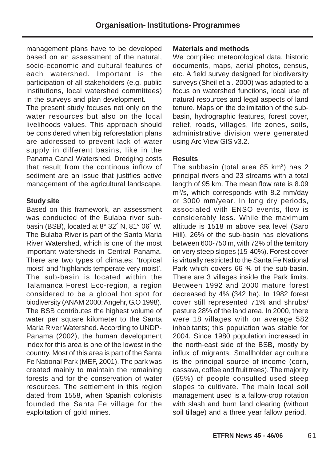management plans have to be developed based on an assessment of the natural, socio-economic and cultural features of each watershed. Important is the participation of all stakeholders (e.g. public institutions, local watershed committees) in the surveys and plan development.

The present study focuses not only on the water resources but also on the local livelihoods values. This approach should be considered when big reforestation plans are addressed to prevent lack of water supply in different basins, like in the Panama Canal Watershed. Dredging costs that result from the continous inflow of sediment are an issue that justifies active management of the agricultural landscape.

#### **Study site**

Based on this framework, an assessment was conducted of the Bulaba river subbasin (BSB), located at 8° 32´ N, 81° 06´ W. The Bulaba River is part of the Santa Maria River Watershed, which is one of the most important watersheds in Central Panama. There are two types of climates: 'tropical moist' and 'highlands temperate very moist'. The sub-basin is located within the Talamanca Forest Eco-region, a region considered to be a global hot spot for biodiversity (ANAM 2000; Angehr, G.O 1998). The BSB contributes the highest volume of water per square kilometer to the Santa Maria River Watershed. According to UNDP-Panama (2002), the human development index for this area is one of the lowest in the country. Most of this area is part of the Santa Fe National Park (MEF, 2001). The park was created mainly to maintain the remaining forests and for the conservation of water resources. The settlement in this region dated from 1558, when Spanish colonists founded the Santa Fe village for the exploitation of gold mines.

#### **Materials and methods**

We compiled meteorological data, historic documents, maps, aerial photos, census, etc. A field survey designed for biodiversity surveys (Sheil et al. 2000) was adapted to a focus on watershed functions, local use of natural resources and legal aspects of land tenure. Maps on the delimitation of the subbasin, hydrographic features, forest cover, relief, roads, villages, life zones, soils, administrative division were generated using Arc View GIS v3.2.

### **Results**

The subbasin (total area 85  $km<sup>2</sup>$ ) has 2 principal rivers and 23 streams with a total length of 95 km. The mean flow rate is 8.09 m3 /s, which corresponds with 8.2 mm/day or 3000 mm/year. In long dry periods, associated with ENSO events, flow is considerably less. While the maximum altitude is 1518 m above sea level (Saro Hill), 26% of the sub-basin has elevations between 600-750 m, with 72% of the territory on very steep slopes (15-40%). Forest cover is virtually restricted to the Santa Fe National Park which covers 66 % of the sub-basin. There are 3 villages inside the Park limits. Between 1992 and 2000 mature forest decreased by 4% (342 ha). In 1982 forest cover still represented 71% and shrubs/ pasture 28% of the land area. In 2000, there were 18 villages with on average 582 inhabitants; this population was stable for 2004. Since 1980 population increased in the north-east side of the BSB, mostly by influx of migrants. Smallholder agriculture is the principal source of income (corn, cassava, coffee and fruit trees). The majority (65%) of people consulted used steep slopes to cultivate. The main local soil management used is a fallow-crop rotation with slash and burn land clearing (without soil tillage) and a three year fallow period.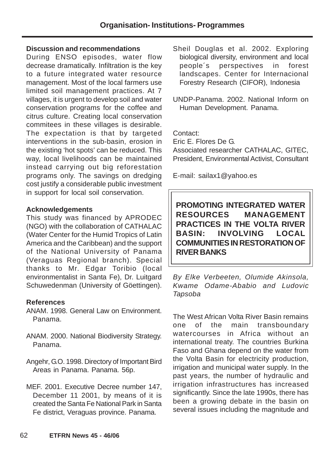#### **Discussion and recommendations**

During ENSO episodes, water flow decrease dramatically. Infiltration is the key to a future integrated water resource management. Most of the local farmers use limited soil management practices. At 7 villages, it is urgent to develop soil and water conservation programs for the coffee and citrus culture. Creating local conservation commitees in these villages is desirable. The expectation is that by targeted interventions in the sub-basin, erosion in the existing 'hot spots' can be reduced. This way, local livelihoods can be maintained instead carrying out big reforestation programs only. The savings on dredging cost justify a considerable public investment in support for local soil conservation.

#### **Acknowledgements**

This study was financed by APRODEC (NGO) with the collaboration of CATHALAC (Water Center for the Humid Tropics of Latin America and the Caribbean) and the support of the National University of Panama (Veraguas Regional branch). Special thanks to Mr. Edgar Toribio (local environmentalist in Santa Fe), Dr. Luitgard Schuwedenman (University of Göettingen).

#### **References**

- ANAM. 1998. General Law on Environment. Panama.
- ANAM. 2000. National Biodiversity Strategy. Panama.
- Angehr, G.O. 1998. Directory of Important Bird Areas in Panama. Panama. 56p.
- MEF. 2001. Executive Decree number 147, December 11 2001, by means of it is created the Santa Fe National Park in Santa Fe district, Veraguas province. Panama.
- Sheil Douglas et al. 2002. Exploring biological diversity, environment and local people´s perspectives in forest landscapes. Center for Internacional Forestry Research (CIFOR), Indonesia
- UNDP-Panama. 2002. National Inform on Human Development. Panama.

Contact:

Eric E. Flores De G. Associated researcher CATHALAC, GITEC, President, Environmental Activist, Consultant

E-mail: sailax1@yahoo.es

**PROMOTING INTEGRATED WATER RESOURCES MANAGEMENT PRACTICES IN THE VOLTA RIVER BASIN: INVOLVING LOCAL COMMUNITIES IN RESTORATION OF RIVER BANKS**

By Elke Verbeeten, Olumide Akinsola, Kwame Odame-Ababio and Ludovic Tapsoba

The West African Volta River Basin remains one of the main transboundary watercourses in Africa without an international treaty. The countries Burkina Faso and Ghana depend on the water from the Volta Basin for electricity production, irrigation and municipal water supply. In the past years, the number of hydraulic and irrigation infrastructures has increased significantly. Since the late 1990s, there has been a growing debate in the basin on several issues including the magnitude and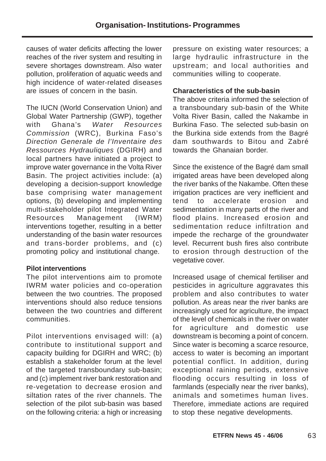causes of water deficits affecting the lower reaches of the river system and resulting in severe shortages downstream. Also water pollution, proliferation of aquatic weeds and high incidence of water-related diseases are issues of concern in the basin.

The IUCN (World Conservation Union) and Global Water Partnership (GWP), together with Ghana's Water Resources Commission (WRC), Burkina Faso's Direction Generale de l'Inventaire des Ressources Hydrauliques (DGIRH) and local partners have initiated a project to improve water governance in the Volta River Basin. The project activities include: (a) developing a decision-support knowledge base comprising water management options, (b) developing and implementing multi-stakeholder pilot Integrated Water Resources Management (IWRM) interventions together, resulting in a better understanding of the basin water resources and trans-border problems, and (c) promoting policy and institutional change.

#### **Pilot interventions**

The pilot interventions aim to promote IWRM water policies and co-operation between the two countries. The proposed interventions should also reduce tensions between the two countries and different communities.

Pilot interventions envisaged will: (a) contribute to institutional support and capacity building for DGIRH and WRC; (b) establish a stakeholder forum at the level of the targeted transboundary sub-basin; and (c) implement river bank restoration and re-vegetation to decrease erosion and siltation rates of the river channels. The selection of the pilot sub-basin was based on the following criteria: a high or increasing pressure on existing water resources; a large hydraulic infrastructure in the upstream; and local authorities and communities willing to cooperate.

## **Characteristics of the sub-basin**

The above criteria informed the selection of a transboundary sub-basin of the White Volta River Basin, called the Nakambe in Burkina Faso. The selected sub-basin on the Burkina side extends from the Bagré dam southwards to Bitou and Zabré towards the Ghanaian border.

Since the existence of the Bagré dam small irrigated areas have been developed along the river banks of the Nakambe. Often these irrigation practices are very inefficient and tend to accelerate erosion and sedimentation in many parts of the river and flood plains. Increased erosion and sedimentation reduce infiltration and impede the recharge of the groundwater level. Recurrent bush fires also contribute to erosion through destruction of the vegetative cover.

Increased usage of chemical fertiliser and pesticides in agriculture aggravates this problem and also contributes to water pollution. As areas near the river banks are increasingly used for agriculture, the impact of the level of chemicals in the river on water for agriculture and domestic use downstream is becoming a point of concern. Since water is becoming a scarce resource, access to water is becoming an important potential conflict. In addition, during exceptional raining periods, extensive flooding occurs resulting in loss of farmlands (especially near the river banks), animals and sometimes human lives. Therefore, immediate actions are required to stop these negative developments.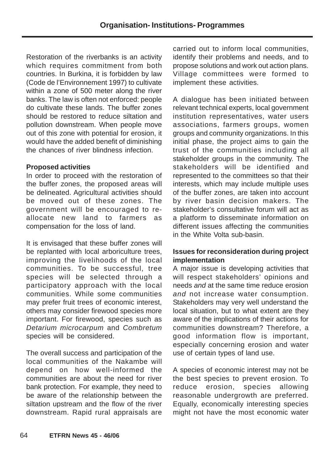Restoration of the riverbanks is an activity which requires commitment from both countries. In Burkina, it is forbidden by law (Code de l'Environnement 1997) to cultivate within a zone of 500 meter along the river banks. The law is often not enforced: people do cultivate these lands. The buffer zones should be restored to reduce siltation and pollution downstream. When people move out of this zone with potential for erosion, it would have the added benefit of diminishing the chances of river blindness infection.

#### **Proposed activities**

In order to proceed with the restoration of the buffer zones, the proposed areas will be delineated. Agricultural activities should be moved out of these zones. The government will be encouraged to reallocate new land to farmers as compensation for the loss of land.

It is envisaged that these buffer zones will be replanted with local arboriculture trees, improving the livelihoods of the local communities. To be successful, tree species will be selected through a participatory approach with the local communities. While some communities may prefer fruit trees of economic interest, others may consider firewood species more important. For firewood, species such as Detarium microcarpum and Combretum species will be considered.

The overall success and participation of the local communities of the Nakambe will depend on how well-informed the communities are about the need for river bank protection. For example, they need to be aware of the relationship between the siltation upstream and the flow of the river downstream. Rapid rural appraisals are carried out to inform local communities, identify their problems and needs, and to propose solutions and work out action plans. Village committees were formed to implement these activities.

A dialogue has been initiated between relevant technical experts, local government institution representatives, water users associations, farmers groups, women groups and community organizations. In this initial phase, the project aims to gain the trust of the communities including all stakeholder groups in the community. The stakeholders will be identified and represented to the committees so that their interests, which may include multiple uses of the buffer zones, are taken into account by river basin decision makers. The stakeholder's consultative forum will act as a platform to disseminate information on different issues affecting the communities in the White Volta sub-basin.

### **Issues for reconsideration during project implementation**

A major issue is developing activities that will respect stakeholders' opinions and needs and at the same time reduce erosion and not increase water consumption. Stakeholders may very well understand the local situation, but to what extent are they aware of the implications of their actions for communities downstream? Therefore, a good information flow is important, especially concerning erosion and water use of certain types of land use.

A species of economic interest may not be the best species to prevent erosion. To reduce erosion, species allowing reasonable undergrowth are preferred. Equally, economically interesting species might not have the most economic water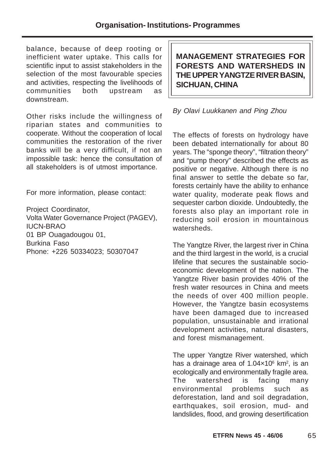balance, because of deep rooting or inefficient water uptake. This calls for scientific input to assist stakeholders in the selection of the most favourable species and activities, respecting the livelihoods of communities both upstream as downstream.

Other risks include the willingness of riparian states and communities to cooperate. Without the cooperation of local communities the restoration of the river banks will be a very difficult, if not an impossible task: hence the consultation of all stakeholders is of utmost importance.

For more information, please contact:

Project Coordinator, Volta Water Governance Project (PAGEV), IUCN-BRAO 01 BP Ouagadougou 01, Burkina Faso Phone: +226 50334023; 50307047

**MANAGEMENT STRATEGIES FOR FORESTS AND WATERSHEDS IN THE UPPER YANGTZE RIVER BASIN, SICHUAN, CHINA**

#### By Olavi Luukkanen and Ping Zhou

The effects of forests on hydrology have been debated internationally for about 80 years. The "sponge theory", "filtration theory" and "pump theory" described the effects as positive or negative. Although there is no final answer to settle the debate so far, forests certainly have the ability to enhance water quality, moderate peak flows and sequester carbon dioxide. Undoubtedly, the forests also play an important role in reducing soil erosion in mountainous watersheds.

The Yangtze River, the largest river in China and the third largest in the world, is a crucial lifeline that secures the sustainable socioeconomic development of the nation. The Yangtze River basin provides 40% of the fresh water resources in China and meets the needs of over 400 million people. However, the Yangtze basin ecosystems have been damaged due to increased population, unsustainable and irrational development activities, natural disasters, and forest mismanagement.

The upper Yangtze River watershed, which has a drainage area of 1.04x10<sup>6</sup> km<sup>2</sup>, is an ecologically and environmentally fragile area. The watershed is facing many environmental problems such as deforestation, land and soil degradation, earthquakes, soil erosion, mud- and landslides, flood, and growing desertification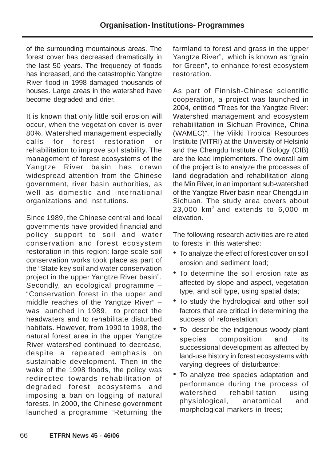of the surrounding mountainous areas. The forest cover has decreased dramatically in the last 50 years. The frequency of floods has increased, and the catastrophic Yangtze River flood in 1998 damaged thousands of houses. Large areas in the watershed have become degraded and drier.

It is known that only little soil erosion will occur, when the vegetation cover is over 80%. Watershed management especially calls for forest restoration or rehabilitation to improve soil stability. The management of forest ecosystems of the Yangtze River basin has drawn widespread attention from the Chinese government, river basin authorities, as well as domestic and international organizations and institutions.

Since 1989, the Chinese central and local governments have provided financial and policy support to soil and water conservation and forest ecosystem restoration in this region: large-scale soil conservation works took place as part of the "State key soil and water conservation project in the upper Yangtze River basin". Secondly, an ecological programme – "Conservation forest in the upper and middle reaches of the Yangtze River" – was launched in 1989, to protect the headwaters and to rehabilitate disturbed habitats. However, from 1990 to 1998, the natural forest area in the upper Yangtze River watershed continued to decrease, despite a repeated emphasis on sustainable development. Then in the wake of the 1998 floods, the policy was redirected towards rehabilitation of degraded forest ecosystems and imposing a ban on logging of natural forests. In 2000, the Chinese government launched a programme "Returning the

farmland to forest and grass in the upper Yangtze River", which is known as "grain for Green", to enhance forest ecosystem restoration.

As part of Finnish-Chinese scientific cooperation, a project was launched in 2004, entitled "Trees for the Yangtze River: Watershed management and ecosystem rehabilitation in Sichuan Province, China (WAMEC)". The Viikki Tropical Resources Institute (VITRI) at the University of Helsinki and the Chengdu Institute of Biology (CIB) are the lead implementers. The overall aim of the project is to analyze the processes of land degradation and rehabilitation along the Min River, in an important sub-watershed of the Yangtze River basin near Chengdu in Sichuan. The study area covers about  $23,000$  km<sup>2</sup> and extends to  $6,000$  m elevation.

The following research activities are related to forests in this watershed:

- To analyze the effect of forest cover on soil erosion and sediment load;
- To determine the soil erosion rate as affected by slope and aspect, vegetation type, and soil type, using spatial data;
- To study the hydrological and other soil factors that are critical in determining the success of reforestation;
- To describe the indigenous woody plant species composition and its successional development as affected by land-use history in forest ecosystems with varying degrees of disturbance;
- To analyze tree species adaptation and performance during the process of watershed rehabilitation using physiological, anatomical and morphological markers in trees;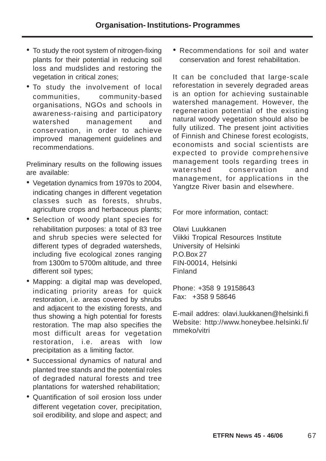- To study the root system of nitrogen-fixing plants for their potential in reducing soil loss and mudslides and restoring the vegetation in critical zones;
- To study the involvement of local communities, community-based organisations, NGOs and schools in awareness-raising and participatory watershed management and conservation, in order to achieve improved management guidelines and recommendations.

Preliminary results on the following issues are available:

- Vegetation dynamics from 1970s to 2004, indicating changes in different vegetation classes such as forests, shrubs, agriculture crops and herbaceous plants;
- Selection of woody plant species for rehabilitation purposes: a total of 83 tree and shrub species were selected for different types of degraded watersheds, including five ecological zones ranging from 1300m to 5700m altitude, and three different soil types;
- Mapping: a digital map was developed, indicating priority areas for quick restoration, i.e. areas covered by shrubs and adjacent to the existing forests, and thus showing a high potential for forests restoration. The map also specifies the most difficult areas for vegetation restoration, i.e. areas with low precipitation as a limiting factor.
- Successional dynamics of natural and planted tree stands and the potential roles of degraded natural forests and tree plantations for watershed rehabilitation;
- Quantification of soil erosion loss under different vegetation cover, precipitation, soil erodibility, and slope and aspect; and

• Recommendations for soil and water conservation and forest rehabilitation.

It can be concluded that large-scale reforestation in severely degraded areas is an option for achieving sustainable watershed management. However, the regeneration potential of the existing natural woody vegetation should also be fully utilized. The present joint activities of Finnish and Chinese forest ecologists, economists and social scientists are expected to provide comprehensive management tools regarding trees in watershed conservation and management, for applications in the Yangtze River basin and elsewhere.

For more information, contact:

Olavi Luukkanen Viikki Tropical Resources Institute University of Helsinki P.O.Box 27 FIN-00014, Helsinki Finland

Phone: +358 9 19158643 Fax: +358 9 58646

E-mail addres: olavi.luukkanen@helsinki.fi Website: http://www.honeybee.helsinki.fi/ mmeko/vitri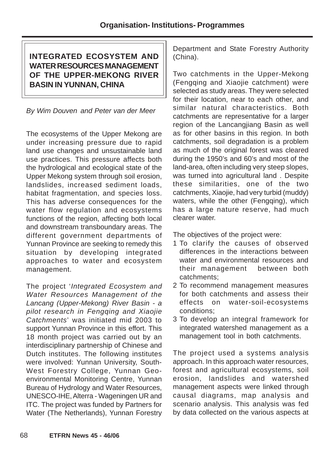# **INTEGRATED ECOSYSTEM AND WATER RESOURCES MANAGEMENT OF THE UPPER-MEKONG RIVER BASIN IN YUNNAN, CHINA**

By Wim Douven and Peter van der Meer

The ecosystems of the Upper Mekong are under increasing pressure due to rapid land use changes and unsustainable land use practices. This pressure affects both the hydrological and ecological state of the Upper Mekong system through soil erosion, landslides, increased sediment loads, habitat fragmentation, and species loss. This has adverse consequences for the water flow regulation and ecosystems functions of the region, affecting both local and downstream transboundary areas. The different government departments of Yunnan Province are seeking to remedy this situation by developing integrated approaches to water and ecosystem management.

The project 'Integrated Ecosystem and Water Resources Management of the Lancang (Upper-Mekong) River Basin - a pilot research in Fengqing and Xiaojie Catchments' was initiated mid 2003 to support Yunnan Province in this effort. This 18 month project was carried out by an interdisciplinary partnership of Chinese and Dutch institutes. The following institutes were involved: Yunnan University, South-West Forestry College, Yunnan Geoenvironmental Monitoring Centre, Yunnan Bureau of Hydrology and Water Resources, UNESCO-IHE, Alterra - Wageningen UR and ITC. The project was funded by Partners for Water (The Netherlands), Yunnan Forestry

Department and State Forestry Authority (China).

Two catchments in the Upper-Mekong (Fengqing and Xiaojie catchment) were selected as study areas. They were selected for their location, near to each other, and similar natural characteristics. Both catchments are representative for a larger region of the Lancangjiang Basin as well as for other basins in this region. In both catchments, soil degradation is a problem as much of the original forest was cleared during the 1950's and 60's and most of the land-area, often including very steep slopes, was turned into agricultural land . Despite these similarities, one of the two catchments, Xiaojie, had very turbid (muddy) waters, while the other (Fengqing), which has a large nature reserve, had much clearer water.

The objectives of the project were:

- 1 To clarify the causes of observed differences in the interactions between water and environmental resources and their management between both catchments;
- 2 To recommend management measures for both catchments and assess their effects on water-soil-ecosystems conditions;
- 3 To develop an integral framework for integrated watershed management as a management tool in both catchments.

The project used a systems analysis approach. In this approach water resources, forest and agricultural ecosystems, soil erosion, landslides and watershed management aspects were linked through causal diagrams, map analysis and scenario analysis. This analysis was fed by data collected on the various aspects at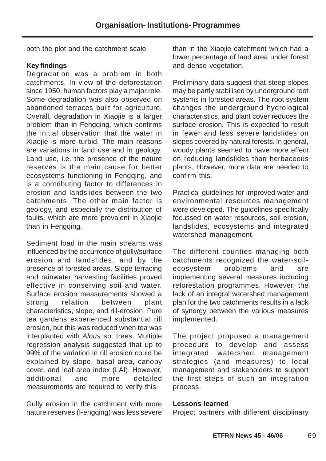both the plot and the catchment scale.

#### **Key findings**

Degradation was a problem in both catchments. In view of the deforestation since 1950, human factors play a major role. Some degradation was also observed on abandoned terraces built for agriculture. Overall, degradation in Xiaojie is a larger problem than in Fengqing, which confirms the initial observation that the water in Xiaojie is more turbid. The main reasons are variations in land use and in geology. Land use, i.e. the presence of the nature reserves is the main cause for better ecosystems functioning in Fengqing, and is a contributing factor to differences in erosion and landslides between the two catchments. The other main factor is geology, and especially the distribution of faults, which are more prevalent in Xiaojie than in Fengqing.

Sediment load in the main streams was influenced by the occurrence of gully/surface erosion and landslides, and by the presence of forested areas. Slope terracing and rainwater harvesting facilities proved effective in conserving soil and water. Surface erosion measurements showed a strong relation between plant characteristics, slope, and rill-erosion. Pure tea gardens experienced substantial rill erosion, but this was reduced when tea was interplanted with Alnus sp. trees. Multiple regression analysis suggested that up to 99% of the variation in rill erosion could be explained by slope, basal area, canopy cover, and leaf area index (LAI). However, additional and more detailed measurements are required to verify this.

Gully erosion in the catchment with more nature reserves (Fengqing) was less severe than in the Xiaojie catchment which had a lower percentage of land area under forest and dense vegetation.

Preliminary data suggest that steep slopes may be partly stabilised by underground root systems in forested areas. The root system changes the underground hydrological characteristics, and plant cover reduces the surface erosion. This is expected to result in fewer and less severe landslides on slopes covered by natural forests. In general, woody plants seemed to have more effect on reducing landslides than herbaceous plants. However, more data are needed to confirm this.

Practical guidelines for improved water and environmental resources management were developed. The guidelines specifically focussed on water resources, soil erosion, landslides, ecosystems and integrated watershed management.

The different counties managing both catchments recognized the water-soilecosystem problems and are implementing several measures including reforestation programmes. However, the lack of an integral watershed management plan for the two catchments results in a lack of synergy between the various measures implemented.

The project proposed a management procedure to develop and assess integrated watershed management strategies (and measures) to local management and stakeholders to support the first steps of such an integration process.

#### **Lessons learned**

Project partners with different disciplinary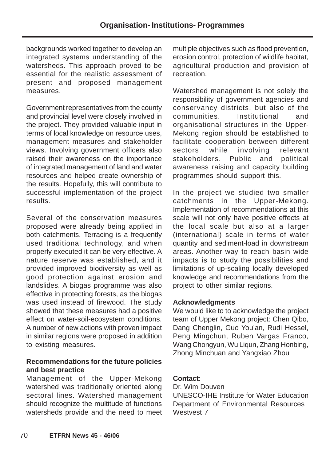backgrounds worked together to develop an integrated systems understanding of the watersheds. This approach proved to be essential for the realistic assessment of present and proposed management measures.

Government representatives from the county and provincial level were closely involved in the project. They provided valuable input in terms of local knowledge on resource uses, management measures and stakeholder views. Involving government officers also raised their awareness on the importance of integrated management of land and water resources and helped create ownership of the results. Hopefully, this will contribute to successful implementation of the project results.

Several of the conservation measures proposed were already being applied in both catchments. Terracing is a frequently used traditional technology, and when properly executed it can be very effective. A nature reserve was established, and it provided improved biodiversity as well as good protection against erosion and landslides. A biogas programme was also effective in protecting forests, as the biogas was used instead of firewood. The study showed that these measures had a positive effect on water-soil-ecosystem conditions. A number of new actions with proven impact in similar regions were proposed in addition to existing measures.

#### **Recommendations for the future policies and best practice**

Management of the Upper-Mekong watershed was traditionally oriented along sectoral lines. Watershed management should recognize the multitude of functions watersheds provide and the need to meet multiple objectives such as flood prevention, erosion control, protection of wildlife habitat, agricultural production and provision of recreation.

Watershed management is not solely the responsibility of government agencies and conservancy districts, but also of the communities. Institutional and organisational structures in the Upper-Mekong region should be established to facilitate cooperation between different sectors while involving relevant stakeholders. Public and political awareness raising and capacity building programmes should support this.

In the project we studied two smaller catchments in the Upper-Mekong. Implementation of recommendations at this scale will not only have positive effects at the local scale but also at a larger (international) scale in terms of water quantity and sediment-load in downstream areas. Another way to reach basin wide impacts is to study the possibilities and limitations of up-scaling locally developed knowledge and recommendations from the project to other similar regions.

#### **Acknowledgments**

We would like to to acknowledge the project team of Upper Mekong project: Chen Qibo, Dang Chenglin, Guo You'an, Rudi Hessel, Peng Mingchun, Ruben Vargas Franco, Wang Chongyun, Wu Liqun, Zhang Honbing, Zhong Minchuan and Yangxiao Zhou

#### **Contact**:

Dr. Wim Douven UNESCO-IHE Institute for Water Education Department of Environmental Resources Westvest **7**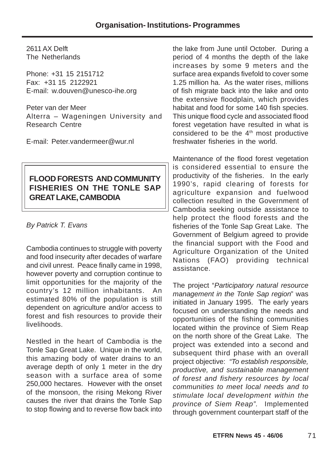2611 AX Delft The Netherlands

Phone: +31 15 2151712 Fax: +31 15 2122921 E-mail: w.douven@unesco-ihe.org

Peter van der Meer Alterra – Wageningen University and Research Centre

E-mail: Peter.vandermeer@wur.nl

# **FLOOD FORESTS AND COMMUNITY FISHERIES ON THE TONLE SAP GREAT LAKE, CAMBODIA**

By Patrick T. Evans

Cambodia continues to struggle with poverty and food insecurity after decades of warfare and civil unrest. Peace finally came in 1998, however poverty and corruption continue to limit opportunities for the majority of the country's 12 million inhabitants. An estimated 80% of the population is still dependent on agriculture and/or access to forest and fish resources to provide their livelihoods.

Nestled in the heart of Cambodia is the Tonle Sap Great Lake. Unique in the world, this amazing body of water drains to an average depth of only 1 meter in the dry season with a surface area of some 250,000 hectares. However with the onset of the monsoon, the rising Mekong River causes the river that drains the Tonle Sap to stop flowing and to reverse flow back into

the lake from June until October. During a period of 4 months the depth of the lake increases by some 9 meters and the surface area expands fivefold to cover some 1.25 million ha. As the water rises, millions of fish migrate back into the lake and onto the extensive floodplain, which provides habitat and food for some 140 fish species. This unique flood cycle and associated flood forest vegetation have resulted in what is considered to be the  $4<sup>th</sup>$  most productive freshwater fisheries in the world.

Maintenance of the flood forest vegetation is considered essential to ensure the productivity of the fisheries. In the early 1990's, rapid clearing of forests for agriculture expansion and fuelwood collection resulted in the Government of Cambodia seeking outside assistance to help protect the flood forests and the fisheries of the Tonle Sap Great Lake. The Government of Belgium agreed to provide the financial support with the Food and Agriculture Organization of the United Nations (FAO) providing technical assistance.

The project "Participatory natural resource management in the Tonle Sap region" was initiated in January 1995. The early years focused on understanding the needs and opportunities of the fishing communities located within the province of Siem Reap on the north shore of the Great Lake. The project was extended into a second and subsequent third phase with an overall project objective: "To establish responsible, productive, and sustainable management of forest and fishery resources by local communities to meet local needs and to stimulate local development within the province of Siem Reap". Implemented through government counterpart staff of the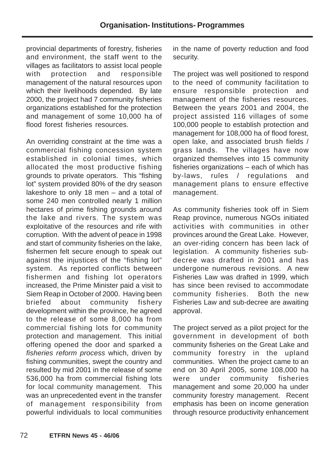provincial departments of forestry, fisheries and environment, the staff went to the villages as facilitators to assist local people with protection and responsible management of the natural resources upon which their livelihoods depended. By late 2000, the project had 7 community fisheries organizations established for the protection and management of some 10,000 ha of flood forest fisheries resources.

An overriding constraint at the time was a commercial fishing concession system established in colonial times, which allocated the most productive fishing grounds to private operators. This "fishing lot" system provided 80% of the dry season lakeshore to only 18 men – and a total of some 240 men controlled nearly 1 million hectares of prime fishing grounds around the lake and rivers. The system was exploitative of the resources and rife with corruption. With the advent of peace in 1998 and start of community fisheries on the lake, fishermen felt secure enough to speak out against the injustices of the "fishing lot" system. As reported conflicts between fishermen and fishing lot operators increased, the Prime Minister paid a visit to Siem Reap in October of 2000. Having been briefed about community fishery development within the province, he agreed to the release of some 8,000 ha from commercial fishing lots for community protection and management. This initial offering opened the door and sparked a fisheries reform process which, driven by fishing communities, swept the country and resulted by mid 2001 in the release of some 536,000 ha from commercial fishing lots for local community management. This was an unprecedented event in the transfer of management responsibility from powerful individuals to local communities

in the name of poverty reduction and food security.

The project was well positioned to respond to the need of community facilitation to ensure responsible protection and management of the fisheries resources. Between the years 2001 and 2004, the project assisted 116 villages of some 100,000 people to establish protection and management for 108,000 ha of flood forest, open lake, and associated brush fields / grass lands. The villages have now organized themselves into 15 community fisheries organizations – each of which has by-laws, rules / regulations and management plans to ensure effective management.

As community fisheries took off in Siem Reap province, numerous NGOs initiated activities with communities in other provinces around the Great Lake. However, an over-riding concern has been lack of legislation. A community fisheries subdecree was drafted in 2001 and has undergone numerous revisions. A new Fisheries Law was drafted in 1999, which has since been revised to accommodate community fisheries. Both the new Fisheries Law and sub-decree are awaiting approval.

The project served as a pilot project for the government in development of both community fisheries on the Great Lake and community forestry in the upland communities. When the project came to an end on 30 April 2005, some 108,000 ha were under community fisheries management and some 20,000 ha under community forestry management. Recent emphasis has been on income generation through resource productivity enhancement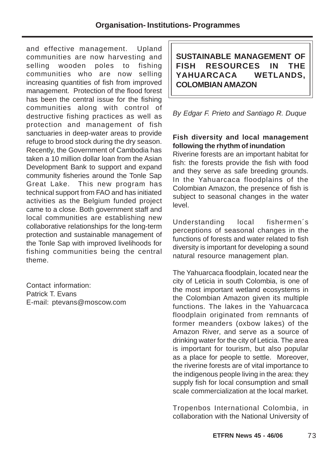and effective management. Upland communities are now harvesting and selling wooden poles to fishing communities who are now selling increasing quantities of fish from improved management. Protection of the flood forest has been the central issue for the fishing communities along with control of destructive fishing practices as well as protection and management of fish sanctuaries in deep-water areas to provide refuge to brood stock during the dry season. Recently, the Government of Cambodia has taken a 10 million dollar loan from the Asian Development Bank to support and expand community fisheries around the Tonle Sap Great Lake. This new program has technical support from FAO and has initiated activities as the Belgium funded project came to a close. Both government staff and local communities are establishing new collaborative relationships for the long-term protection and sustainable management of the Tonle Sap with improved livelihoods for fishing communities being the central theme.

Contact information: Patrick T. Evans E-mail: ptevans@moscow.com **SUSTAINABLE MANAGEMENT OF FISH RESOURCES IN THE YAHUARCACA WETLANDS, COLOMBIAN AMAZON**

By Edgar F. Prieto and Santiago R. Duque

## **Fish diversity and local management following the rhythm of inundation**

Riverine forests are an important habitat for fish: the forests provide the fish with food and they serve as safe breeding grounds. In the Yahuarcaca floodplains of the Colombian Amazon, the presence of fish is subject to seasonal changes in the water level.

Understanding local fishermen´s perceptions of seasonal changes in the functions of forests and water related to fish diversity is important for developing a sound natural resource management plan.

The Yahuarcaca floodplain, located near the city of Leticia in south Colombia, is one of the most important wetland ecosystems in the Colombian Amazon given its multiple functions. The lakes in the Yahuarcaca floodplain originated from remnants of former meanders (oxbow lakes) of the Amazon River, and serve as a source of drinking water for the city of Leticia. The area is important for tourism, but also popular as a place for people to settle. Moreover, the riverine forests are of vital importance to the indigenous people living in the area: they supply fish for local consumption and small scale commercialization at the local market.

Tropenbos International Colombia, in collaboration with the National University of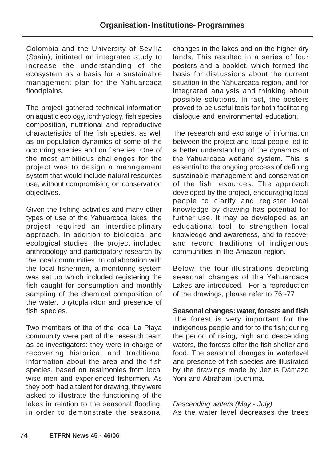Colombia and the University of Sevilla (Spain), initiated an integrated study to increase the understanding of the ecosystem as a basis for a sustainable management plan for the Yahuarcaca floodplains.

The project gathered technical information on aquatic ecology, ichthyology, fish species composition, nutritional and reproductive characteristics of the fish species, as well as on population dynamics of some of the occurring species and on fisheries. One of the most ambitious challenges for the project was to design a management system that would include natural resources use, without compromising on conservation objectives.

Given the fishing activities and many other types of use of the Yahuarcaca lakes, the project required an interdisciplinary approach. In addition to biological and ecological studies, the project included anthropology and participatory research by the local communities. In collaboration with the local fishermen, a monitoring system was set up which included registering the fish caught for consumption and monthly sampling of the chemical composition of the water, phytoplankton and presence of fish species.

Two members of the of the local La Playa community were part of the research team as co-investigators: they were in charge of recovering historical and traditional information about the area and the fish species, based on testimonies from local wise men and experienced fishermen. As they both had a talent for drawing, they were asked to illustrate the functioning of the lakes in relation to the seasonal flooding, in order to demonstrate the seasonal changes in the lakes and on the higher dry lands. This resulted in a series of four posters and a booklet, which formed the basis for discussions about the current situation in the Yahuarcaca region, and for integrated analysis and thinking about possible solutions. In fact, the posters proved to be useful tools for both facilitating dialogue and environmental education.

The research and exchange of information between the project and local people led to a better understanding of the dynamics of the Yahuarcaca wetland system. This is essential to the ongoing process of defining sustainable management and conservation of the fish resources. The approach developed by the project, encouraging local people to clarify and register local knowledge by drawing has potential for further use. It may be developed as an educational tool, to strengthen local knowledge and awareness, and to recover and record traditions of indigenous communities in the Amazon region.

Below, the four illustrations depicting seasonal changes of the Yahuarcaca Lakes are introduced. For a reproduction of the drawings, please refer to 76 -77

#### **Seasonal changes: water, forests and fish**

The forest is very important for the indigenous people and for to the fish; during the period of rising, high and descending waters, the forests offer the fish shelter and food. The seasonal changes in waterlevel and presence of fish species are illustrated by the drawings made by Jezus Dámazo Yoni and Abraham Ipuchima.

Descending waters (May - July) As the water level decreases the trees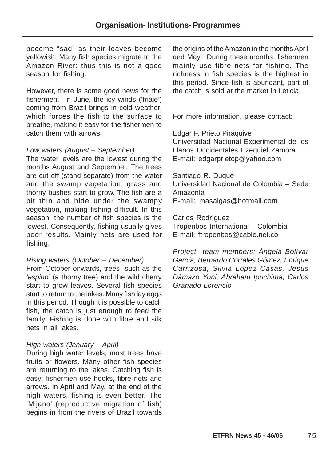become "sad" as their leaves become yellowish. Many fish species migrate to the Amazon River: thus this is not a good season for fishing.

However, there is some good news for the fishermen. In June, the icy winds ('friaje') coming from Brazil brings in cold weather, which forces the fish to the surface to breathe, making it easy for the fishermen to catch them with arrows.

#### Low waters (August – September)

The water levels are the lowest during the months August and September. The trees are cut off (stand separate) from the water and the swamp vegetation; grass and thorny bushes start to grow. The fish are a bit thin and hide under the swampy vegetation, making fishing difficult. In this season, the number of fish species is the lowest. Consequently, fishing usually gives poor results. Mainly nets are used for fishing.

#### Rising waters (October – December)

From October onwards, trees such as the 'espino' (a thorny tree) and the wild cherry start to grow leaves. Several fish species start to return to the lakes. Many fish lay eggs in this period. Though it is possible to catch fish, the catch is just enough to feed the family. Fishing is done with fibre and silk nets in all lakes.

#### High waters (January – April)

During high water levels, most trees have fruits or flowers. Many other fish species are returning to the lakes. Catching fish is easy: fishermen use hooks, fibre nets and arrows. In April and May, at the end of the high waters, fishing is even better. The 'Mijano' (reproductive migration of fish) begins in from the rivers of Brazil towards

the origins of the Amazon in the months April and May. During these months, fishermen mainly use fibre nets for fishing. The richness in fish species is the highest in this period. Since fish is abundant, part of the catch is sold at the market in Leticia.

For more information, please contact:

Edgar F. Prieto Piraquive Universidad Nacional Experimental de los Llanos Occidentales Ezequiel Zamora E-mail: edgarprietop@yahoo.com

Santiago R. Duque Universidad Nacional de Colombia – Sede Amazonía E-mail: masalgas@hotmail.com

Carlos Rodríguez Tropenbos International - Colombia E-mail: ftropenbos@cable.net.co

Project team members: Ángela Bolívar García, Bernardo Corrales Gómez, Enrique Carrizosa, Silvia Lopez Casas, Jesus Dámazo Yoni, Abraham Ipuchima, Carlos Granado-Lorencio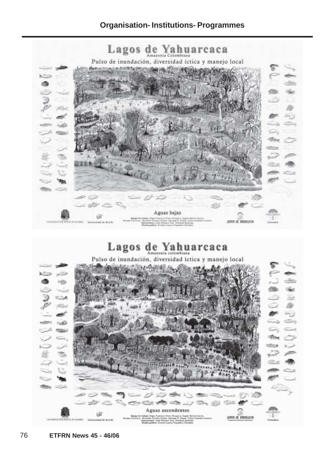# **Organisation- Institutions- Programmes**

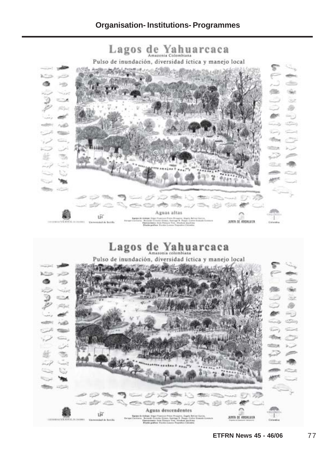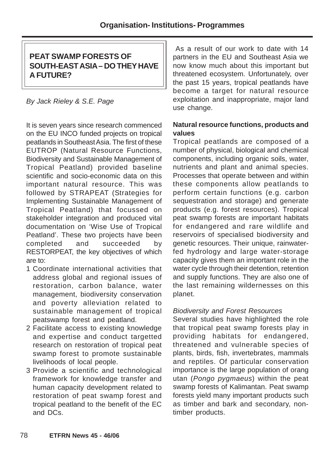# **PEAT SWAMP FORESTS OF SOUTH-EAST ASIA – DO THEY HAVE A FUTURE?**

## By Jack Rieley & S.E. Page

It is seven years since research commenced on the EU INCO funded projects on tropical peatlands in Southeast Asia. The first of these EUTROP (Natural Resource Functions, Biodiversity and Sustainable Management of Tropical Peatland) provided baseline scientific and socio-economic data on this important natural resource. This was followed by STRAPEAT (Strategies for Implementing Sustainable Management of Tropical Peatland) that focussed on stakeholder integration and produced vital documentation on 'Wise Use of Tropical Peatland'. These two projects have been completed and succeeded by RESTORPEAT, the key objectives of which are to:

- 1 Coordinate international activities that address global and regional issues of restoration, carbon balance, water management, biodiversity conservation and poverty alleviation related to sustainable management of tropical peatswamp forest and peatland.
- 2 Facilitate access to existing knowledge and expertise and conduct targetted research on restoration of tropical peat swamp forest to promote sustainable livelihoods of local people.
- 3 Provide a scientific and technological framework for knowledge transfer and human capacity development related to restoration of peat swamp forest and tropical peatland to the benefit of the EC and DCs.

 As a result of our work to date with 14 partners in the EU and Southeast Asia we now know much about this important but threatened ecosystem. Unfortunately, over the past 15 years, tropical peatlands have become a target for natural resource exploitation and inappropriate, major land use change.

## **Natural resource functions, products and values**

Tropical peatlands are composed of a number of physical, biological and chemical components, including organic soils, water, nutrients and plant and animal species. Processes that operate between and within these components allow peatlands to perform certain functions (e.g. carbon sequestration and storage) and generate products (e.g. forest resources). Tropical peat swamp forests are important habitats for endangered and rare wildlife and reservoirs of specialised biodiversity and genetic resources. Their unique, rainwaterfed hydrology and large water-storage capacity gives them an important role in the water cycle through their detention, retention and supply functions. They are also one of the last remaining wildernesses on this planet.

### Biodiversity and Forest Resources

Several studies have highlighted the role that tropical peat swamp forests play in providing habitats for endangered, threatened and vulnerable species of plants, birds, fish, invertebrates, mammals and reptiles. Of particular conservation importance is the large population of orang utan (Pongo pygmaeus) within the peat swamp forests of Kalimantan. Peat swamp forests yield many important products such as timber and bark and secondary, nontimber products.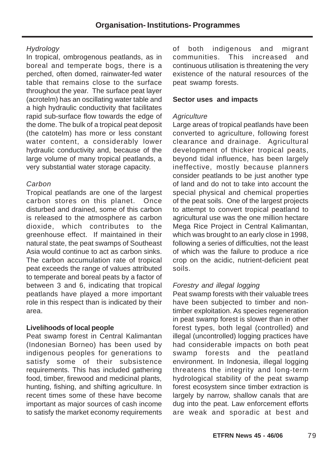## **Hydrology**

In tropical, ombrogenous peatlands, as in boreal and temperate bogs, there is a perched, often domed, rainwater-fed water table that remains close to the surface throughout the year. The surface peat layer (acrotelm) has an oscillating water table and a high hydraulic conductivity that facilitates rapid sub-surface flow towards the edge of the dome. The bulk of a tropical peat deposit (the catotelm) has more or less constant water content, a considerably lower hydraulic conductivity and, because of the large volume of many tropical peatlands, a very substantial water storage capacity.

### **Carbon**

Tropical peatlands are one of the largest carbon stores on this planet. Once disturbed and drained, some of this carbon is released to the atmosphere as carbon dioxide, which contributes to the greenhouse effect. If maintained in their natural state, the peat swamps of Southeast Asia would continue to act as carbon sinks. The carbon accumulation rate of tropical peat exceeds the range of values attributed to temperate and boreal peats by a factor of between 3 and 6, indicating that tropical peatlands have played a more important role in this respect than is indicated by their area.

## **Livelihoods of local people**

Peat swamp forest in Central Kalimantan (Indonesian Borneo) has been used by indigenous peoples for generations to satisfy some of their subsistence requirements. This has included gathering food, timber, firewood and medicinal plants, hunting, fishing, and shifting agriculture. In recent times some of these have become important as major sources of cash income to satisfy the market economy requirements

of both indigenous and migrant communities. This increased and continuous utilisation is threatening the very existence of the natural resources of the peat swamp forests.

### **Sector uses and impacts**

## **Agriculture**

Large areas of tropical peatlands have been converted to agriculture, following forest clearance and drainage. Agricultural development of thicker tropical peats, beyond tidal influence, has been largely ineffective, mostly because planners consider peatlands to be just another type of land and do not to take into account the special physical and chemical properties of the peat soils. One of the largest projects to attempt to convert tropical peatland to agricultural use was the one million hectare Mega Rice Project in Central Kalimantan, which was brought to an early close in 1998, following a series of difficulties, not the least of which was the failure to produce a rice crop on the acidic, nutrient-deficient peat soils.

## Forestry and illegal logging

Peat swamp forests with their valuable trees have been subjected to timber and nontimber exploitation. As species regeneration in peat swamp forest is slower than in other forest types, both legal (controlled) and illegal (uncontrolled) logging practices have had considerable impacts on both peat swamp forests and the peatland environment. In Indonesia, illegal logging threatens the integrity and long-term hydrological stability of the peat swamp forest ecosystem since timber extraction is largely by narrow, shallow canals that are dug into the peat. Law enforcement efforts are weak and sporadic at best and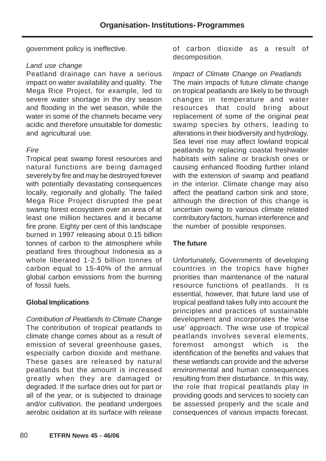government policy is ineffective.

#### Land use change

Peatland drainage can have a serious impact on water availability and quality. The Mega Rice Project, for example, led to severe water shortage in the dry season and flooding in the wet season, while the water in some of the channels became very acidic and therefore unsuitable for domestic and agricultural use.

## Fire

Tropical peat swamp forest resources and natural functions are being damaged severely by fire and may be destroyed forever with potentially devastating consequences locally, regionally and globally. The failed Mega Rice Project disrupted the peat swamp forest ecosystem over an area of at least one million hectares and it became fire prone. Eighty per cent of this landscape burned in 1997 releasing about 0.15 billion tonnes of carbon to the atmosphere while peatland fires throughout Indonesia as a whole liberated 1-2.5 billion tonnes of carbon equal to 15-40% of the annual global carbon emissions from the burning of fossil fuels.

### **Global Implications**

Contribution of Peatlands to Climate Change The contribution of tropical peatlands to climate change comes about as a result of emission of several greenhouse gases, especially carbon dioxide and methane. These gases are released by natural peatlands but the amount is increased greatly when they are damaged or degraded. If the surface dries out for part or all of the year, or is subjected to drainage and/or cultivation, the peatland undergoes aerobic oxidation at its surface with release of carbon dioxide as a result of decomposition.

## Impact of Climate Change on Peatlands

The main impacts of future climate change on tropical peatlands are likely to be through changes in temperature and water resources that could bring about replacement of some of the original peat swamp species by others, leading to alterations in their biodiversity and hydrology. Sea level rise may affect lowland tropical peatlands by replacing coastal freshwater habitats with saline or brackish ones or causing enhanced flooding further inland with the extension of swamp and peatland in the interior. Climate change may also affect the peatland carbon sink and store, although the direction of this change is uncertain owing to various climate related contributory factors, human interference and the number of possible responses.

## **The future**

Unfortunately, Governments of developing countries in the tropics have higher priorities than maintenance of the natural resource functions of peatlands. It is essential, however, that future land use of tropical peatland takes fully into account the principles and practices of sustainable development and incorporates the 'wise use' approach. The wise use of tropical peatlands involves several elements, foremost amongst which is the identification of the benefits and values that these wetlands can provide and the adverse environmental and human consequences resulting from their disturbance. In this way, the role that tropical peatlands play in providing goods and services to society can be assessed properly and the scale and consequences of various impacts forecast.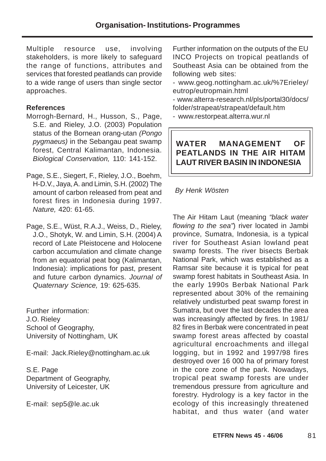Multiple resource use, involving stakeholders, is more likely to safeguard the range of functions, attributes and services that forested peatlands can provide to a wide range of users than single sector approaches.

## **References**

Morrogh-Bernard, H., Husson, S., Page, S.E. and Rieley, J.O. (2003) Population status of the Bornean orang-utan (Pongo pygmaeus) in the Sebangau peat swamp forest, Central Kalimantan, Indonesia. Biological Conservation, 110: 141-152.

- Page, S.E., Siegert, F., Rieley, J.O., Boehm, H-D.V., Jaya, A. and Limin, S.H. (2002) The amount of carbon released from peat and forest fires in Indonesia during 1997. Nature, 420: 61-65.
- Page, S.E., Wüst, R.A.J., Weiss, D., Rieley, J.O., Shotyk, W. and Limin, S.H. (2004) A record of Late Pleistocene and Holocene carbon accumulation and climate change from an equatorial peat bog (Kalimantan, Indonesia): implications for past, present and future carbon dynamics. Journal of Quaternary Science, 19: 625-635.

Further information: J.O. Rieley School of Geography, University of Nottingham, UK

E-mail: Jack.Rieley@nottingham.ac.uk

S.E. Page Department of Geography, University of Leicester, UK

E-mail: sep5@le.ac.uk

Further information on the outputs of the EU INCO Projects on tropical peatlands of Southeast Asia can be obtained from the following web sites:

- www.geog.nottingham.ac.uk/%7Erieley/ eutrop/eutropmain.html
- www.alterra-research.nl/pls/portal30/docs/ folder/strapeat/strapeat/default.htm
- www.restorpeat.alterra.wur.nl

# **WATER MANAGEMENT OF PEATLANDS IN THE AIR HITAM LAUT RIVER BASIN IN INDONESIA**

## By Henk Wösten

The Air Hitam Laut (meaning "black water flowing to the sea") river located in Jambi province, Sumatra, Indonesia, is a typical river for Southeast Asian lowland peat swamp forests. The river bisects Berbak National Park, which was established as a Ramsar site because it is typical for peat swamp forest habitats in Southeast Asia. In the early 1990s Berbak National Park represented about 30% of the remaining relatively undisturbed peat swamp forest in Sumatra, but over the last decades the area was increasingly affected by fires. In 1981/ 82 fires in Berbak were concentrated in peat swamp forest areas affected by coastal agricultural encroachments and illegal logging, but in 1992 and 1997/98 fires destroyed over 16 000 ha of primary forest in the core zone of the park. Nowadays, tropical peat swamp forests are under tremendous pressure from agriculture and forestry. Hydrology is a key factor in the ecology of this increasingly threatened habitat, and thus water (and water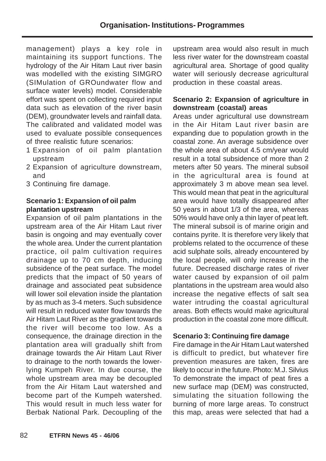management) plays a key role in maintaining its support functions. The hydrology of the Air Hitam Laut river basin was modelled with the existing SIMGRO (SIMulation of GROundwater flow and surface water levels) model. Considerable effort was spent on collecting required input data such as elevation of the river basin (DEM), groundwater levels and rainfall data. The calibrated and validated model was used to evaluate possible consequences of three realistic future scenarios:

- 1 Expansion of oil palm plantation upstream
- 2 Expansion of agriculture downstream, and
- 3 Continuing fire damage.

## **Scenario 1: Expansion of oil palm plantation upstream**

Expansion of oil palm plantations in the upstream area of the Air Hitam Laut river basin is ongoing and may eventually cover the whole area. Under the current plantation practice, oil palm cultivation requires drainage up to 70 cm depth, inducing subsidence of the peat surface. The model predicts that the impact of 50 years of drainage and associated peat subsidence will lower soil elevation inside the plantation by as much as 3-4 meters. Such subsidence will result in reduced water flow towards the Air Hitam Laut River as the gradient towards the river will become too low. As a consequence, the drainage direction in the plantation area will gradually shift from drainage towards the Air Hitam Laut River to drainage to the north towards the lowerlying Kumpeh River. In due course, the whole upstream area may be decoupled from the Air Hitam Laut watershed and become part of the Kumpeh watershed. This would result in much less water for Berbak National Park. Decoupling of the upstream area would also result in much less river water for the downstream coastal agricultural area. Shortage of good quality water will seriously decrease agricultural production in these coastal areas.

#### **Scenario 2: Expansion of agriculture in downstream (coastal) areas**

Areas under agricultural use downstream in the Air Hitam Laut river basin are expanding due to population growth in the coastal zone. An average subsidence over the whole area of about 4.5 cm/year would result in a total subsidence of more than 2 meters after 50 years. The mineral subsoil in the agricultural area is found at approximately 3 m above mean sea level. This would mean that peat in the agricultural area would have totally disappeared after 50 years in about 1/3 of the area, whereas 50% would have only a thin layer of peat left. The mineral subsoil is of marine origin and contains pyrite. It is therefore very likely that problems related to the occurrence of these acid sulphate soils, already encountered by the local people, will only increase in the future. Decreased discharge rates of river water caused by expansion of oil palm plantations in the upstream area would also increase the negative effects of salt sea water intruding the coastal agricultural areas. Both effects would make agricultural production in the coastal zone more difficult.

### **Scenario 3: Continuing fire damage**

Fire damage in the Air Hitam Laut watershed is difficult to predict, but whatever fire prevention measures are taken, fires are likely to occur in the future. Photo: M.J. Silvius To demonstrate the impact of peat fires a new surface map (DEM) was constructed, simulating the situation following the burning of more large areas. To construct this map, areas were selected that had a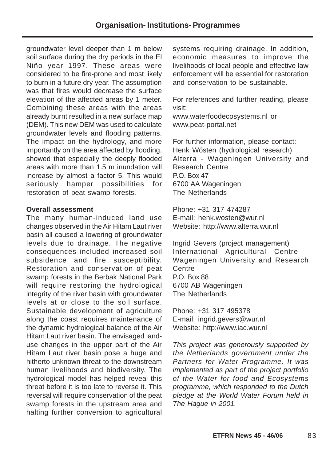groundwater level deeper than 1 m below soil surface during the dry periods in the El Niño year 1997. These areas were considered to be fire-prone and most likely to burn in a future dry year. The assumption was that fires would decrease the surface elevation of the affected areas by 1 meter. Combining these areas with the areas already burnt resulted in a new surface map (DEM). This new DEM was used to calculate groundwater levels and flooding patterns. The impact on the hydrology, and more importantly on the area affected by flooding, showed that especially the deeply flooded areas with more than 1.5 m inundation will increase by almost a factor 5. This would seriously hamper possibilities for restoration of peat swamp forests.

#### **Overall assessment**

The many human-induced land use changes observed in the Air Hitam Laut river basin all caused a lowering of groundwater levels due to drainage. The negative consequences included increased soil subsidence and fire susceptibility. Restoration and conservation of peat swamp forests in the Berbak National Park will require restoring the hydrological integrity of the river basin with groundwater levels at or close to the soil surface. Sustainable development of agriculture along the coast requires maintenance of the dynamic hydrological balance of the Air Hitam Laut river basin. The envisaged landuse changes in the upper part of the Air Hitam Laut river basin pose a huge and hitherto unknown threat to the downstream human livelihoods and biodiversity. The hydrological model has helped reveal this threat before it is too late to reverse it. This reversal will require conservation of the peat swamp forests in the upstream area and halting further conversion to agricultural

systems requiring drainage. In addition, economic measures to improve the livelihoods of local people and effective law enforcement will be essential for restoration and conservation to be sustainable.

For references and further reading, please visit:

www.waterfoodecosystems.nl or www.peat-portal.net

For further information, please contact: Henk Wösten (hydrological research) Alterra - Wageningen University and Research Centre P.O. Box 47 6700 AA Wageningen The Netherlands

Phone: +31 317 474287 E-mail: henk.wosten@wur.nl Website: http://www.alterra.wur.nl

Ingrid Gevers (project management) International Agricultural Centre Wageningen University and Research Centre P.O. Box 88 6700 AB Wageningen The Netherlands

Phone: +31 317 495378 E-mail: ingrid.gevers@wur.nl Website: http://www.iac.wur.nl

This project was generously supported by the Netherlands government under the Partners for Water Programme. It was implemented as part of the project portfolio of the Water for food and Ecosystems programme, which responded to the Dutch pledge at the World Water Forum held in The Hague in 2001.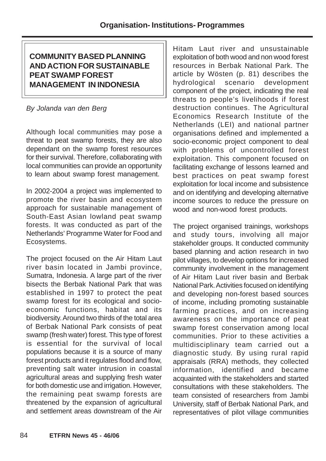# **COMMUNITY BASED PLANNING AND ACTION FOR SUSTAINABLE PEAT SWAMP FOREST MANAGEMENT IN INDONESIA**

# By Jolanda van den Berg

Although local communities may pose a threat to peat swamp forests, they are also dependant on the swamp forest resources for their survival. Therefore, collaborating with local communities can provide an opportunity to learn about swamp forest management.

In 2002-2004 a project was implemented to promote the river basin and ecosystem approach for sustainable management of South-East Asian lowland peat swamp forests. It was conducted as part of the Netherlands' Programme Water for Food and Ecosystems.

The project focused on the Air Hitam Laut river basin located in Jambi province, Sumatra, Indonesia. A large part of the river bisects the Berbak National Park that was established in 1997 to protect the peat swamp forest for its ecological and socioeconomic functions, habitat and its biodiversity. Around two thirds of the total area of Berbak National Park consists of peat swamp (fresh water) forest. This type of forest is essential for the survival of local populations because it is a source of many forest products and it regulates flood and flow, preventing salt water intrusion in coastal agricultural areas and supplying fresh water for both domestic use and irrigation. However, the remaining peat swamp forests are threatened by the expansion of agricultural and settlement areas downstream of the Air

Hitam Laut river and unsustainable exploitation of both wood and non wood forest resources in Berbak National Park. The article by Wösten (p. 81) describes the hydrological scenario development component of the project, indicating the real threats to people's livelihoods if forest destruction continues. The Agricultural Economics Research Institute of the Netherlands (LEI) and national partner organisations defined and implemented a socio-economic project component to deal with problems of uncontrolled forest exploitation. This component focused on facilitating exchange of lessons learned and best practices on peat swamp forest exploitation for local income and subsistence and on identifying and developing alternative income sources to reduce the pressure on wood and non-wood forest products.

The project organised trainings, workshops and study tours, involving all major stakeholder groups. It conducted community based planning and action research in two pilot villages, to develop options for increased community involvement in the management of Air Hitam Laut river basin and Berbak National Park. Activities focused on identifying and developing non-forest based sources of income, including promoting sustainable farming practices, and on increasing awareness on the importance of peat swamp forest conservation among local communities. Prior to these activities a multidisciplinary team carried out a diagnostic study. By using rural rapid appraisals (RRA) methods, they collected information, identified and became acquainted with the stakeholders and started consultations with these stakeholders. The team consisted of researchers from Jambi University, staff of Berbak National Park, and representatives of pilot village communities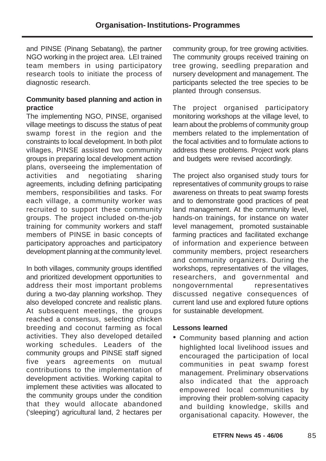and PINSE (Pinang Sebatang), the partner NGO working in the project area. LEI trained team members in using participatory research tools to initiate the process of diagnostic research.

## **Community based planning and action in practice**

The implementing NGO, PINSE, organised village meetings to discuss the status of peat swamp forest in the region and the constraints to local development. In both pilot villages, PINSE assisted two community groups in preparing local development action plans, overseeing the implementation of activities and negotiating sharing agreements, including defining participating members, responsibilities and tasks. For each village, a community worker was recruited to support these community groups. The project included on-the-job training for community workers and staff members of PINSE in basic concepts of participatory approaches and participatory development planning at the community level.

In both villages, community groups identified and prioritized development opportunities to address their most important problems during a two-day planning workshop. They also developed concrete and realistic plans. At subsequent meetings, the groups reached a consensus, selecting chicken breeding and coconut farming as focal activities. They also developed detailed working schedules. Leaders of the community groups and PINSE staff signed five years agreements on mutual contributions to the implementation of development activities. Working capital to implement these activities was allocated to the community groups under the condition that they would allocate abandoned ('sleeping') agricultural land, 2 hectares per

community group, for tree growing activities. The community groups received training on tree growing, seedling preparation and nursery development and management. The participants selected the tree species to be planted through consensus.

The project organised participatory monitoring workshops at the village level, to learn about the problems of community group members related to the implementation of the focal activities and to formulate actions to address these problems. Project work plans and budgets were revised accordingly.

The project also organised study tours for representatives of community groups to raise awareness on threats to peat swamp forests and to demonstrate good practices of peat land management. At the community level, hands-on trainings, for instance on water level management, promoted sustainable farming practices and facilitated exchange of information and experience between community members, project researchers and community organizers. During the workshops, representatives of the villages, researchers, and governmental and nongovernmental representatives discussed negative consequences of current land use and explored future options for sustainable development.

## **Lessons learned**

• Community based planning and action highlighted local livelihood issues and encouraged the participation of local communities in peat swamp forest management. Preliminary observations also indicated that the approach empowered local communities by improving their problem-solving capacity and building knowledge, skills and organisational capacity. However, the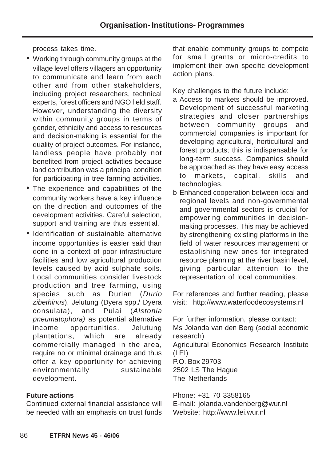process takes time.

- Working through community groups at the village level offers villagers an opportunity to communicate and learn from each other and from other stakeholders, including project researchers, technical experts, forest officers and NGO field staff. However, understanding the diversity within community groups in terms of gender, ethnicity and access to resources and decision-making is essential for the quality of project outcomes. For instance, landless people have probably not benefited from project activities because land contribution was a principal condition for participating in tree farming activities.
- The experience and capabilities of the community workers have a key influence on the direction and outcomes of the development activities. Careful selection, support and training are thus essential.
- Identification of sustainable alternative income opportunities is easier said than done in a context of poor infrastructure facilities and low agricultural production levels caused by acid sulphate soils. Local communities consider livestock production and tree farming, using species such as Durian (Durio zibethinus), Jelutung (Dyera spp./ Dyera consulata), and Pulai (Alstonia pneumatophora) as potential alternative income opportunities. Jelutung plantations, which are already commercially managed in the area, require no or minimal drainage and thus offer a key opportunity for achieving environmentally sustainable development.

## **Future actions**

Continued external financial assistance will be needed with an emphasis on trust funds

that enable community groups to compete for small grants or micro-credits to implement their own specific development action plans.

Key challenges to the future include:

- a Access to markets should be improved. Development of successful marketing strategies and closer partnerships between community groups and commercial companies is important for developing agricultural, horticultural and forest products; this is indispensable for long-term success. Companies should be approached as they have easy access to markets, capital, skills and technologies.
- b Enhanced cooperation between local and regional levels and non-governmental and governmental sectors is crucial for empowering communities in decisionmaking processes. This may be achieved by strengthening existing platforms in the field of water resources management or establishing new ones for integrated resource planning at the river basin level, giving particular attention to the representation of local communities.

For references and further reading, please visit: http://www.waterfoodecosystems.nl

For further information, please contact: Ms Jolanda van den Berg (social economic research) Agricultural Economics Research Institute (LEI) P.O. Box 29703 2502 LS The Hague The Netherlands

Phone: +31 70 3358165 E-mail: jolanda.vandenberg@wur.nl Website: http://www.lei.wur.nl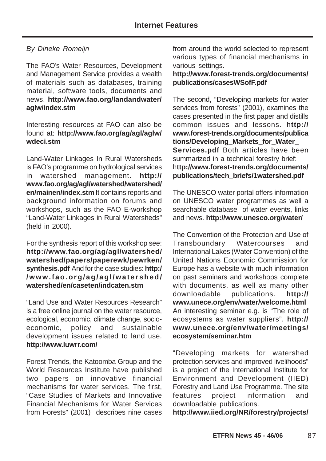## By Dineke Romeijn

The FAO's Water Resources, Development and Management Service provides a wealth of materials such as databases, training material, software tools, documents and news. **http://www.fao.org/landandwater/ aglw/index.stm**

Interesting resources at FAO can also be found at: **http://www.fao.org/ag/agl/aglw/ wdeci.stm**

Land-Water Linkages In Rural Watersheds is FAO's programme on hydrological services in watershed management. **http:// www.fao.org/ag/agl/watershed/watershed/ en/mainen/index.stm** It contains reports and background information on forums and workshops, such as the FAO E-workshop "Land-Water Linkages in Rural Watersheds" (held in 2000).

For the synthesis report of this workshop see: **http://www.fao.org/ag/agl/watershed/ watershed/papers/paperewk/pewrken/ synthesis.pdf** And for the case studies: **http:/ /www.fao.org/ag/agl/watershed/ watershed/en/caseten/indcaten.stm**

"Land Use and Water Resources Research" is a free online journal on the water resource, ecological, economic, climate change, socioeconomic, policy and sustainable development issues related to land use. **http://www.luwrr.com/**

Forest Trends, the Katoomba Group and the World Resources Institute have published two papers on innovative financial mechanisms for water services. The first, "Case Studies of Markets and Innovative Financial Mechanisms for Water Services from Forests" (2001) describes nine cases from around the world selected to represent various types of financial mechanisms in various settings.

## **http://www.forest-trends.org/documents/ publications/casesWSofF.pdf**

The second, "Developing markets for water services from forests" (2001), examines the cases presented in the first paper and distills common issues and lessons. h**ttp:// www.forest-trends.org/documents/publica tions/Developing\_Markets\_for\_Water\_ Services.pdf** Both articles have been summarized in a technical forestry brief: h**ttp://www.forest-trends.org/documents/ publications/tech\_briefs/1watershed.pdf**

The UNESCO water portal offers information on UNESCO water programmes as well a searchable database of water events, links and news. **http://www.unesco.org/water/**

The Convention of the Protection and Use of Transboundary Watercourses and International Lakes (Water Convention) of the United Nations Economic Commission for Europe has a website with much information on past seminars and workshops complete with documents, as well as many other downloadable publications. **http:// www.unece.org/env/water/welcome.html** An interesting seminar e.g. is "The role of ecosystems as water suppliers". **http:// www.unece.org/env/water/meetings/ ecosystem/seminar.htm**

"Developing markets for watershed protection services and improved livelihoods" is a project of the International Institute for Environment and Development (IIED) Forestry and Land Use Programme. The site features project information and downloadable publications.

**http://www.iied.org/NR/forestry/projects/**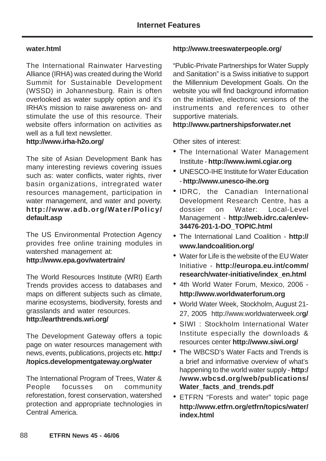#### **water.html**

The International Rainwater Harvesting Alliance (IRHA) was created during the World Summit for Sustainable Development (WSSD) in Johannesburg. Rain is often overlooked as water supply option and it's IRHA's mission to raise awareness on- and stimulate the use of this resource. Their website offers information on activities as well as a full text newsletter.

#### **http://www.irha-h2o.org/**

The site of Asian Development Bank has many interesting reviews covering issues such as: water conflicts, water rights, river basin organizations, intregrated water resources management, participation in water management, and water and poverty. **http://www.adb.org/Water/Policy/ default.asp**

The US Environmental Protection Agency provides free online training modules in watershed management at:

## **http://www.epa.gov/watertrain/**

The World Resources Institute (WRI) Earth Trends provides access to databases and maps on different subjects such as climate, marine ecosystems, biodiversity, forests and grasslands and water resources.

## **http://earthtrends.wri.org/**

The Development Gateway offers a topic page on water resources management with news, events, publications, projects etc. **http:/ /topics.developmentgateway.org/water**

The International Program of Trees, Water & People focusses on community reforestation, forest conservation, watershed protection and appropriate technologies in Central America.

#### **http://www.treeswaterpeople.org/**

"Public-Private Partnerships for Water Supply and Sanitation" is a Swiss initiative to support the Millennium Development Goals. On the website you will find background information on the initiative, electronic versions of the instruments and references to other supportive materials.

#### **http://www.partnershipsforwater.net**

Other sites of interest:

- The International Water Management Institute - **http://www.iwmi.cgiar.org**
- UNESCO-IHE Institute for Water Education - **http://www.unesco-ihe.org**
- IDRC, the Canadian International Development Research Centre, has a dossier on Water: Local-Level Management - **http://web.idrc.ca/en/ev-34476-201-1-DO\_TOPIC.html**
- The International Land Coalition **http:// www.landcoalition.org/**
- Water for Life is the website of the FU Water Initiative - **http://europa.eu.int/comm/ research/water-initiative/index\_en.html**
- 4th World Water Forum, Mexico, 2006 **http://www.worldwaterforum.org**
- World Water Week, Stockholm, August 21- 27, 2005 http://www.worldwaterweek.or**g/**
- SIWI : Stockholm International Water Institute especially the downloads & resources center **http://www.siwi.org/**
- The WBCSD's Water Facts and Trends is a brief and informative overview of what's happening to the world water supply - **http:/ /www.wbcsd.org/web/publications/** Water facts and trends.pdf
- ETFRN "Forests and water" topic page **http://www.etfrn.org/etfrn/topics/water/ index.html**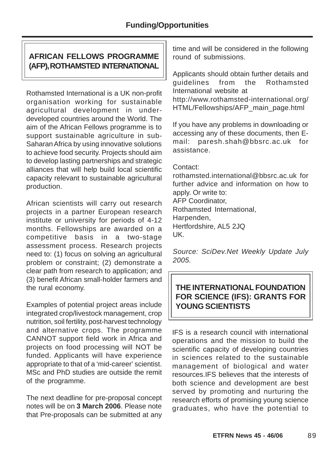# **AFRICAN FELLOWS PROGRAMME (AFP), ROTHAMSTED INTERNATIONAL**

Rothamsted International is a UK non-profit organisation working for sustainable agricultural development in underdeveloped countries around the World. The aim of the African Fellows programme is to support sustainable agriculture in sub-Saharan Africa by using innovative solutions to achieve food security. Projects should aim to develop lasting partnerships and strategic alliances that will help build local scientific capacity relevant to sustainable agricultural production.

African scientists will carry out research projects in a partner European research institute or university for periods of 4-12 months. Fellowships are awarded on a competitive basis in a two-stage assessment process. Research projects need to: (1) focus on solving an agricultural problem or constraint; (2) demonstrate a clear path from research to application; and (3) benefit African small-holder farmers and the rural economy.

Examples of potential project areas include integrated crop/livestock management, crop nutrition, soil fertility, post-harvest technology and alternative crops. The programme CANNOT support field work in Africa and projects on food processing will NOT be funded. Applicants will have experience appropriate to that of a 'mid-career' scientist. MSc and PhD studies are outside the remit of the programme.

The next deadline for pre-proposal concept notes will be on **3 March 2006**. Please note that Pre-proposals can be submitted at any

time and will be considered in the following round of submissions.

Applicants should obtain further details and guidelines from the Rothamsted International website at http://www.rothamsted-international.org/ HTML/Fellowships/AFP\_main\_page.html

If you have any problems in downloading or accessing any of these documents, then Email: paresh.shah@bbsrc.ac.uk for assistance.

### Contact:

rothamsted.international@bbsrc.ac.uk for further advice and information on how to apply. Or write to: AFP Coordinator, Rothamsted International, Harpenden, Hertfordshire, AL5 2JQ UK.

Source: SciDev.Net Weekly Update July 2005.

# **THE INTERNATIONAL FOUNDATION FOR SCIENCE (IFS): GRANTS FOR YOUNG SCIENTISTS**

IFS is a research council with international operations and the mission to build the scientific capacity of developing countries in sciences related to the sustainable management of biological and water resources.IFS believes that the interests of both science and development are best served by promoting and nurturing the research efforts of promising young science graduates, who have the potential to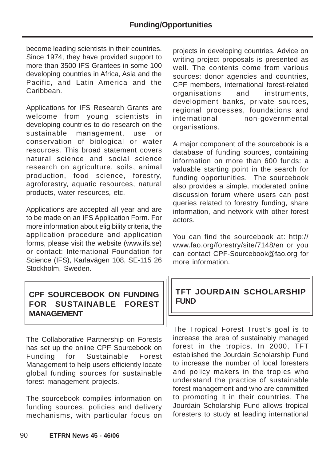become leading scientists in their countries. Since 1974, they have provided support to more than 3500 IFS Grantees in some 100 developing countries in Africa, Asia and the Pacific, and Latin America and the Caribbean.

Applications for IFS Research Grants are welcome from young scientists in developing countries to do research on the sustainable management, use or conservation of biological or water resources. This broad statement covers natural science and social science research on agriculture, soils, animal production, food science, forestry, agroforestry, aquatic resources, natural products, water resources, etc.

Applications are accepted all year and are to be made on an IFS Application Form. For more information about eligibility criteria, the application procedure and application forms, please visit the website (www.ifs.se) or contact: International Foundation for Science (IFS), Karlavägen 108, SE-115 26 Stockholm, Sweden.

# **CPF SOURCEBOOK ON FUNDING FOR SUSTAINABLE FOREST MANAGEMENT**

The Collaborative Partnership on Forests has set up the online CPF Sourcebook on Funding for Sustainable Forest Management to help users efficiently locate global funding sources for sustainable forest management projects.

The sourcebook compiles information on funding sources, policies and delivery mechanisms, with particular focus on

projects in developing countries. Advice on writing project proposals is presented as well. The contents come from various sources: donor agencies and countries. CPF members, international forest-related organisations and instruments, development banks, private sources, regional processes, foundations and international non-governmental organisations.

A major component of the sourcebook is a database of funding sources, containing information on more than 600 funds: a valuable starting point in the search for funding opportunities. The sourcebook also provides a simple, moderated online discussion forum where users can post queries related to forestry funding, share information, and network with other forest actors.

You can find the sourcebook at: http:// www.fao.org/forestry/site/7148/en or you can contact CPF-Sourcebook@fao.org for more information.

# **TFT JOURDAIN SCHOLARSHIP FUND**

The Tropical Forest Trust's goal is to increase the area of sustainably managed forest in the tropics. In 2000, TFT established the Jourdain Scholarship Fund to increase the number of local foresters and policy makers in the tropics who understand the practice of sustainable forest management and who are committed to promoting it in their countries. The Jourdain Scholarship Fund allows tropical foresters to study at leading international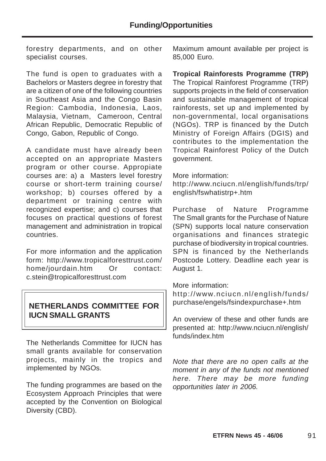forestry departments, and on other specialist courses.

The fund is open to graduates with a Bachelors or Masters degree in forestry that are a citizen of one of the following countries in Southeast Asia and the Congo Basin Region: Cambodia, Indonesia, Laos, Malaysia, Vietnam, Cameroon, Central African Republic, Democratic Republic of Congo, Gabon, Republic of Congo.

A candidate must have already been accepted on an appropriate Masters program or other course. Appropiate courses are: a) a Masters level forestry course or short-term training course/ workshop; b) courses offered by a department or training centre with recognized expertise; and c) courses that focuses on practical questions of forest management and administration in tropical countries.

For more information and the application form: http://www.tropicalforesttrust.com/ home/jourdain.htm Or contact: c.stein@tropicalforesttrust.com

# **NETHERLANDS COMMITTEE FOR IUCN SMALL GRANTS**

The Netherlands Committee for IUCN has small grants available for conservation projects, mainly in the tropics and implemented by NGOs.

The funding programmes are based on the Ecosystem Approach Principles that were accepted by the Convention on Biological Diversity (CBD).

Maximum amount available per project is 85,000 Euro.

**Tropical Rainforests Programme (TRP)** The Tropical Rainforest Programme (TRP) supports projects in the field of conservation and sustainable management of tropical rainforests, set up and implemented by non-governmental, local organisations (NGOs). TRP is financed by the Dutch Ministry of Foreign Affairs (DGIS) and contributes to the implementation the Tropical Rainforest Policy of the Dutch government.

More information:

http://www.nciucn.nl/english/funds/trp/ english/fswhatistrp+.htm

Purchase of Nature Programme The Small grants for the Purchase of Nature (SPN) supports local nature conservation organisations and finances strategic purchase of biodiversity in tropical countries. SPN is financed by the Netherlands Postcode Lottery. Deadline each year is August 1.

More information:

http://www.nciucn.nl/english/funds/ purchase/engels/fsindexpurchase+.htm

An overview of these and other funds are presented at: http://www.nciucn.nl/english/ funds/index.htm

Note that there are no open calls at the moment in any of the funds not mentioned here. There may be more funding opportunities later in 2006.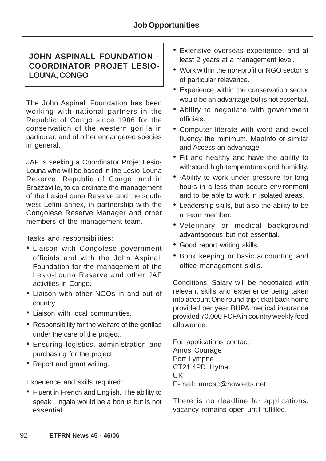# **JOHN ASPINALL FOUNDATION - COORDINATOR PROJET LESIO-LOUNA, CONGO**

The John Aspinall Foundation has been working with national partners in the Republic of Congo since 1986 for the conservation of the western gorilla in particular, and of other endangered species in general.

JAF is seeking a Coordinator Projet Lesio-Louna who will be based in the Lesio-Louna Reserve, Republic of Congo, and in Brazzaville, to co-ordinate the management of the Lesio-Louna Reserve and the southwest Lefini annex, in partnership with the Congolese Reserve Manager and other members of the management team.

Tasks and responsibilities:

- Liaison with Congolese government officials and with the John Aspinall Foundation for the management of the Lesio-Louna Reserve and other JAF activities in Congo.
- Liaison with other NGOs in and out of country.
- Liaison with local communities.
- Responsibility for the welfare of the gorillas under the care of the project.
- Ensuring logistics, administration and purchasing for the project.
- Report and grant writing.

Experience and skills required:

• Fluent in French and English. The ability to speak Lingala would be a bonus but is not essential.

- Extensive overseas experience, and at least 2 years at a management level.
- Work within the non-profit or NGO sector is of particular relevance.
- Experience within the conservation sector would be an advantage but is not essential.
- Ability to negotiate with government officials.
- Computer literate with word and excel fluency the minimum. MapInfo or similar and Access an advantage.
- Fit and healthy and have the ability to withstand high temperatures and humidity.
- ·Ability to work under pressure for long hours in a less than secure environment and to be able to work in isolated areas.
- Leadership skills, but also the ability to be a team member.
- Veterinary or medical background advantageous but not essential.
- Good report writing skills.
- Book keeping or basic accounting and office management skills.

Conditions: Salary will be negotiated with relevant skills and experience being taken into account One round-trip ticket back home provided per year BUPA medical insurance provided 70,000 FCFA in country weekly food allowance.

For applications contact: Amos Courage Port Lympne CT21 4PD, Hythe UK E-mail: amosc@howletts.net

There is no deadline for applications, vacancy remains open until fulfilled.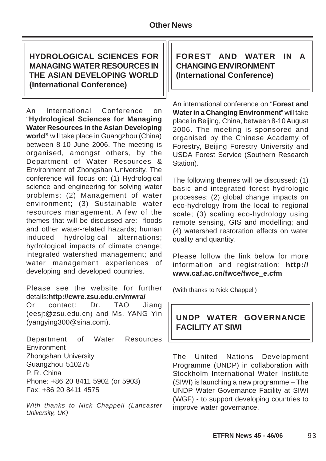# **HYDROLOGICAL SCIENCES FOR MANAGING WATER RESOURCES IN THE ASIAN DEVELOPING WORLD (International Conference)**

An International Conference on "**Hydrological Sciences for Managing Water Resources in the Asian Developing world"** will take place in Guangzhou (China) between 8-10 June 2006. The meeting is organised, amongst others, by the Department of Water Resources & Environment of Zhongshan University. The conference will focus on: (1) Hydrological science and engineering for solving water problems; (2) Management of water environment; (3) Sustainable water resources management. A few of the themes that will be discussed are: floods and other water-related hazards; human induced hydrological alternations; hydrological impacts of climate change; integrated watershed management; and water management experiences of developing and developed countries.

Please see the website for further details:**http://cwre.zsu.edu.cn/mwra/**

Or contact: Dr. TAO Jiang (eesjt@zsu.edu.cn) and Ms. YANG Yin (yangying300@sina.com).

Department of Water Resources **Environment** Zhongshan University Guangzhou 510275 P. R. China Phone: +86 20 8411 5902 (or 5903) Fax: +86 20 8411 4575

With thanks to Nick Chappell (Lancaster University, UK)

**FOREST AND WATER IN A CHANGING ENVIRONMENT (International Conference)**

An international conference on "**Forest and Water in a Changing Environment**" will take place in Beijing, China, between 8-10 August 2006. The meeting is sponsored and organised by the Chinese Academy of Forestry, Beijing Forestry University and USDA Forest Service (Southern Research Station).

The following themes will be discussed: (1) basic and integrated forest hydrologic processes; (2) global change impacts on eco-hydrology from the local to regional scale; (3) scaling eco-hydrology using remote sensing, GIS and modelling; and (4) watershed restoration effects on water quality and quantity.

Please follow the link below for more information and registration: **http:// www.caf.ac.cn/fwce/fwce\_e.cfm**

(With thanks to Nick Chappell)

# **UNDP WATER GOVERNANCE FACILITY AT SIWI**

The United Nations Development Programme (UNDP) in collaboration with Stockholm International Water Institute (SIWI) is launching a new programme – The UNDP Water Governance Facility at SIWI (WGF) - to support developing countries to improve water governance.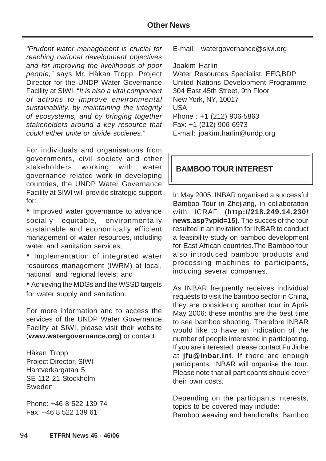## **Other News**

"Prudent water management is crucial for reaching national development objectives and for improving the livelihoods of poor people," says Mr. Håkan Tropp, Project Director for the UNDP Water Governance Facility at SIWI. "It is also a vital component of actions to improve environmental sustainability, by maintaining the integrity of ecosystems, and by bringing together stakeholders around a key resource that could either unite or divide societies."

For individuals and organisations from governments, civil society and other stakeholders working with water governance related work in developing countries, the UNDP Water Governance Facility at SIWI will provide strategic support for:

• Improved water governance to advance socially equitable, environmentally sustainable and economically efficient management of water resources, including water and sanitation services;

• Implementation of integrated water resources management (IWRM) at local, national, and regional levels; and

• Achieving the MDGs and the WSSD targets for water supply and sanitation.

For more information and to access the services of the UNDP Water Governance Facility at SIWI, please visit their website (**www.watergovernance.org)** or contact:

Håkan Tropp Project Director, SIWI Hantverkargatan 5 SE-112 21 Stockholm Sweden

Phone: +46 8 522 139 74 Fax: +46 8 522 139 61

E-mail: watergovernance@siwi.org

Joakim Harlin Water Resources Specialist, EEG,BDP

United Nations Development Programme 304 East 45th Street, 9th Floor New York, NY, 10017 USA Phone : +1 (212) 906-5863 Fax: +1 (212) 906-6973 E-mail: joakim.harlin@undp.org

# **BAMBOO TOUR INTEREST**

In May 2005, INBAR organised a successful Bamboo Tour in Zhejiang, in collaboration with ICRAF (**http://218.249.14.230/ news.asp?vpid=15)**. The succes of the tour resulted in an invitation for INBAR to conduct a feasibility study on bamboo development for East African countries.The Bamboo tour also introduced bamboo products and processing machines to participants, including several companies.

As INBAR frequently receives individual requests to visit the bamboo sector in China, they are considering another tour in April-May 2006: these months are the best time to see bamboo shooting. Therefore INBAR would like to have an indication of the number of people interested in participating. If you are interested, please contact Fu Jinhe at **jfu@inbar.int**. If there are enough participants, INBAR will organise the tour. Please note that all particpants should cover their own costs.

Depending on the participants interests, topics to be covered may include: Bamboo weaving and handicrafts, Bamboo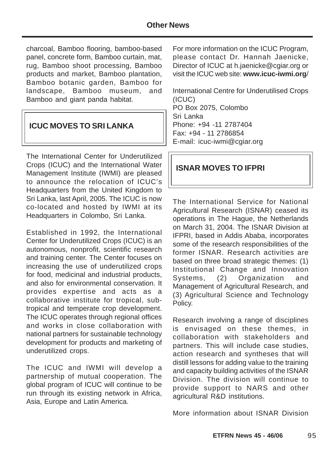charcoal, Bamboo flooring, bamboo-based panel, concrete form, Bamboo curtain, mat, rug, Bamboo shoot processing, Bamboo products and market, Bamboo plantation, Bamboo botanic garden, Bamboo for landscape, Bamboo museum, and Bamboo and giant panda habitat.

# **ICUC MOVES TO SRI LANKA**

The International Center for Underutilized Crops (ICUC) and the International Water Management Institute (IWMI) are pleased to announce the relocation of ICUC's Headquarters from the United Kingdom to Sri Lanka, last April, 2005. The ICUC is now co-located and hosted by IWMI at its Headquarters in Colombo, Sri Lanka.

Established in 1992, the International Center for Underutilized Crops (ICUC) is an autonomous, nonprofit, scientific research and training center. The Center focuses on increasing the use of underutilized crops for food, medicinal and industrial products, and also for environmental conservation. It provides expertise and acts as a collaborative institute for tropical, subtropical and temperate crop development. The ICUC operates through regional offices and works in close collaboration with national partners for sustainable technology development for products and marketing of underutilized crops.

The ICUC and IWMI will develop a partnership of mutual cooperation. The global program of ICUC will continue to be run through its existing network in Africa, Asia, Europe and Latin America.

For more information on the ICUC Program, please contact Dr. Hannah Jaenicke, Director of ICUC at h.jaenicke@cgiar.org or visit the ICUC web site: **www.icuc-iwmi.org**/

International Centre for Underutilised Crops (ICUC) PO Box 2075, Colombo Sri Lanka Phone: +94 -11 2787404 Fax: +94 - 11 2786854 E-mail: icuc-iwmi@cgiar.org

## **ISNAR MOVES TO IFPRI**

The International Service for National Agricultural Research (ISNAR) ceased its operations in The Hague, the Netherlands on March 31, 2004. The ISNAR Division at IFPRI, based in Addis Ababa, incorporates some of the research responsibilities of the former ISNAR. Research activities are based on three broad strategic themes: (1) Institutional Change and Innovation Systems, (2) Organization and Management of Agricultural Research, and (3) Agricultural Science and Technology Policy.

Research involving a range of disciplines is envisaged on these themes, in collaboration with stakeholders and partners. This will include case studies, action research and syntheses that will distill lessons for adding value to the training and capacity building activities of the ISNAR Division. The division will continue to provide support to NARS and other agricultural R&D institutions.

More information about ISNAR Division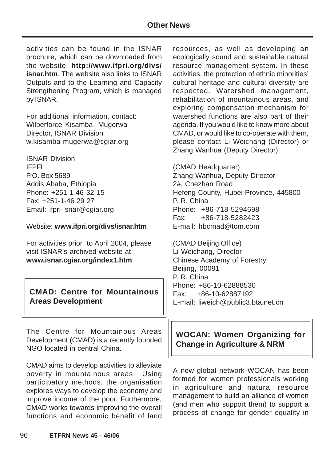activities can be found in the ISNAR brochure, which can be downloaded from the website: **http://www.ifpri.org/divs/ isnar.htm**. The website also links to ISNAR Outputs and to the Learning and Capacity Strengthening Program, which is managed by ISNAR.

For additional information, contact: Wilberforce Kisamba- Mugerwa Director, ISNAR Division w.kisamba-mugerwa@cgiar.org

ISNAR Division IFPFI P.O. Box 5689 Addis Ababa, Ethiopia Phone: +251-1-46 32 15 Fax: +251-1-46 29 27 Email: ifpri-isnar@cgiar.org

#### Website: **www.ifpri.org/divs/isnar.htm**

For activities prior to April 2004, please visit ISNAR's archived website at **www.isnar.cgiar.org/index1.htm**

# **CMAD: Centre for Mountainous Areas Development**

The Centre for Mountainous Areas Development (CMAD) is a recently founded NGO located in central China.

CMAD aims to develop activities to alleviate poverty in mountainous areas. Using participatory methods, the organisation explores ways to develop the economy and improve income of the poor. Furthermore, CMAD works towards improving the overall functions and economic benefit of land resources, as well as developing an ecologically sound and sustainable natural resource management system. In these activities, the protection of ethnic minorities' cultural heritage and cultural diversity are respected. Watershed management, rehabilitation of mountainous areas, and exploring compensation mechanism for watershed functions are also part of their agenda. If you would like to know more about CMAD, or would like to co-operate with them, please contact Li Weichang (Director) or Zhang Wanhua (Deputy Director).

(CMAD Headquarter) Zhang Wanhua, Deputy Director 2#, Chezhan Road Hefeng County, Hubei Province, 445800 P. R. China Phone: +86-718-5294698 Fax: +86-718-5282423 E-mail: hbcmad@tom.com

(CMAD Beijing Office) Li Weichang, Director Chinese Academy of Forestry Beijing, 00091 P. R. China Phone: +86-10-62888530 Fax: +86-10-62887192 E-mail: liweich@public3.bta.net.cn

# **WOCAN: Women Organizing for Change in Agriculture & NRM**

A new global network WOCAN has been formed for women professionals working in agriculture and natural resource management to build an alliance of women (and men who support them) to support a process of change for gender equality in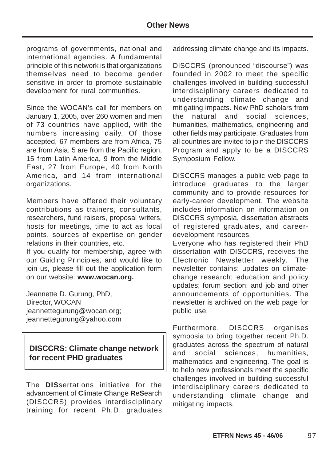programs of governments, national and international agencies. A fundamental principle of this network is that organizations themselves need to become gender sensitive in order to promote sustainable development for rural communities.

Since the WOCAN's call for members on January 1, 2005, over 260 women and men of 73 countries have applied, with the numbers increasing daily. Of those accepted, 67 members are from Africa, 75 are from Asia, 5 are from the Pacific region, 15 from Latin America, 9 from the Middle East, 27 from Europe, 40 from North America, and 14 from international organizations.

Members have offered their voluntary contributions as trainers, consultants, researchers, fund raisers, proposal writers, hosts for meetings, time to act as focal points, sources of expertise on gender relations in their countries, etc.

If you qualify for membership, agree with our Guiding Principles, and would like to join us, please fill out the application form on our website: **www.wocan.org.**

Jeannette D. Gurung, PhD, Director, WOCAN jeannettegurung@wocan.org; jeannettegurung@yahoo.com

# **DISCCRS: Climate change network for recent PHD graduates**

The **DIS**sertations initiative for the advancement of **C**limate **C**hange **R**e**S**earch (DISCCRS) provides interdisciplinary training for recent Ph.D. graduates

addressing climate change and its impacts.

DISCCRS (pronounced "discourse") was founded in 2002 to meet the specific challenges involved in building successful interdisciplinary careers dedicated to understanding climate change and mitigating impacts. New PhD scholars from the natural and social sciences, humanities, mathematics, engineering and other fields may participate. Graduates from all countries are invited to join the DISCCRS Program and apply to be a DISCCRS Symposium Fellow.

DISCCRS manages a public web page to introduce graduates to the larger community and to provide resources for early-career development. The website includes information on information on DISCCRS symposia, dissertation abstracts of registered graduates, and careerdevelopment resources.

Everyone who has registered their PhD dissertation with DISCCRS, receives the Electronic Newsletter weekly. The newsletter contains: updates on climatechange research; education and policy updates; forum section; and job and other announcements of opportunities. The newsletter is archived on the web page for public use.

Furthermore, DISCCRS organises symposia to bring together recent Ph.D. graduates across the spectrum of natural and social sciences, humanities, mathematics and engineering. The goal is to help new professionals meet the specific challenges involved in building successful interdisciplinary careers dedicated to understanding climate change and mitigating impacts.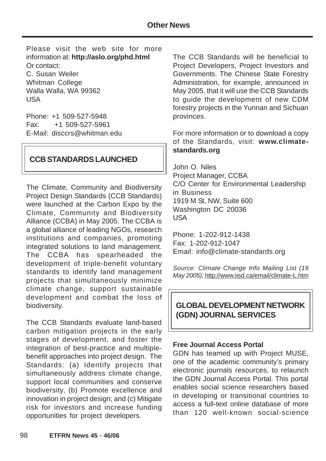Please visit the web site for more information at: **http://aslo.org/phd.html** Or contact: C. Susan Weiler Whitman College Walla Walla, WA 99362 USA

Phone: +1 509-527-5948 Fax: +1 509-527-5961 E-Mail: disccrs@whitman.edu

# **CCB STANDARDS LAUNCHED**

The Climate, Community and Biodiversity Project Design Standards (CCB Standards) were launched at the Carbon Expo by the Climate, Community and Biodiversity Alliance (CCBA) in May 2005. The CCBA is a global alliance of leading NGOs, research institutions and companies, promoting integrated solutions to land management. The CCBA has spearheaded the development of triple-benefit voluntary standards to identify land management projects that simultaneously minimize climate change, support sustainable development and combat the loss of biodiversity.

The CCB Standards evaluate land-based carbon mitigation projects in the early stages of development, and foster the integration of best-practice and multiplebenefit approaches into project design. The Standards: (a) Identify projects that simultaneously address climate change, support local communities and conserve biodiversity, (b) Promote excellence and innovation in project design; and (c) Mitigate risk for investors and increase funding opportunities for project developers.

The CCB Standards will be beneficial to Project Developers, Project Investors and Governments. The Chinese State Forestry Administration, for example, announced in May 2005, that it will use the CCB Standards to guide the development of new CDM forestry projects in the Yunnan and Sichuan provinces.

For more information or to download a copy of the Standards, visit: **www.climatestandards.org**

John O. Niles Project Manager, CCBA C/O Center for Environmental Leadership in Business 1919 M St, NW, Suite 600 Washington DC 20036 USA

Phone: 1-202-912-1438 Fax: 1-202-912-1047 Email: info@climate-standards.org

Source: Climate Change Info Mailing List (19) May 2005); http://www.iisd.ca/email/climate-L.htm

**GLOBAL DEVELOPMENT NETWORK (GDN) JOURNAL SERVICES**

#### **Free Journal Access Portal**

GDN has teamed up with Project MUSE, one of the academic community's primary electronic journals resources, to relaunch the GDN Journal Access Portal. This portal enables social science researchers based in developing or transitional countries to access a full-text online database of more than 120 well-known social-science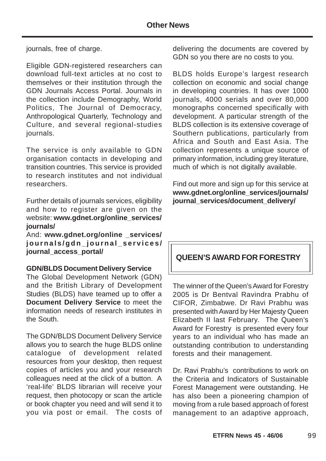journals, free of charge.

Eligible GDN-registered researchers can download full-text articles at no cost to themselves or their institution through the GDN Journals Access Portal. Journals in the collection include Demography, World Politics, The Journal of Democracy, Anthropological Quarterly, Technology and Culture, and several regional-studies journals.

The service is only available to GDN organisation contacts in developing and transition countries. This service is provided to research institutes and not individual researchers.

Further details of journals services, eligibility and how to register are given on the website: **www.gdnet.org/online\_services/ journals/**

And: **www.gdnet.org/online \_services/ journals/gdn\_journal\_services/ journal\_access\_portal/**

#### **GDN/BLDS Document Delivery Service**

The Global Development Network (GDN) and the British Library of Development Studies (BLDS) have teamed up to offer a **Document Delivery Service** to meet the information needs of research institutes in the South.

The GDN/BLDS Document Delivery Service allows you to search the huge BLDS online catalogue of development related resources from your desktop, then request copies of articles you and your research colleagues need at the click of a button. A 'real-life' BLDS librarian will receive your request, then photocopy or scan the article or book chapter you need and will send it to you via post or email. The costs of delivering the documents are covered by GDN so you there are no costs to you.

BLDS holds Europe's largest research collection on economic and social change in developing countries. It has over 1000 journals, 4000 serials and over 80,000 monographs concerned specifically with development. A particular strength of the BLDS collection is its extensive coverage of Southern publications, particularly from Africa and South and East Asia. The collection represents a unique source of primary information, including grey literature, much of which is not digitally available.

Find out more and sign up for this service at **www.gdnet.org/online\_services/journals/ journal\_services/document\_delivery/**

# **QUEEN'S AWARD FOR FORESTRY**

The winner of the Queen's Award for Forestry 2005 is Dr Bentval Ravindra Prabhu of CIFOR, Zimbabwe. Dr Ravi Prabhu was presented with Award by Her Majesty Queen Elizabeth II last February. The Queen's Award for Forestry is presented every four years to an individual who has made an outstanding contribution to understanding forests and their management.

Dr. Ravi Prabhu's contributions to work on the Criteria and Indicators of Sustainable Forest Management were outstanding. He has also been a pioneering champion of moving from a rule based approach of forest management to an adaptive approach,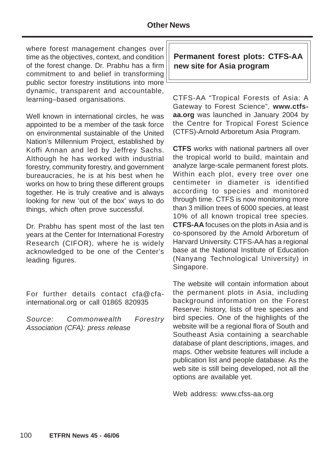where forest management changes over time as the objectives, context, and condition of the forest change. Dr. Prabhu has a firm commitment to and belief in transforming public sector forestry institutions into more dynamic, transparent and accountable, learning–based organisations.

Well known in international circles, he was appointed to be a member of the task force on environmental sustainable of the United Nation's Millennium Project, established by Koffi Annan and led by Jeffrey Sachs. Although he has worked with industrial forestry, community forestry, and government bureaucracies, he is at his best when he works on how to bring these different groups together. He is truly creative and is always looking for new 'out of the box' ways to do things, which often prove successful.

Dr. Prabhu has spent most of the last ten years at the Center for International Forestry Research (CIFOR), where he is widely acknowledged to be one of the Center's leading figures.

For further details contact cfa@cfainternational.org or call 01865 820935

Source: Commonwealth Forestry Association (CFA): press release

**Permanent forest plots: CTFS-AA new site for Asia program**

CTFS-AA "Tropical Forests of Asia: A Gateway to Forest Science", **www.ctfsaa.org** was launched in January 2004 by the Centre for Tropical Forest Science (CTFS)-Arnold Arboretum Asia Program.

**CTFS** works with national partners all over the tropical world to build, maintain and analyze large-scale permanent forest plots. Within each plot, every tree over one centimeter in diameter is identified according to species and monitored through time. CTFS is now monitoring more than 3 million trees of 6000 species, at least 10% of all known tropical tree species. **CTFS-AA** focuses on the plots in Asia and is co-sponsored by the Arnold Arboretum of Harvard University. CTFS-AA has a regional base at the National Institute of Education (Nanyang Technological University) in Singapore.

The website will contain information about the permanent plots in Asia, including background information on the Forest Reserve: history, lists of tree species and bird species. One of the highlights of the website will be a regional flora of South and Southeast Asia containing a searchable database of plant descriptions, images, and maps. Other website features will include a publication list and people database. As the web site is still being developed, not all the options are available yet.

Web address: www.cfss-aa.org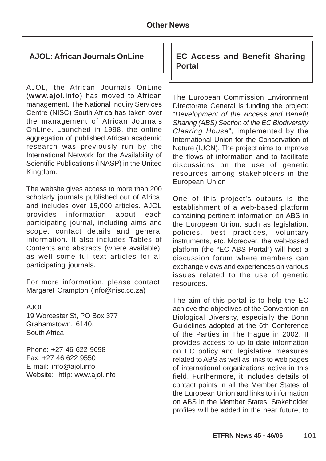AJOL, the African Journals OnLine (**www.ajol.info**) has moved to African management. The National Inquiry Services Centre (NISC) South Africa has taken over the management of African Journals OnLine. Launched in 1998, the online aggregation of published African academic research was previously run by the International Network for the Availability of Scientific Publications (INASP) in the United Kingdom.

The website gives access to more than 200 scholarly journals published out of Africa, and includes over 15,000 articles. AJOL provides information about each participating journal, including aims and scope, contact details and general information. It also includes Tables of Contents and abstracts (where available), as well some full-text articles for all participating journals.

For more information, please contact: Margaret Crampton (info@nisc.co.za)

A.IOL 19 Worcester St, PO Box 377 Grahamstown, 6140, South Africa

Phone: +27 46 622 9698 Fax: +27 46 622 9550 E-mail: info@ajol.info Website: http: www.ajol.info

## **AJOL: African Journals OnLine EC Access and Benefit Sharing Portal**

The European Commission Environment Directorate General is funding the project: "Development of the Access and Benefit Sharing (ABS) Section of the EC Biodiversity Clearing House", implemented by the International Union for the Conservation of Nature (IUCN). The project aims to improve the flows of information and to facilitate discussions on the use of genetic resources among stakeholders in the European Union

One of this project's outputs is the establishment of a web-based platform containing pertinent information on ABS in the European Union, such as legislation, policies, best practices, voluntary instruments, etc. Moreover, the web-based platform (the "EC ABS Portal") will host a discussion forum where members can exchange views and experiences on various issues related to the use of genetic resources.

The aim of this portal is to help the EC achieve the objectives of the Convention on Biological Diversity, especially the Bonn Guidelines adopted at the 6th Conference of the Parties in The Hague in 2002. It provides access to up-to-date information on EC policy and legislative measures related to ABS as well as links to web pages of international organizations active in this field. Furthermore, it includes details of contact points in all the Member States of the European Union and links to information on ABS in the Member States. Stakeholder profiles will be added in the near future, to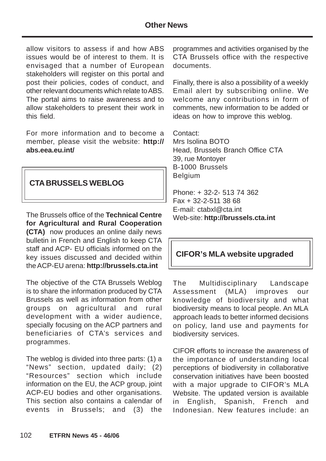## **Other News**

allow visitors to assess if and how ABS issues would be of interest to them. It is envisaged that a number of European stakeholders will register on this portal and post their policies, codes of conduct, and other relevant documents which relate to ABS. The portal aims to raise awareness and to allow stakeholders to present their work in this field.

For more information and to become a member, please visit the website: **http:// abs.eea.eu.int/**

## **CTA BRUSSELS WEBLOG**

The Brussels office of the **Technical Centre for Agricultural and Rural Cooperation (CTA)** now produces an online daily news bulletin in French and English to keep CTA staff and ACP- EU officials informed on the key issues discussed and decided within the ACP-EU arena: **http://brussels.cta.int**

The objective of the CTA Brussels Weblog is to share the information produced by CTA Brussels as well as information from other groups on agricultural and rural development with a wider audience, specially focusing on the ACP partners and beneficiaries of CTA's services and programmes.

The weblog is divided into three parts: (1) a "News" section, updated daily; (2) "Resources" section which include information on the EU, the ACP group, joint ACP-EU bodies and other organisations. This section also contains a calendar of events in Brussels; and (3) the

programmes and activities organised by the CTA Brussels office with the respective documents.

Finally, there is also a possibility of a weekly Email alert by subscribing online. We welcome any contributions in form of comments, new information to be added or ideas on how to improve this weblog.

Contact: Mrs Isolina BOTO Head, Brussels Branch Office CTA 39, rue Montoyer B-1000 Brussels Belgium

Phone: + 32-2- 513 74 362 Fax + 32-2-511 38 68 E-mail: ctabxl@cta.int Web-site: **http://brussels.cta.int**

# **CIFOR's MLA website upgraded**

The Multidisciplinary Landscape Assessment (MLA) improves our knowledge of biodiversity and what biodiversity means to local people. An MLA approach leads to better informed decisions on policy, land use and payments for biodiversity services.

CIFOR efforts to increase the awareness of the importance of understanding local perceptions of biodiversity in collaborative conservation initiatives have been boosted with a major upgrade to CIFOR's MLA Website. The updated version is available in English, Spanish, French and Indonesian. New features include: an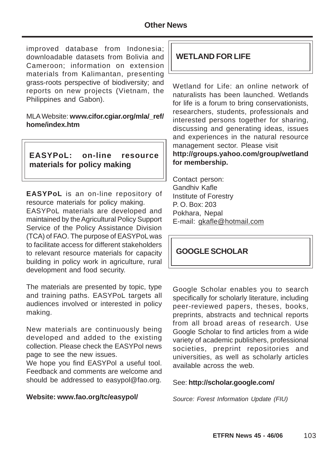improved database from Indonesia; downloadable datasets from Bolivia and Cameroon; information on extension materials from Kalimantan, presenting grass-roots perspective of biodiversity; and reports on new projects (Vietnam, the Philippines and Gabon).

MLA Website: **www.cifor.cgiar.org/mla/\_ref/ home/index.htm**

# **EASYPoL: on-line resource materials for policy making**

**EASYPoL** is an on-line repository of resource materials for policy making. EASYPoL materials are developed and maintained by the Agricultural Policy Support Service of the Policy Assistance Division (TCA) of FAO. The purpose of EASYPoL was to facilitate access for different stakeholders to relevant resource materials for capacity building in policy work in agriculture, rural development and food security.

The materials are presented by topic, type and training paths. EASYPoL targets all audiences involved or interested in policy making.

New materials are continuously being developed and added to the existing collection. Please check the EASYPol news page to see the new issues.

We hope you find EASYPol a useful tool. Feedback and comments are welcome and should be addressed to easypol@fao.org.

### **Website: www.fao.org/tc/easypol/**

# **WETLAND FOR LIFE**

Wetland for Life: an online network of naturalists has been launched. Wetlands for life is a forum to bring conservationists, researchers, students, professionals and interested persons together for sharing, discussing and generating ideas, issues and experiences in the natural resource management sector. Please visit **http://groups.yahoo.com/group/wetland for membership.**

Contact person: Gandhiv Kafle Institute of Forestry P. O. Box: 203 Pokhara, Nepal E-mail: gkafle@hotmail.com

## **GOOGLE SCHOLAR**

Google Scholar enables you to search specifically for scholarly literature, including peer-reviewed papers, theses, books, preprints, abstracts and technical reports from all broad areas of research. Use Google Scholar to find articles from a wide variety of academic publishers, professional societies, preprint repositories and universities, as well as scholarly articles available across the web.

#### See: **http://scholar.google.com/**

Source: Forest Information Update (FIU)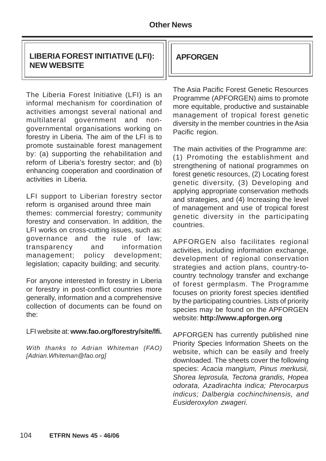# **LIBERIA FOREST INITIATIVE (LFI): NEW WEBSITE**

The Liberia Forest Initiative (LFI) is an informal mechanism for coordination of activities amongst several national and multilateral government and nongovernmental organisations working on forestry in Liberia. The aim of the LFI is to promote sustainable forest management by: (a) supporting the rehabilitation and reform of Liberia's forestry sector; and (b) enhancing cooperation and coordination of activities in Liberia.

LFI support to Liberian forestry sector reform is organised around three main themes: commercial forestry; community forestry and conservation. In addition, the LFI works on cross-cutting issues, such as: governance and the rule of law; transparency and information management; policy development; legislation; capacity building; and security.

For anyone interested in forestry in Liberia or forestry in post-conflict countries more generally, information and a comprehensive collection of documents can be found on the:

#### LFI website at: **www.fao.org/forestry/site/lfi.**

With thanks to Adrian Whiteman (FAO) [Adrian.Whiteman@fao.org]

# **APFORGEN**

The Asia Pacific Forest Genetic Resources Programme (APFORGEN) aims to promote more equitable, productive and sustainable management of tropical forest genetic diversity in the member countries in the Asia Pacific region.

The main activities of the Programme are: (1) Promoting the establishment and strengthening of national programmes on forest genetic resources, (2) Locating forest genetic diversity, (3) Developing and applying appropriate conservation methods and strategies, and (4) Increasing the level of management and use of tropical forest genetic diversity in the participating countries.

APFORGEN also facilitates regional activities, including information exchange, development of regional conservation strategies and action plans, country-tocountry technology transfer and exchange of forest germplasm. The Programme focuses on priority forest species identified by the participating countries. Lists of priority species may be found on the APFORGEN website: **http://www.apforgen.org**

APFORGEN has currently published nine Priority Species Information Sheets on the website, which can be easily and freely downloaded. The sheets cover the following species: Acacia mangium, Pinus merkusii, Shorea leprosula, Tectona grandis, Hopea odorata, Azadirachta indica; Pterocarpus indicus; Dalbergia cochinchinensis, and Eusideroxylon zwageri.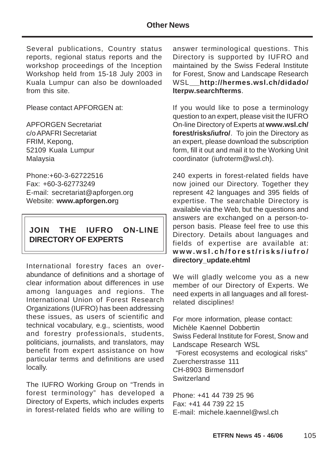Several publications, Country status reports, regional status reports and the workshop proceedings of the Inception Workshop held from 15-18 July 2003 in Kuala Lumpur can also be downloaded from this site.

Please contact APFORGEN at:

APFORGEN Secretariat c/o APAFRI Secretariat FRIM, Kepong, 52109 Kuala Lumpur Malaysia

Phone:+60-3-62722516 Fax: +60-3-62773249 E-mail: secretariat@apforgen.org Website: **www.apforgen.or**g

# **JOIN THE IUFRO ON-LINE DIRECTORY OF EXPERTS**

International forestry faces an overabundance of definitions and a shortage of clear information about differences in use among languages and regions. The International Union of Forest Research Organizations (IUFRO) has been addressing these issues, as users of scientific and technical vocabulary, e.g., scientists, wood and forestry professionals, students, politicians, journalists, and translators, may benefit from expert assistance on how particular terms and definitions are used locally.

The IUFRO Working Group on "Trends in forest terminology" has developed a Directory of Experts, which includes experts in forest-related fields who are willing to

answer terminological questions. This Directory is supported by IUFRO and maintained by the Swiss Federal Institute for Forest, Snow and Landscape Research WSL **http://hermes.wsl.ch/didado/ lterpw.searchfterms**.

If you would like to pose a terminology question to an expert, please visit the IUFRO On-line Directory of Experts at **www.wsl.ch/ forest/risks/iufro/**. To join the Directory as an expert, please download the subscription form, fill it out and mail it to the Working Unit coordinator (iufroterm@wsl.ch).

240 experts in forest-related fields have now joined our Directory. Together they represent 42 languages and 395 fields of expertise. The searchable Directory is available via the Web, but the questions and answers are exchanged on a person-toperson basis. Please feel free to use this Directory. Details about languages and fields of expertise are available at: **www.wsl.ch/forest/risks/iufro/ directory\_update.ehtml**

We will gladly welcome you as a new member of our Directory of Experts. We need experts in all languages and all forestrelated disciplines!

For more information, please contact: Michèle Kaennel Dobbertin Swiss Federal Institute for Forest, Snow and Landscape Research WSL "Forest ecosystems and ecological risks" Zuercherstrasse 111 CH-8903 Birmensdorf **Switzerland** 

Phone: +41 44 739 25 96 Fax: +41 44 739 22 15 E-mail: michele.kaennel@wsl.ch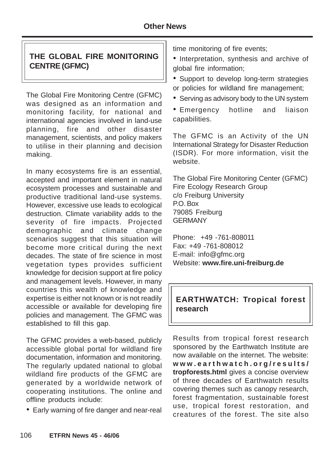# **THE GLOBAL FIRE MONITORING CENTRE (GFMC)**

The Global Fire Monitoring Centre (GFMC) was designed as an information and monitoring facility, for national and international agencies involved in land-use planning, fire and other disaster management, scientists, and policy makers to utilise in their planning and decision making.

In many ecosystems fire is an essential, accepted and important element in natural ecosystem processes and sustainable and productive traditional land-use systems. However, excessive use leads to ecological destruction. Climate variability adds to the severity of fire impacts. Projected demographic and climate change scenarios suggest that this situation will become more critical during the next decades. The state of fire science in most vegetation types provides sufficient knowledge for decision support at fire policy and management levels. However, in many countries this wealth of knowledge and expertise is either not known or is not readily accessible or available for developing fire policies and management. The GFMC was established to fill this gap.

The GFMC provides a web-based, publicly accessible global portal for wildland fire documentation, information and monitoring. The regularly updated national to global wildland fire products of the GFMC are generated by a worldwide network of cooperating institutions. The online and offline products include:

• Early warning of fire danger and near-real

time monitoring of fire events;

- Interpretation, synthesis and archive of global fire information;
- Support to develop long-term strategies or policies for wildland fire management;
- Serving as advisory body to the UN system
- Emergency hotline and liaison capabilities.

The GFMC is an Activity of the UN International Strategy for Disaster Reduction (ISDR). For more information, visit the website.

The Global Fire Monitoring Center (GFMC) Fire Ecology Research Group c/o Freiburg University P.O. Box 79085 Freiburg **GERMANY** 

Phone: +49 -761-808011 Fax: +49 -761-808012 E-mail: info@gfmc.org Website: **www.fire.uni-freiburg.de**

# **EARTHWATCH: Tropical forest research**

Results from tropical forest research sponsored by the Earthwatch Institute are now available on the internet. The website: **www.earthwatch.org/results/ tropforests.html** gives a concise overview of three decades of Earthwatch results covering themes such as canopy research, forest fragmentation, sustainable forest use, tropical forest restoration, and creatures of the forest. The site also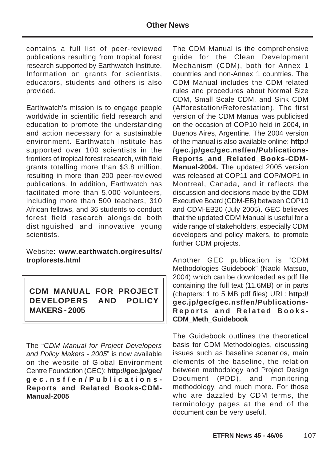contains a full list of peer-reviewed publications resulting from tropical forest research supported by Earthwatch Institute. Information on grants for scientists, educators, students and others is also provided.

Earthwatch's mission is to engage people worldwide in scientific field research and education to promote the understanding and action necessary for a sustainable environment. Earthwatch Institute has supported over 100 scientists in the frontiers of tropical forest research, with field grants totalling more than \$3.8 million, resulting in more than 200 peer-reviewed publications. In addition, Earthwatch has facilitated more than 5,000 volunteers, including more than 500 teachers, 310 African fellows, and 36 students to conduct forest field research alongside both distinguished and innovative young scientists.

Website: **www.earthwatch.org/results/ tropforests.html**

**CDM MANUAL FOR PROJECT DEVELOPERS AND POLICY MAKERS - 2005**

The "CDM Manual for Project Developers and Policy Makers - 2005" is now available on the website of Global Environment Centre Foundation (GEC): **http://gec.jp/gec/ gec.nsf/en/Publications-Reports\_and\_Related\_Books-CDM-Manual-2005**

The CDM Manual is the comprehensive guide for the Clean Development Mechanism (CDM), both for Annex 1 countries and non-Annex 1 countries. The CDM Manual includes the CDM-related rules and procedures about Normal Size CDM, Small Scale CDM, and Sink CDM (Afforestation/Reforestation). The first version of the CDM Manual was publicised on the occasion of COP10 held in 2004, in Buenos Aires, Argentine. The 2004 version of the manual is also available online: **http:/ /gec.jp/gec/gec.nsf/en/Publications-Reports\_and\_Related\_Books-CDM-Manual-2004.** The updated 2005 version was released at COP11 and COP/MOP1 in Montreal, Canada, and it reflects the discussion and decisions made by the CDM Executive Board (CDM-EB) between COP10 and CDM-EB20 (July 2005). GEC believes that the updated CDM Manual is useful for a wide range of stakeholders, especially CDM developers and policy makers, to promote further CDM projects.

Another GEC publication is "CDM Methodologies Guidebook" (Naoki Matsuo, 2004) which can be downloaded as pdf file containing the full text (11.6MB) or in parts (chapters: 1 to 5 MB pdf files) URL: **http:// gec.jp/gec/gec.nsf/en/Publications-Reports\_and\_Related\_Books-CDM\_Meth\_Guidebook**

The Guidebook outlines the theoretical basis for CDM Methodologies, discussing issues such as baseline scenarios, main elements of the baseline, the relation between methodology and Project Design Document (PDD), and monitoring methodology, and much more. For those who are dazzled by CDM terms, the terminology pages at the end of the document can be very useful.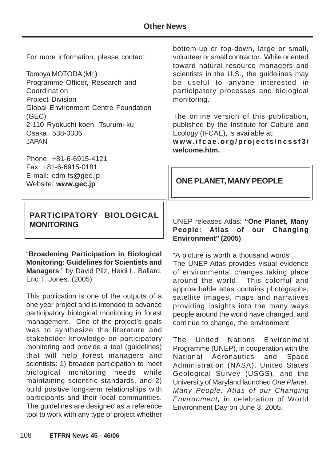For more information, please contact:

Tomoya MOTODA (Mr.)

Programme Officer, Research and **Coordination** Project Division Global Environment Centre Foundation (GEC) 2-110 Ryokuchi-koen, Tsurumi-ku Osaka 538-0036 JAPAN

Phone: +81-6-6915-4121 Fax: +81-6-6915-0181 E-mail: cdm-fs@gec.jp Website: **www.gec.jp**

## **PARTICIPATORY BIOLOGICAL MONITORING**

"**Broadening Participation in Biological Monitoring: Guidelines for Scientists and Managers**." by David Pilz, Heidi L. Ballard, Eric T. Jones. (2005)

This publication is one of the outputs of a one year project and is intended to advance participatory biological monitoring in forest management. One of the project's goals was to synthesize the literature and stakeholder knowledge on participatory monitoring and provide a tool (guidelines) that will help forest managers and scientists: 1) broaden participation to meet biological monitoring needs while maintaining scientific standards, and 2) build positive long-term relationships with participants and their local communities. The guidelines are designed as a reference tool to work with any type of project whether

bottom-up or top-down, large or small, volunteer or small contractor. While oriented toward natural resource managers and scientists in the U.S., the guidelines may be useful to anyone interested in participatory processes and biological monitoring.

The online version of this publication, published by the Institute for Culture and Ecology (IFCAE), is available at:

**www.ifcae.org/projects/ncssf3/ welcome.htm.**

## **ONE PLANET, MANY PEOPLE**

UNEP releases Atlas: **"One Planet, Many People: Atlas of our Changing Environment" (2005)**

"A picture is worth a thousand words" The UNEP Atlas provides visual evidence of environmental changes taking place around the world. This colorful and approachable atlas contains photographs, satellite images, maps and narratives providing insights into the many ways people around the world have changed, and continue to change, the environment.

The United Nations Environment Programme (UNEP), in cooperation with the National Aeronautics and Space Administration (NASA), United States Geological Survey (USGS), and the University of Maryland launched One Planet, Many People: Atlas of our Changing Environment**,** in celebration of World Environment Day on June 3, 2005.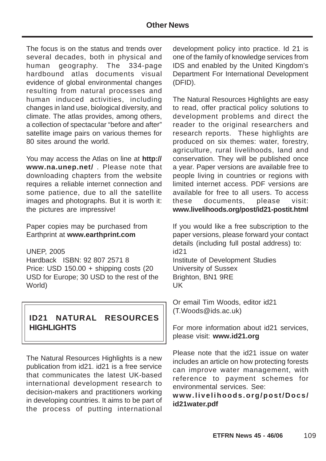#### **Other News**

The focus is on the status and trends over several decades, both in physical and human geography. The 334-page hardbound atlas documents visual evidence of global environmental changes resulting from natural processes and human induced activities, including changes in land use, biological diversity, and climate. The atlas provides, among others, a collection of spectacular "before and after" satellite image pairs on various themes for 80 sites around the world.

You may access the Atlas on line at **http:// www.na.unep.net/** . Please note that downloading chapters from the website requires a reliable internet connection and some patience, due to all the satellite images and photographs. But it is worth it: the pictures are impressive!

Paper copies may be purchased from Earthprint at **www.earthprint.com**

UNEP, 2005

Hardback ISBN: 92 807 2571 8 Price: USD 150.00 + shipping costs (20 USD for Europe; 30 USD to the rest of the World)

## **ID21 NATURAL RESOURCES HIGHLIGHTS**

The Natural Resources Highlights is a new publication from id21. id21 is a free service that communicates the latest UK-based international development research to decision-makers and practitioners working in developing countries. It aims to be part of the process of putting international

development policy into practice. Id 21 is one of the family of knowledge services from IDS and enabled by the United Kingdom's Department For International Development (DFID).

The Natural Resources Highlights are easy to read, offer practical policy solutions to development problems and direct the reader to the original researchers and research reports. These highlights are produced on six themes: water, forestry, agriculture, rural livelihoods, land and conservation. They will be published once a year. Paper versions are available free to people living in countries or regions with limited internet access. PDF versions are available for free to all users. To access these documents, please visit: **www.livelihoods.org/post/id21-postit.html**

If you would like a free subscription to the paper versions, please forward your contact details (including full postal address) to: id21 Institute of Development Studies University of Sussex Brighton, BN1 9RE UK

Or email Tim Woods, editor id21 (T.Woods@ids.ac.uk)

For more information about id21 services, please visit: **www.id21.org**

Please note that the id21 issue on water includes an article on how protecting forests can improve water management, with reference to payment schemes for environmental services. See:

#### **www.livelihoods.org/post/Docs/ id21water.pdf**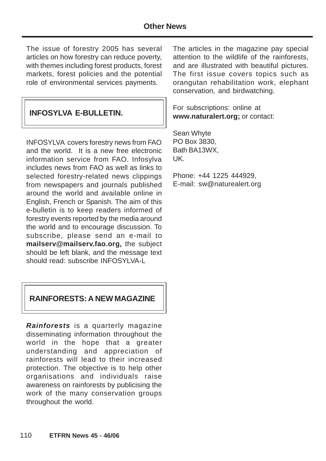The issue of forestry 2005 has several articles on how forestry can reduce poverty, with themes including forest products, forest markets, forest policies and the potential role of environmental services payments.

# **INFOSYLVA E-BULLETIN.**

INFOSYLVA covers forestry news from FAO and the world. It is a new free electronic information service from FAO. Infosylva includes news from FAO as well as links to selected forestry-related news clippings from newspapers and journals published around the world and available online in English, French or Spanish. The aim of this e-bulletin is to keep readers informed of forestry events reported by the media around the world and to encourage discussion. To subscribe, please send an e-mail to **mailserv@mailserv.fao.org,** the subject should be left blank, and the message text should read: subscribe INFOSYLVA-L

#### **RAINFORESTS: A NEW MAGAZINE**

**Rainforests** is a quarterly magazine disseminating information throughout the world in the hope that a greater understanding and appreciation of rainforests will lead to their increased protection. The objective is to help other organisations and individuals raise awareness on rainforests by publicising the work of the many conservation groups throughout the world.

The articles in the magazine pay special attention to the wildlife of the rainforests, and are illustrated with beautiful pictures. The first issue covers topics such as orangutan rehabilitation work, elephant conservation, and birdwatching.

For subscriptions: online at **www.naturalert.org;** or contact:

Sean Whyte PO Box 3830, Bath BA13WX, UK.

Phone: +44 1225 444929, E-mail: sw@naturealert.org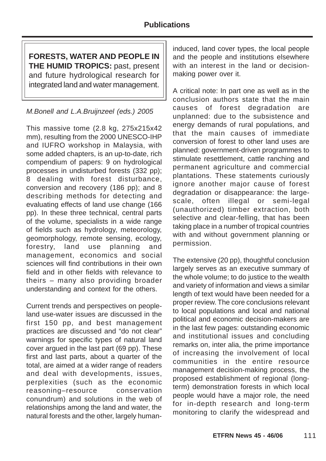**FORESTS, WATER AND PEOPLE IN THE HUMID TROPICS:** past, present and future hydrological research for integrated land and water management.

#### M.Bonell and L.A.Bruijnzeel (eds.) 2005

This massive tome (2.8 kg, 275x215x42 mm), resulting from the 2000 UNESCO-IHP and IUFRO workshop in Malaysia, with some added chapters, is an up-to-date, rich compendium of papers: 9 on hydrological processes in undisturbed forests (332 pp); 8 dealing with forest disturbance, conversion and recovery (186 pp); and 8 describing methods for detecting and evaluating effects of land use change (166 pp). In these three technical, central parts of the volume, specialists in a wide range of fields such as hydrology, meteorology, geomorphology, remote sensing, ecology, forestry, land use planning and management, economics and social sciences will find contributions in their own field and in other fields with relevance to theirs – many also providing broader understanding and context for the others.

Current trends and perspectives on peopleland use-water issues are discussed in the first 150 pp, and best management practices are discussed and "do not clear" warnings for specific types of natural land cover argued in the last part (69 pp). These first and last parts, about a quarter of the total, are aimed at a wider range of readers and deal with developments, issues, perplexities (such as the economic reasoning–resource conservation conundrum) and solutions in the web of relationships among the land and water, the natural forests and the other, largely human-

induced, land cover types, the local people and the people and institutions elsewhere with an interest in the land or decisionmaking power over it.

A critical note: In part one as well as in the conclusion authors state that the main causes of forest degradation are unplanned: due to the subsistence and energy demands of rural populations, and that the main causes of immediate conversion of forest to other land uses are planned: government-driven programmes to stimulate resettlement, cattle ranching and permanent agriculture and commercial plantations. These statements curiously ignore another major cause of forest degradation or disappearance: the largescale, often illegal or semi-legal (unauthorized) timber extraction, both selective and clear-felling, that has been taking place in a number of tropical countries with and without government planning or permission.

The extensive (20 pp), thoughtful conclusion largely serves as an executive summary of the whole volume; to do justice to the wealth and variety of information and views a similar length of text would have been needed for a proper review. The core conclusions relevant to local populations and local and national political and economic decision-makers are in the last few pages: outstanding economic and institutional issues and concluding remarks on, inter alia, the prime importance of increasing the involvement of local communities in the entire resource management decision-making process, the proposed establishment of regional (longterm) demonstration forests in which local people would have a major role, the need for in-depth research and long-term monitoring to clarify the widespread and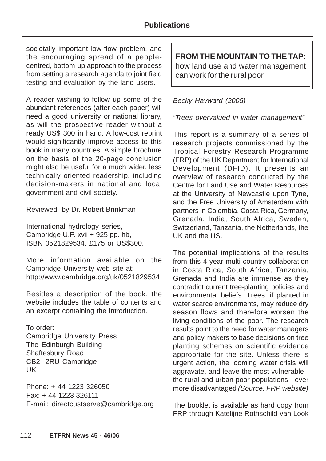societally important low-flow problem, and the encouraging spread of a peoplecentred, bottom-up approach to the process from setting a research agenda to joint field testing and evaluation by the land users.

A reader wishing to follow up some of the abundant references (after each paper) will need a good university or national library, as will the prospective reader without a ready US\$ 300 in hand. A low-cost reprint would significantly improve access to this book in many countries. A simple brochure on the basis of the 20-page conclusion might also be useful for a much wider, less technically oriented readership, including decision-makers in national and local government and civil society.

Reviewed by Dr. Robert Brinkman

International hydrology series, Cambridge U.P. xvii + 925 pp. hb, ISBN 0521829534. £175 or US\$300.

More information available on the Cambridge University web site at: http://www.cambridge.org/uk/0521829534

Besides a description of the book, the website includes the table of contents and an excerpt containing the introduction.

To order: Cambridge University Press The Edinburgh Building Shaftesbury Road CB2 2RU Cambridge UK

Phone: + 44 1223 326050 Fax: + 44 1223 326111 E-mail: directcustserve@cambridge.org **FROM THE MOUNTAIN TO THE TAP:** how land use and water management can work for the rural poor

#### Becky Hayward (2005)

"Trees overvalued in water management"

This report is a summary of a series of research projects commissioned by the Tropical Forestry Research Programme (FRP) of the UK Department for International Development (DFID). It presents an overview of research conducted by the Centre for Land Use and Water Resources at the University of Newcastle upon Tyne, and the Free University of Amsterdam with partners in Colombia, Costa Rica, Germany, Grenada, India, South Africa, Sweden, Switzerland, Tanzania, the Netherlands, the UK and the US.

The potential implications of the results from this 4-year multi-country collaboration in Costa Rica, South Africa, Tanzania, Grenada and India are immense as they contradict current tree-planting policies and environmental beliefs. Trees, if planted in water scarce environments, may reduce dry season flows and therefore worsen the living conditions of the poor. The research results point to the need for water managers and policy makers to base decisions on tree planting schemes on scientific evidence appropriate for the site. Unless there is urgent action, the looming water crisis will aggravate, and leave the most vulnerable the rural and urban poor populations - ever more disadvantaged (Source: FRP website)

The booklet is available as hard copy from FRP through Katelijne Rothschild-van Look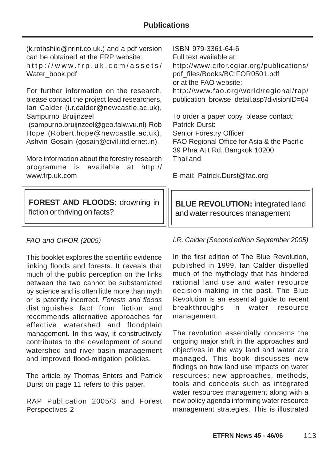(k.rothshild@nrint.co.uk.) and a pdf version can be obtained at the FRP website: http://www.frp.uk.com/assets/ Water\_book.pdf For further information on the research, please contact the project lead researchers, Ian Calder (i.r.calder@newcastle.ac.uk), Sampurno Bruijnzeel (sampurno.bruijnzeel@geo.falw.vu.nl) Rob Hope (Robert.hope@newcastle.ac.uk), Ashvin Gosain (gosain@civil.iitd.ernet.in). More information about the forestry research programme is available at http:// www.frp.uk.com ISBN 979-3361-64-6 Full text available at: http://www.cifor.cgiar.org/publications/ pdf\_files/Books/BCIFOR0501.pdf or at the FAO website: http://www.fao.org/world/regional/rap/ publication browse detail.asp?divisionID=64 To order a paper copy, please contact: Patrick Durst: Senior Forestry Officer FAO Regional Office for Asia & the Pacific 39 Phra Atit Rd, Bangkok 10200 Thailand E-mail: Patrick.Durst@fao.org **FOREST AND FLOODS:** drowning in fiction or thriving on facts? **BLUE REVOLUTION: integrated land** and water resources management

## FAO and CIFOR (2005)

This booklet explores the scientific evidence linking floods and forests. It reveals that much of the public perception on the links between the two cannot be substantiated by science and is often little more than myth or is patently incorrect. Forests and floods distinguishes fact from fiction and recommends alternative approaches for effective watershed and floodplain management. In this way, it constructively contributes to the development of sound watershed and river-basin management and improved flood-mitigation policies.

The article by Thomas Enters and Patrick Durst on page 11 refers to this paper.

RAP Publication 2005/3 and Forest Perspectives 2

I.R. Calder (Second edition September 2005)

In the first edition of The Blue Revolution, published in 1999, Ian Calder dispelled much of the mythology that has hindered rational land use and water resource decision-making in the past. The Blue Revolution is an essential guide to recent breakthroughs in water resource management.

The revolution essentially concerns the ongoing major shift in the approaches and objectives in the way land and water are managed. This book discusses new findings on how land use impacts on water resources; new approaches, methods, tools and concepts such as integrated water resources management along with a new policy agenda informing water resource management strategies. This is illustrated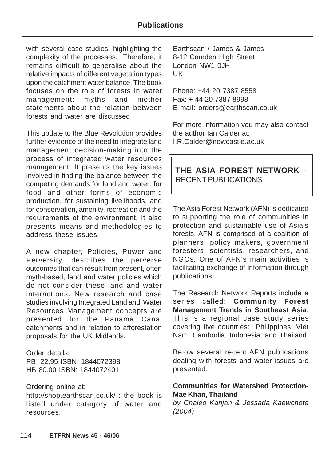#### **Publications**

with several case studies, highlighting the complexity of the processes. Therefore, it remains difficult to generalise about the relative impacts of different vegetation types upon the catchment water balance. The book focuses on the role of forests in water management: myths and mother statements about the relation between forests and water are discussed.

This update to the Blue Revolution provides further evidence of the need to integrate land management decision-making into the process of integrated water resources management. It presents the key issues involved in finding the balance between the competing demands for land and water: for food and other forms of economic production, for sustaining livelihoods, and for conservation, amenity, recreation and the requirements of the environment. It also presents means and methodologies to address these issues.

A new chapter, Policies, Power and Perversity, describes the perverse outcomes that can result from present, often myth-based, land and water policies which do not consider these land and water interactions. New research and case studies involving Integrated Land and Water Resources Management concepts are presented for the Panama Canal catchments and in relation to afforestation proposals for the UK Midlands.

Order details: PB 22.95 ISBN: 1844072398 HB 80.00 ISBN: 1844072401

#### Ordering online at:

http://shop.earthscan.co.uk/ : the book is listed under category of water and resources.

Earthscan / James & James 8-12 Camden High Street London NW1 0JH UK

Phone: +44 20 7387 8558 Fax: + 44 20 7387 8998 E-mail: orders@earthscan.co.uk

For more information you may also contact the author Ian Calder at: I.R.Calder@newcastle.ac.uk

## **THE ASIA FOREST NETWORK -** RECENT PUBLICATIONS

The Asia Forest Network (AFN) is dedicated to supporting the role of communities in protection and sustainable use of Asia's forests. AFN is comprised of a coalition of planners, policy makers, government foresters, scientists, researchers, and NGOs. One of AFN's main activities is facilitating exchange of information through publications.

The Research Network Reports include a series called: **Community Forest Management Trends in Southeast Asia**. This is a regional case study series covering five countries: Philippines, Viet Nam, Cambodia, Indonesia, and Thailand.

Below several recent AFN publications dealing with forests and water issues are presented.

#### **Communities for Watershed Protection-Mae Khan, Thailand**

by Chaleo Kanjan & Jessada Kaewchote (2004)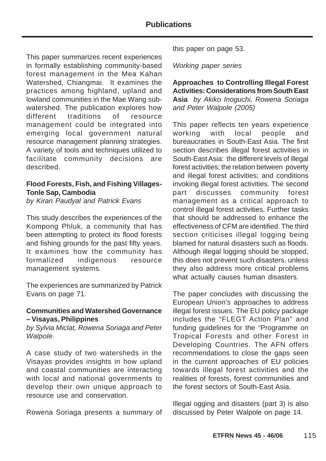This paper summarizes recent experiences in formally establishing community-based forest management in the Mea Kahan Watershed, Chiangmai. It examines the practices among highland, upland and lowland communities in the Mae Wang subwatershed. The publication explores how different traditions of resource management could be integrated into emerging local government natural resource management planning strategies. A variety of tools and techniques utilized to facilitate community decisions are described.

#### **Flood Forests, Fish, and Fishing Villages-Tonle Sap, Cambodia**

by Kiran Paudyal and Patrick Evans

This study describes the experiences of the Kompong Phluk, a community that has been attempting to protect its flood forests and fishing grounds for the past fifty years. It examines how the community has formalized indigenous resource management systems.

The experiences are summarized by Patrick Evans on page 71.

#### **Communities and Watershed Governance – Visayas, Philippines**

by Sylvia Miclat, Rowena Soriaga and Peter Walpole.

A case study of two watersheds in the Visayas provides insights in how upland and coastal communities are interacting with local and national governments to develop their own unique approach to resource use and conservation.

Rowena Soriaga presents a summary of

this paper on page 53.

Working paper series

**Approaches to Controlling Illegal Forest Activities: Considerations from South East Asia** by Akiko Inoguchi, Rowena Soriaga and Peter Walpole (2005)

This paper reflects ten years experience working with local people and bureaucraties in South-East Asia. The first section describes illegal forest activities in South-East Asia: the different levels of illegal forest activities; the relation between poverty and illegal forest activities; and conditions invoking illegal forest activities. The second part discusses community forest management as a critical approach to control illegal forest activities. Further tasks that should be addressed to enhance the effectiveness of CFM are identified. The third section criticises illegal logging being blamed for natural disasters such as floods. Although illegal logging should be stopped, this does not prevent such disasters, unless they also address more critical problems what actually causes human disasters.

The paper concludes with discussing the European Union's approaches to address illegal forest issues. The EU policy package includes the "FLEGT Action Plan" and funding guidelines for the "Programme on Tropical Forests and other Forest in Developing Countries. The AFN offers recommendations to close the gaps seen in the current approaches of EU policies towards illegal forest activities and the realities of forests, forest communities and the forest sectors of South-East Asia.

Illegal ogging and disasters (part 3) is also discussed by Peter Walpole on page 14.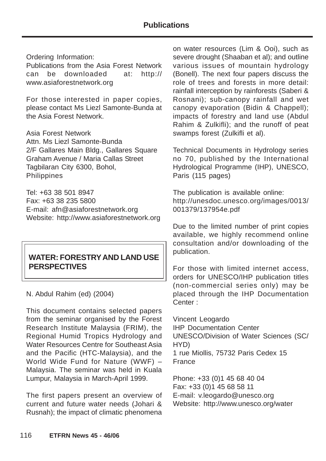Ordering Information:

Publications from the Asia Forest Network can be downloaded at: http:// www.asiaforestnetwork.org

For those interested in paper copies, please contact Ms Liezl Samonte-Bunda at the Asia Forest Network.

Asia Forest Network Attn. Ms Liezl Samonte-Bunda 2/F Gallares Main Bldg., Gallares Square Graham Avenue / Maria Callas Street Tagbilaran City 6300, Bohol, Philippines

Tel: +63 38 501 8947 Fax: +63 38 235 5800 E-mail: afn@asiaforestnetwork.org Website: http://www.asiaforestnetwork.org

# **WATER: FORESTRY AND LAND USE PERSPECTIVES**

N. Abdul Rahim (ed) (2004)

This document contains selected papers from the seminar organised by the Forest Research Institute Malaysia (FRIM), the Regional Humid Tropics Hydrology and Water Resources Centre for Southeast Asia and the Pacific (HTC-Malaysia), and the World Wide Fund for Nature (WWF) – Malaysia. The seminar was held in Kuala Lumpur, Malaysia in March-April 1999.

The first papers present an overview of current and future water needs (Johari & Rusnah); the impact of climatic phenomena

on water resources (Lim & Ooi), such as severe drought (Shaaban et al); and outline various issues of mountain hydrology (Bonell). The next four papers discuss the role of trees and forests in more detail: rainfall interception by rainforests (Saberi & Rosnani); sub-canopy rainfall and wet canopy evaporation (Bidin & Chappell); impacts of forestry and land use (Abdul Rahim & Zulkifli); and the runoff of peat swamps forest (Zulkifli et al).

Technical Documents in Hydrology series no 70, published by the International Hydrological Programme (IHP), UNESCO, Paris (115 pages)

The publication is available online: http://unesdoc.unesco.org/images/0013/ 001379/137954e.pdf

Due to the limited number of print copies available, we highly recommend online consultation and/or downloading of the publication.

For those with limited internet access, orders for UNESCO/IHP publication titles (non-commercial series only) may be placed through the IHP Documentation Center :

Vincent Leogardo IHP Documentation Center UNESCO/Division of Water Sciences (SC/ HYD) 1 rue Miollis, 75732 Paris Cedex 15 France

Phone: +33 (0)1 45 68 40 04 Fax: +33 (0)1 45 68 58 11 E-mail: v.leogardo@unesco.org Website: http://www.unesco.org/water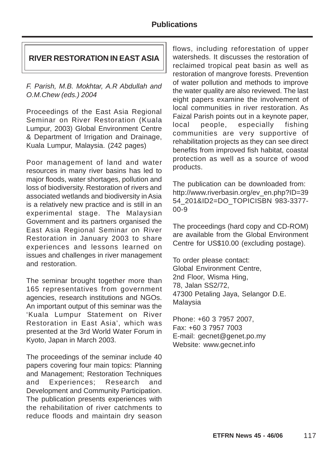#### **RIVER RESTORATION IN EAST ASIA**

F. Parish, M.B. Mokhtar, A.R Abdullah and O.M.Chew (eds.) 2004

Proceedings of the East Asia Regional Seminar on River Restoration (Kuala Lumpur, 2003) Global Environment Centre & Department of Irrigation and Drainage, Kuala Lumpur, Malaysia. (242 pages)

Poor management of land and water resources in many river basins has led to major floods, water shortages, pollution and loss of biodiversity. Restoration of rivers and associated wetlands and biodiversity in Asia is a relatively new practice and is still in an experimental stage. The Malaysian Government and its partners organised the East Asia Regional Seminar on River Restoration in January 2003 to share experiences and lessons learned on issues and challenges in river management and restoration.

The seminar brought together more than 165 representatives from government agencies, research institutions and NGOs. An important output of this seminar was the 'Kuala Lumpur Statement on River Restoration in East Asia', which was presented at the 3rd World Water Forum in Kyoto, Japan in March 2003.

The proceedings of the seminar include 40 papers covering four main topics: Planning and Management; Restoration Techniques and Experiences; Research and Development and Community Participation. The publication presents experiences with the rehabilitation of river catchments to reduce floods and maintain dry season

flows, including reforestation of upper watersheds. It discusses the restoration of reclaimed tropical peat basin as well as restoration of mangrove forests. Prevention of water pollution and methods to improve the water quality are also reviewed. The last eight papers examine the involvement of local communities in river restoration. As Faizal Parish points out in a keynote paper, local people, especially fishing communities are very supportive of rehabilitation projects as they can see direct benefits from improved fish habitat, coastal protection as well as a source of wood products.

The publication can be downloaded from: http://www.riverbasin.org/ev\_en.php?ID=39 54\_201&ID2=DO\_TOPICISBN 983-3377- 00-9

The proceedings (hard copy and CD-ROM) are available from the Global Environment Centre for US\$10.00 (excluding postage).

To order please contact: Global Environment Centre, 2nd Floor, Wisma Hing, 78, Jalan SS2/72, 47300 Petaling Jaya, Selangor D.E. Malaysia

Phone: +60 3 7957 2007, Fax: +60 3 7957 7003 E-mail: gecnet@genet.po.my Website: www.gecnet.info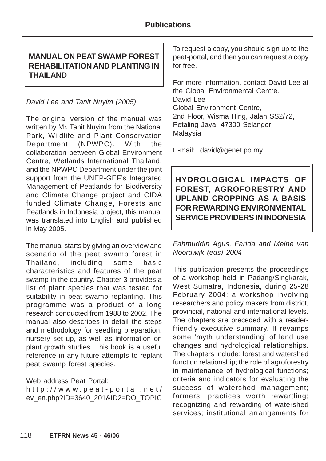## **MANUAL ON PEAT SWAMP FOREST REHABILITATION AND PLANTING IN THAILAND**

## David Lee and Tanit Nuyim (2005)

The original version of the manual was written by Mr. Tanit Nuyim from the National Park, Wildlife and Plant Conservation Department (NPWPC). With the collaboration between Global Environment Centre, Wetlands International Thailand, and the NPWPC Department under the joint support from the UNEP-GEF's Integrated Management of Peatlands for Biodiversity and Climate Change project and CIDA funded Climate Change, Forests and Peatlands in Indonesia project, this manual was translated into English and published in May 2005.

The manual starts by giving an overview and scenario of the peat swamp forest in Thailand, including some basic characteristics and features of the peat swamp in the country. Chapter 3 provides a list of plant species that was tested for suitability in peat swamp replanting. This programme was a product of a long research conducted from 1988 to 2002. The manual also describes in detail the steps and methodology for seedling preparation, nursery set up, as well as information on plant growth studies. This book is a useful reference in any future attempts to replant peat swamp forest species.

#### Web address Peat Portal:

http://www.peat-portal.net/ ev\_en.php?ID=3640\_201&ID2=DO\_TOPIC

To request a copy, you should sign up to the peat-portal, and then you can request a copy for free.

For more information, contact David Lee at the Global Environmental Centre. David Lee Global Environment Centre, 2nd Floor, Wisma Hing, Jalan SS2/72, Petaling Jaya, 47300 Selangor Malaysia

E-mail: david@genet.po.my

**HYDROLOGICAL IMPACTS OF FOREST, AGROFORESTRY AND UPLAND CROPPING AS A BASIS FOR REWARDING ENVIRONMENTAL SERVICE PROVIDERS IN INDONESIA**

Fahmuddin Agus, Farida and Meine van Noordwijk (eds) 2004

This publication presents the proceedings of a workshop held in Padang/Singkarak, West Sumatra, Indonesia, during 25-28 February 2004: a workshop involving researchers and policy makers from district, provincial, national and international levels. The chapters are preceded with a readerfriendly executive summary. It revamps some 'myth understanding' of land use changes and hydrological relationships. The chapters include: forest and watershed function relationship; the role of agroforestry in maintenance of hydrological functions; criteria and indicators for evaluating the success of watershed management; farmers' practices worth rewarding; recognizing and rewarding of watershed services; institutional arrangements for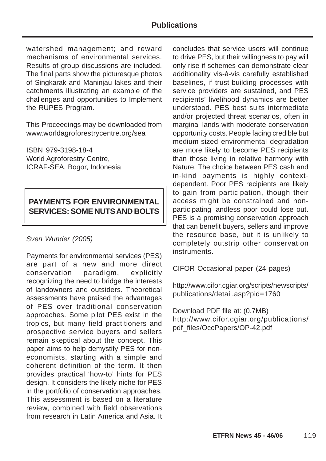watershed management; and reward mechanisms of environmental services. Results of group discussions are included. The final parts show the picturesque photos of Singkarak and Maninjau lakes and their catchments illustrating an example of the challenges and opportunities to Implement the RUPES Program.

This Proceedings may be downloaded from www.worldagroforestrycentre.org/sea

ISBN 979-3198-18-4 World Agroforestry Centre, ICRAF-SEA, Bogor, Indonesia

#### **PAYMENTS FOR ENVIRONMENTAL SERVICES: SOME NUTS AND BOLTS**

#### Sven Wunder (2005)

Payments for environmental services (PES) are part of a new and more direct conservation paradigm, explicitly recognizing the need to bridge the interests of landowners and outsiders. Theoretical assessments have praised the advantages of PES over traditional conservation approaches. Some pilot PES exist in the tropics, but many field practitioners and prospective service buyers and sellers remain skeptical about the concept. This paper aims to help demystify PES for noneconomists, starting with a simple and coherent definition of the term. It then provides practical 'how-to' hints for PES design. It considers the likely niche for PES in the portfolio of conservation approaches. This assessment is based on a literature review, combined with field observations from research in Latin America and Asia. It

concludes that service users will continue to drive PES, but their willingness to pay will only rise if schemes can demonstrate clear additionality vis-à-vis carefully established baselines, if trust-building processes with service providers are sustained, and PES recipients' livelihood dynamics are better understood. PES best suits intermediate and/or projected threat scenarios, often in marginal lands with moderate conservation opportunity costs. People facing credible but medium-sized environmental degradation are more likely to become PES recipients than those living in relative harmony with Nature. The choice between PES cash and in-kind payments is highly contextdependent. Poor PES recipients are likely to gain from participation, though their access might be constrained and nonparticipating landless poor could lose out. PES is a promising conservation approach that can benefit buyers, sellers and improve the resource base, but it is unlikely to completely outstrip other conservation instruments.

CIFOR Occasional paper (24 pages)

http://www.cifor.cgiar.org/scripts/newscripts/ publications/detail.asp?pid=1760

Download PDF file at: (0.7MB) http://www.cifor.cgiar.org/publications/ pdf\_files/OccPapers/OP-42.pdf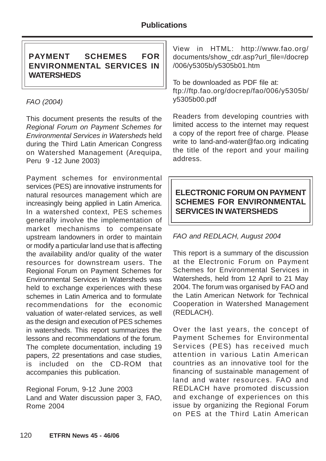## **PAYMENT SCHEMES FOR ENVIRONMENTAL SERVICES IN WATERSHEDS**

## FAO (2004)

This document presents the results of the Regional Forum on Payment Schemes for Environmental Services in Watersheds held during the Third Latin American Congress on Watershed Management (Arequipa, Peru 9 -12 June 2003)

Payment schemes for environmental services (PES) are innovative instruments for natural resources management which are increasingly being applied in Latin America. In a watershed context, PES schemes generally involve the implementation of market mechanisms to compensate upstream landowners in order to maintain or modify a particular land use that is affecting the availability and/or quality of the water resources for downstream users. The Regional Forum on Payment Schemes for Environmental Services in Watersheds was held to exchange experiences with these schemes in Latin America and to formulate recommendations for the economic valuation of water-related services, as well as the design and execution of PES schemes in watersheds. This report summarizes the lessons and recommendations of the forum. The complete documentation, including 19 papers, 22 presentations and case studies, is included on the CD-ROM that accompanies this publication.

Regional Forum, 9-12 June 2003 Land and Water discussion paper 3, FAO, Rome 2004

View in HTML: http://www.fao.org/ documents/show\_cdr.asp?url\_file=/docrep /006/y5305b/y5305b01.htm

To be downloaded as PDF file at: ftp://ftp.fao.org/docrep/fao/006/y5305b/ y5305b00.pdf

Readers from developing countries with limited access to the internet may request a copy of the report free of charge. Please write to land-and-water@fao.org indicating the title of the report and your mailing address.

## **ELECTRONIC FORUM ON PAYMENT SCHEMES FOR ENVIRONMENTAL SERVICES IN WATERSHEDS**

## FAO and REDLACH, August 2004

This report is a summary of the discussion at the Electronic Forum on Payment Schemes for Environmental Services in Watersheds, held from 12 April to 21 May 2004. The forum was organised by FAO and the Latin American Network for Technical Cooperation in Watershed Management (REDLACH).

Over the last years, the concept of Payment Schemes for Environmental Services (PES) has received much attention in various Latin American countries as an innovative tool for the financing of sustainable management of land and water resources. FAO and REDLACH have promoted discussion and exchange of experiences on this issue by organizing the Regional Forum on PES at the Third Latin American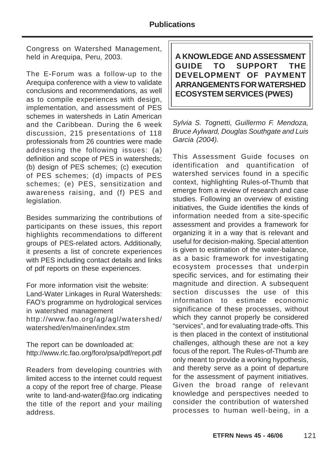Congress on Watershed Management, held in Arequipa, Peru, 2003.

The E-Forum was a follow-up to the Arequipa conference with a view to validate conclusions and recommendations, as well as to compile experiences with design, implementation, and assessment of PES schemes in watersheds in Latin American and the Caribbean. During the 6 week discussion, 215 presentations of 118 professionals from 26 countries were made addressing the following issues: (a) definition and scope of PES in watersheds; (b) design of PES schemes; (c) execution of PES schemes; (d) impacts of PES schemes; (e) PES, sensitization and awareness raising, and (f) PES and legislation.

Besides summarizing the contributions of participants on these issues, this report highlights recommendations to different groups of PES-related actors. Additionally, it presents a list of concrete experiences with PES including contact details and links of pdf reports on these experiences.

For more information visit the website: Land-Water Linkages in Rural Watersheds: FAO's programme on hydrological services in watershed management http://www.fao.org/ag/agl/watershed/ watershed/en/mainen/index.stm

The report can be downloaded at: http://www.rlc.fao.org/foro/psa/pdf/report.pdf

Readers from developing countries with limited access to the internet could request a copy of the report free of charge. Please write to land-and-water@fao.org indicating the title of the report and your mailing address.

**A KNOWLEDGE AND ASSESSMENT GUIDE TO SUPPORT THE DEVELOPMENT OF PAYMENT ARRANGEMENTS FOR WATERSHED ECOSYSTEM SERVICES (PWES)**

Sylvia S. Tognetti, Guillermo F. Mendoza, Bruce Aylward, Douglas Southgate and Luis Garcia (2004).

This Assessment Guide focuses on identification and quantification of watershed services found in a specific context, highlighting Rules-of-Thumb that emerge from a review of research and case studies. Following an overview of existing initiatives, the Guide identifies the kinds of information needed from a site-specific assessment and provides a framework for organizing it in a way that is relevant and useful for decision-making. Special attention is given to estimation of the water-balance, as a basic framework for investigating ecosystem processes that underpin specific services, and for estimating their magnitude and direction. A subsequent section discusses the use of this information to estimate economic significance of these processes, without which they cannot properly be considered "services", and for evaluating trade-offs. This is then placed in the context of institutional challenges, although these are not a key focus of the report. The Rules-of-Thumb are only meant to provide a working hypothesis, and thereby serve as a point of departure for the assessment of payment initiatives. Given the broad range of relevant knowledge and perspectives needed to consider the contribution of watershed processes to human well-being, in a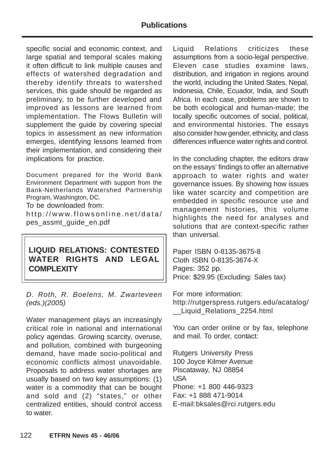#### **Publications**

specific social and economic context, and large spatial and temporal scales making it often difficult to link multiple causes and effects of watershed degradation and thereby identify threats to watershed services, this guide should be regarded as preliminary, to be further developed and improved as lessons are learned from implementation. The Flows Bulletin will supplement the guide by covering special topics in assessment as new information emerges, identifying lessons learned from their implementation, and considering their implications for practice.

Document prepared for the World Bank Environment Department with support from the Bank-Netherlands Watershed Partnership Program, Washington, DC.

To be downloaded from:

http://www.flowsonline.net/data/ pes\_assmt\_guide\_en.pdf

## **LIQUID RELATIONS: CONTESTED WATER RIGHTS AND LEGAL COMPLEXITY**

D. Roth, R. Boelens, M. Zwarteveen (eds.)(2005)

Water management plays an increasingly critical role in national and international policy agendas. Growing scarcity, overuse, and pollution, combined with burgeoning demand, have made socio-political and economic conflicts almost unavoidable. Proposals to address water shortages are usually based on two key assumptions: (1) water is a commodity that can be bought and sold and (2) "states," or other centralized entities, should control access to water.

Liquid Relations criticizes these assumptions from a socio-legal perspective. Eleven case studies examine laws, distribution, and irrigation in regions around the world, including the United States, Nepal, Indonesia, Chile, Ecuador, India, and South Africa. In each case, problems are shown to be both ecological and human-made; the locally specific outcomes of social, political, and environmental histories. The essays also consider how gender, ethnicity, and class differences influence water rights and control.

In the concluding chapter, the editors draw on the essays' findings to offer an alternative approach to water rights and water governance issues. By showing how issues like water scarcity and competition are embedded in specific resource use and management histories, this volume highlights the need for analyses and solutions that are context-specific rather than universal.

Paper ISBN 0-8135-3675-8 Cloth ISBN 0-8135-3674-X Pages: 352 pp. Price: \$29.95 (Excluding: Sales tax)

For more information: http://rutgerspress.rutgers.edu/acatalog/ \_\_Liquid\_Relations\_2254.html

You can order online or by fax, telephone and mail. To order, contact:

Rutgers University Press 100 Joyce Kilmer Avenue Piscataway, NJ 08854 USA Phone: +1 800 446-9323 Fax: +1 888 471-9014 E-mail:bksales@rci.rutgers.edu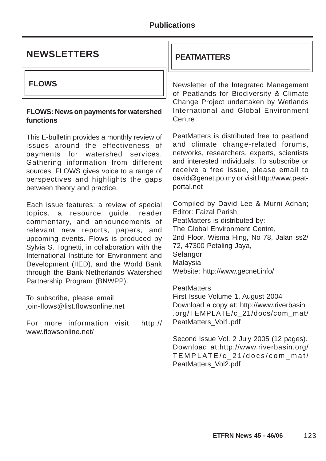| <b>NEWSLETTERS</b>                                                                                                                                                                                                                                                                                                                                                                                                 | <b>PEATMATTERS</b>                                                                                                                                                                                                                                                                                 |  |
|--------------------------------------------------------------------------------------------------------------------------------------------------------------------------------------------------------------------------------------------------------------------------------------------------------------------------------------------------------------------------------------------------------------------|----------------------------------------------------------------------------------------------------------------------------------------------------------------------------------------------------------------------------------------------------------------------------------------------------|--|
| <b>FLOWS</b>                                                                                                                                                                                                                                                                                                                                                                                                       | Newsletter of the Integrated Management<br>of Peatlands for Biodiversity & Climate                                                                                                                                                                                                                 |  |
| <b>FLOWS: News on payments for watershed</b><br>functions                                                                                                                                                                                                                                                                                                                                                          | Change Project undertaken by Wetlands<br>International and Global Environment<br>Centre                                                                                                                                                                                                            |  |
| This E-bulletin provides a monthly review of<br>issues around the effectiveness of<br>payments for watershed services.<br>Gathering information from different<br>sources, FLOWS gives voice to a range of<br>perspectives and highlights the gaps<br>between theory and practice.                                                                                                                                 | PeatMatters is distributed free to peatland<br>and climate change-related forums,<br>networks, researchers, experts, scientists<br>and interested individuals. To subscribe or<br>receive a free issue, please email to<br>david@genet.po.my or visit http://www.peat-<br>portal.net               |  |
| Each issue features: a review of special<br>topics, a resource guide, reader<br>commentary, and announcements of<br>relevant new reports, papers, and<br>upcoming events. Flows is produced by<br>Sylvia S. Tognetti, in collaboration with the<br>International Institute for Environment and<br>Development (IIED), and the World Bank<br>through the Bank-Netherlands Watershed<br>Partnership Program (BNWPP). | Compiled by David Lee & Murni Adnan;<br><b>Editor: Faizal Parish</b><br>PeatMatters is distributed by:<br>The Global Environment Centre,<br>2nd Floor, Wisma Hing, No 78, Jalan ss2/<br>72, 47300 Petaling Jaya,<br>Selangor<br>Malaysia<br>Website: http://www.gecnet.info/<br><b>PeatMatters</b> |  |
| To subscribe, please email<br>join-flows@list.flowsonline.net<br>For more information visit<br>http://                                                                                                                                                                                                                                                                                                             | First Issue Volume 1. August 2004<br>Download a copy at: http://www.riverbasin<br>.org/TEMPLATE/c_21/docs/com_mat/<br>PeatMatters_Vol1.pdf                                                                                                                                                         |  |
| www.flowsonline.net/                                                                                                                                                                                                                                                                                                                                                                                               | Second Issue Vol. 2 July 2005 (12 pages).<br>Download at:http://www.riverbasin.org/<br>TEMPLATE/c_21/docs/com_mat/<br>PeatMatters_Vol2.pdf                                                                                                                                                         |  |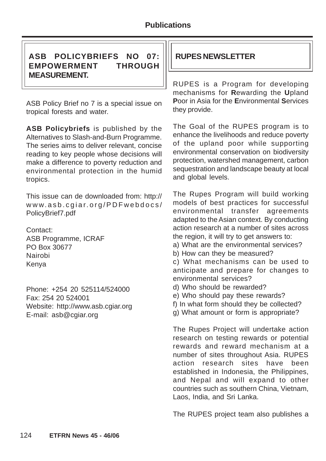## **ASB POLICYBRIEFS NO 07: RUPES NEWSLETTER EMPOWERMENT THROUGH MEASUREMENT.**

ASB Policy Brief no 7 is a special issue on tropical forests and water.

**ASB Policybriefs** is published by the Alternatives to Slash-and-Burn Programme. The series aims to deliver relevant, concise reading to key people whose decisions will make a difference to poverty reduction and environmental protection in the humid tropics.

This issue can de downloaded from: http:// www.asb.cgiar.org/PDFwebdocs/ PolicyBrief7.pdf

Contact: ASB Programme, ICRAF PO Box 30677 Nairobi Kenya

Phone: +254 20 525114/524000 Fax: 254 20 524001 Website: http://www.asb.cgiar.org E-mail: asb@cgiar.org

RUPES is a Program for developing mechanisms for **R**ewarding the **U**pland **P**oor in Asia for the **E**nvironmental **S**ervices they provide.

The Goal of the RUPES program is to enhance the livelihoods and reduce poverty of the upland poor while supporting environmental conservation on biodiversity protection, watershed management, carbon sequestration and landscape beauty at local and global levels.

The Rupes Program will build working models of best practices for successful environmental transfer agreements adapted to the Asian context. By conducting action research at a number of sites across the region, it will try to get answers to:

- a) What are the environmental services?
- b) How can they be measured?

c) What mechanisms can be used to anticipate and prepare for changes to environmental services?

- d) Who should be rewarded?
- e) Who should pay these rewards?
- f) In what form should they be collected?
- g) What amount or form is appropriate?

The Rupes Project will undertake action research on testing rewards or potential rewards and reward mechanism at a number of sites throughout Asia. RUPES action research sites have been established in Indonesia, the Philippines, and Nepal and will expand to other countries such as southern China, Vietnam, Laos, India, and Sri Lanka.

The RUPES project team also publishes a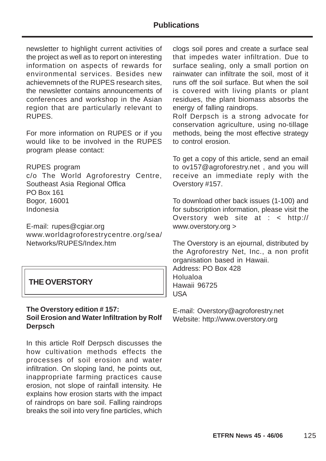newsletter to highlight current activities of the project as well as to report on interesting information on aspects of rewards for environmental services. Besides new achievemnets of the RUPES research sites, the newsletter contains announcements of conferences and workshop in the Asian region that are particularly relevant to RUPES.

For more information on RUPES or if you would like to be involved in the RUPES program please contact:

RUPES program c/o The World Agroforestry Centre, Southeast Asia Regional Offica PO Box 161 Bogor, 16001 Indonesia

E-mail: rupes@cgiar.org www.worldagroforestrycentre.org/sea/ Networks/RUPES/Index.htm

## **THE OVERSTORY**

#### **The Overstory edition # 157: Soil Erosion and Water Infiltration by Rolf Derpsch**

In this article Rolf Derpsch discusses the how cultivation methods effects the processes of soil erosion and water infiltration. On sloping land, he points out, inappropriate farming practices cause erosion, not slope of rainfall intensity. He explains how erosion starts with the impact of raindrops on bare soil. Falling raindrops breaks the soil into very fine particles, which

clogs soil pores and create a surface seal that impedes water infiltration. Due to surface sealing, only a small portion on rainwater can infiltrate the soil, most of it runs off the soil surface. But when the soil is covered with living plants or plant residues, the plant biomass absorbs the energy of falling raindrops.

Rolf Derpsch is a strong advocate for conservation agriculture, using no-tillage methods, being the most effective strategy to control erosion.

To get a copy of this article, send an email to ov157@agroforestry.net , and you will receive an immediate reply with the Overstory #157.

To download other back issues (1-100) and for subscription information, please visit the Overstory web site at : < http:// www.overstory.org >

The Overstory is an ejournal, distributed by the Agroforestry Net, Inc., a non profit organisation based in Hawaii. Address: PO Box 428 Holualoa Hawaii 96725 USA

E-mail: Overstory@agroforestry.net Website: http://www.overstory.org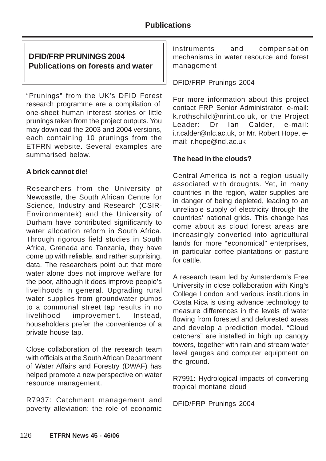## **DFID/FRP PRUNINGS 2004 Publications on forests and water**

"Prunings" from the UK's DFID Forest research programme are a compilation of one-sheet human interest stories or little prunings taken from the project outputs. You may download the 2003 and 2004 versions, each containing 10 prunings from the ETFRN website. Several examples are summarised below.

#### **A brick cannot die!**

Researchers from the University of Newcastle, the South African Centre for Science, Industry and Research (CSIR-Environmentek) and the University of Durham have contributed significantly to water allocation reform in South Africa. Through rigorous field studies in South Africa, Grenada and Tanzania, they have come up with reliable, and rather surprising, data. The researchers point out that more water alone does not improve welfare for the poor, although it does improve people's livelihoods in general. Upgrading rural water supplies from groundwater pumps to a communal street tap results in no livelihood improvement. Instead, householders prefer the convenience of a private house tap.

Close collaboration of the research team with officials at the South African Department of Water Affairs and Forestry (DWAF) has helped promote a new perspective on water resource management.

R7937: Catchment management and poverty alleviation: the role of economic

instruments and compensation mechanisms in water resource and forest management

#### DFID/FRP Prunings 2004

For more information about this project contact FRP Senior Administrator, e-mail: k.rothschild@nrint.co.uk, or the Project Leader: Dr Ian Calder, e-mail: i.r.calder@nlc.ac.uk, or Mr. Robert Hope, email: r.hope@ncl.ac.uk

#### **The head in the clouds?**

Central America is not a region usually associated with droughts. Yet, in many countries in the region, water supplies are in danger of being depleted, leading to an unreliable supply of electricity through the countries' national grids. This change has come about as cloud forest areas are increasingly converted into agricultural lands for more "economical" enterprises, in particular coffee plantations or pasture for cattle.

A research team led by Amsterdam's Free University in close collaboration with King's College London and various institutions in Costa Rica is using advance technology to measure differences in the levels of water flowing from forested and deforested areas and develop a prediction model. "Cloud catchers" are installed in high up canopy towers, together with rain and stream water level gauges and computer equipment on the ground.

R7991: Hydrological impacts of converting tropical montane cloud

DFID/FRP Prunings 2004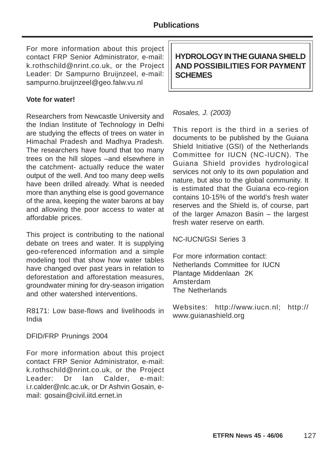For more information about this project contact FRP Senior Administrator, e-mail: k.rothschild@nrint.co.uk, or the Project Leader: Dr Sampurno Bruijnzeel, e-mail: sampurno.bruijnzeel@geo.falw.vu.nl

#### **Vote for water!**

Researchers from Newcastle University and the Indian Institute of Technology in Delhi are studying the effects of trees on water in Himachal Pradesh and Madhya Pradesh. The researchers have found that too many trees on the hill slopes –and elsewhere in the catchment- actually reduce the water output of the well. And too many deep wells have been drilled already. What is needed more than anything else is good governance of the area, keeping the water barons at bay and allowing the poor access to water at affordable prices.

This project is contributing to the national debate on trees and water. It is supplying geo-referenced information and a simple modeling tool that show how water tables have changed over past years in relation to deforestation and afforestation measures, groundwater mining for dry-season irrigation and other watershed interventions.

R8171: Low base-flows and livelihoods in India

DFID/FRP Prunings 2004

For more information about this project contact FRP Senior Administrator, e-mail: k.rothschild@nrint.co.uk, or the Project Leader: Dr Ian Calder, e-mail: i.r.calder@nlc.ac.uk, or Dr Ashvin Gosain, email: gosain@civil.iitd.ernet.in

**HYDROLOGY IN THE GUIANA SHIELD AND POSSIBILITIES FOR PAYMENT SCHEMES**

#### Rosales, J. (2003)

This report is the third in a series of documents to be published by the Guiana Shield Initiative (GSI) of the Netherlands Committee for IUCN (NC-IUCN). The Guiana Shield provides hydrological services not only to its own population and nature, but also to the global community. It is estimated that the Guiana eco-region contains 10-15% of the world's fresh water reserves and the Shield is, of course, part of the larger Amazon Basin – the largest fresh water reserve on earth.

NC-IUCN/GSI Series 3

For more information contact: Netherlands Committee for IUCN Plantage Middenlaan 2K Amsterdam The Netherlands

Websites: http://www.iucn.nl; http:// www.guianashield.org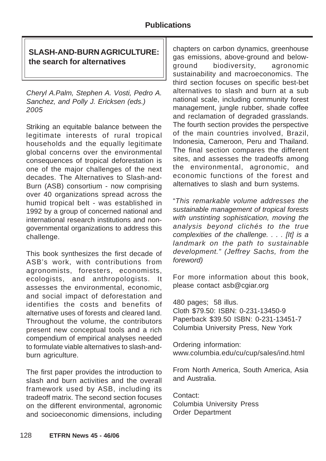## **SLASH-AND-BURN AGRICULTURE: the search for alternatives**

Cheryl A.Palm, Stephen A. Vosti, Pedro A. Sanchez, and Polly J. Ericksen (eds.) 2005

Striking an equitable balance between the legitimate interests of rural tropical households and the equally legitimate global concerns over the environmental consequences of tropical deforestation is one of the major challenges of the next decades. The Alternatives to Slash-and-Burn (ASB) consortium - now comprising over 40 organizations spread across the humid tropical belt - was established in 1992 by a group of concerned national and international research institutions and nongovernmental organizations to address this challenge.

This book synthesizes the first decade of ASB's work, with contributions from agronomists, foresters, economists, ecologists, and anthropologists. It assesses the environmental, economic, and social impact of deforestation and identifies the costs and benefits of alternative uses of forests and cleared land. Throughout the volume, the contributors present new conceptual tools and a rich compendium of empirical analyses needed to formulate viable alternatives to slash-andburn agriculture.

The first paper provides the introduction to slash and burn activities and the overall framework used by ASB, including its tradeoff matrix. The second section focuses on the different environmental, agronomic and socioeconomic dimensions, including

chapters on carbon dynamics, greenhouse gas emissions, above-ground and belowground biodiversity, agronomic sustainability and macroeconomics. The third section focuses on specific best-bet alternatives to slash and burn at a sub national scale, including community forest management, jungle rubber, shade coffee and reclamation of degraded grasslands. The fourth section provides the perspective of the main countries involved, Brazil, Indonesia, Cameroon, Peru and Thailand. The final section compares the different sites, and assesses the tradeoffs among the environmental, agronomic, and economic functions of the forest and alternatives to slash and burn systems.

"This remarkable volume addresses the sustainable management of tropical forests with unstinting sophistication, moving the analysis beyond clichés to the true complexities of the challenge. . . . [It] is a landmark on the path to sustainable development." (Jeffrey Sachs, from the foreword)

For more information about this book, please contact asb@cgiar.org

480 pages; 58 illus. Cloth \$79.50: ISBN: 0-231-13450-9 Paperback \$39.50 ISBN: 0-231-13451-7 Columbia University Press, New York

Ordering information: www.columbia.edu/cu/cup/sales/ind.html

From North America, South America, Asia and Australia.

Contact: Columbia University Press Order Department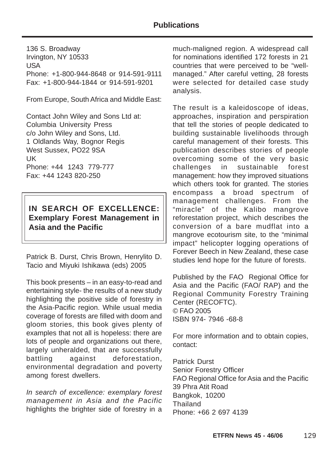136 S. Broadway Irvington, NY 10533 USA Phone: +1-800-944-8648 or 914-591-9111 Fax: +1-800-944-1844 or 914-591-9201

From Europe, South Africa and Middle East:

Contact John Wiley and Sons Ltd at: Columbia University Press c/o John Wiley and Sons, Ltd. 1 Oldlands Way, Bognor Regis West Sussex, PO22 9SA UK Phone: +44 1243 779-777 Fax: +44 1243 820-250

#### **IN SEARCH OF EXCELLENCE: Exemplary Forest Management in Asia and the Pacific**

Patrick B. Durst, Chris Brown, Henrylito D. Tacio and Miyuki Ishikawa (eds) 2005

This book presents – in an easy-to-read and entertaining style- the results of a new study highlighting the positive side of forestry in the Asia-Pacific region. While usual media coverage of forests are filled with doom and gloom stories, this book gives plenty of examples that not all is hopeless: there are lots of people and organizations out there, largely unheralded, that are successfully battling against deforestation, environmental degradation and poverty among forest dwellers.

In search of excellence: exemplary forest management in Asia and the Pacific highlights the brighter side of forestry in a

much-maligned region. A widespread call for nominations identified 172 forests in 21 countries that were perceived to be "wellmanaged." After careful vetting, 28 forests were selected for detailed case study analysis.

The result is a kaleidoscope of ideas, approaches, inspiration and perspiration that tell the stories of people dedicated to building sustainable livelihoods through careful management of their forests. This publication describes stories of people overcoming some of the very basic challenges in sustainable forest management: how they improved situations which others took for granted. The stories encompass a broad spectrum of management challenges. From the "miracle" of the Kalibo mangrove reforestation project, which describes the conversion of a bare mudflat into a mangrove ecotourism site, to the "minimal impact" helicopter logging operations of Forever Beech in New Zealand, these case studies lend hope for the future of forests.

Published by the FAO Regional Office for Asia and the Pacific (FAO/ RAP) and the Regional Community Forestry Training Center (RECOFTC). © FAO 2005 ISBN 974- 7946 -68-8

For more information and to obtain copies, contact:

Patrick Durst Senior Forestry Officer FAO Regional Office for Asia and the Pacific 39 Phra Atit Road Bangkok, 10200 **Thailand** Phone: +66 2 697 4139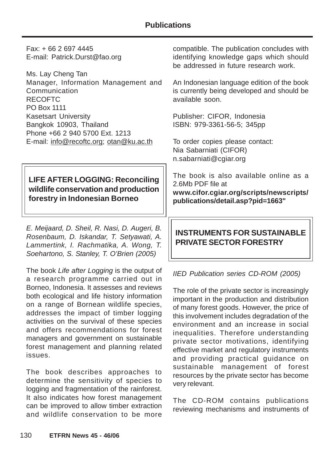#### **Publications**

Fax: + 66 2 697 4445 E-mail: Patrick.Durst@fao.org

Ms. Lay Cheng Tan Manager, Information Management and **Communication** RECOFTC PO Box 1111 Kasetsart University Bangkok 10903, Thailand Phone +66 2 940 5700 Ext. 1213 E-mail: info@recoftc.org; otan@ku.ac.th

## **LIFE AFTER LOGGING: Reconciling wildlife conservation and production forestry in Indonesian Borneo**

E. Meijaard, D. Sheil, R. Nasi, D. Augeri, B. Rosenbaum, D. Iskandar, T. Setyawati, A. Lammertink, I. Rachmatika, A. Wong, T. Soehartono, S. Stanley, T. O'Brien (2005)

The book Life after Logging is the output of a research programme carried out in Borneo, Indonesia. It assesses and reviews both ecological and life history information on a range of Bornean wildlife species, addresses the impact of timber logging activities on the survival of these species and offers recommendations for forest managers and government on sustainable forest management and planning related issues.

The book describes approaches to determine the sensitivity of species to logging and fragmentation of the rainforest. It also indicates how forest management can be improved to allow timber extraction and wildlife conservation to be more

compatible. The publication concludes with identifying knowledge gaps which should be addressed in future research work.

An Indonesian language edition of the book is currently being developed and should be available soon.

Publisher: CIFOR, Indonesia ISBN: 979-3361-56-5; 345pp

To order copies please contact: Nia Sabarniati (CIFOR) n.sabarniati@cgiar.org

The book is also available online as a 2.6Mb PDF file at **www.cifor.cgiar.org/scripts/newscripts/ publications/detail.asp?pid=1663"**

## **INSTRUMENTS FOR SUSTAINABLE PRIVATE SECTOR FORESTRY**

IIED Publication series CD-ROM (2005)

The role of the private sector is increasingly important in the production and distribution of many forest goods. However, the price of this involvement includes degradation of the environment and an increase in social inequalities. Therefore understanding private sector motivations, identifying effective market and regulatory instruments and providing practical guidance on sustainable management of forest resources by the private sector has become very relevant.

The CD-ROM contains publications reviewing mechanisms and instruments of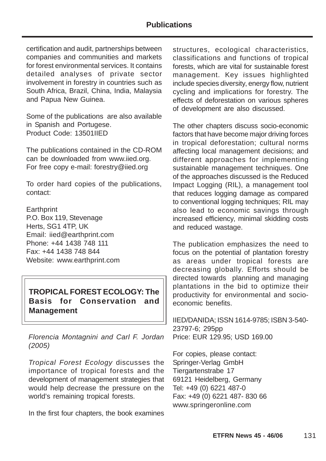certification and audit, partnerships between companies and communities and markets for forest environmental services. It contains detailed analyses of private sector involvement in forestry in countries such as South Africa, Brazil, China, India, Malaysia and Papua New Guinea.

Some of the publications are also available in Spanish and Portugese. Product Code: 13501IIED

The publications contained in the CD-ROM can be downloaded from www.iied.org. For free copy e-mail: forestry@iied.org

To order hard copies of the publications, contact:

**Earthprint** P.O. Box 119, Stevenage Herts, SG1 4TP, UK Email: iied@earthprint.com Phone: +44 1438 748 111 Fax: +44 1438 748 844 Website: www.earthprint.com

## **TROPICAL FOREST ECOLOGY: The Basis for Conservation and Management**

Florencia Montagnini and Carl F. Jordan (2005)

Tropical Forest Ecology discusses the importance of tropical forests and the development of management strategies that would help decrease the pressure on the world's remaining tropical forests.

In the first four chapters, the book examines

structures, ecological characteristics, classifications and functions of tropical forests, which are vital for sustainable forest management. Key issues highlighted include species diversity, energy flow, nutrient cycling and implications for forestry. The effects of deforestation on various spheres of development are also discussed.

The other chapters discuss socio-economic factors that have become major driving forces in tropical deforestation; cultural norms affecting local management decisions; and different approaches for implementing sustainable management techniques. One of the approaches discussed is the Reduced Impact Logging (RIL), a management tool that reduces logging damage as compared to conventional logging techniques; RIL may also lead to economic savings through increased efficiency, minimal skidding costs and reduced wastage.

The publication emphasizes the need to focus on the potential of plantation forestry as areas under tropical forests are decreasing globally. Efforts should be directed towards planning and managing plantations in the bid to optimize their productivity for environmental and socioeconomic benefits.

IIED/DANIDA; ISSN 1614-9785; ISBN 3-540- 23797-6; 295pp Price: EUR 129.95; USD 169.00

For copies, please contact: Springer-Verlag GmbH Tiergartenstrabe 17 69121 Heidelberg, Germany Tel: +49 (0) 6221 487-0 Fax: +49 (0) 6221 487- 830 66 www.springeronline.com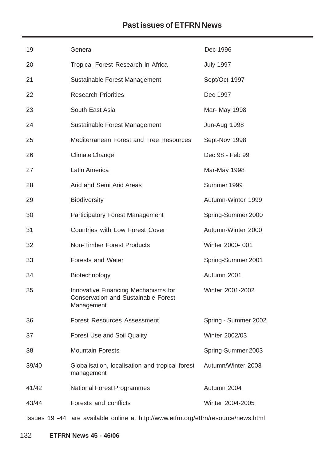# **Past issues of ETFRN News**

| 19    | General                                                                                         | Dec 1996             |
|-------|-------------------------------------------------------------------------------------------------|----------------------|
| 20    | Tropical Forest Research in Africa                                                              | <b>July 1997</b>     |
| 21    | Sustainable Forest Management                                                                   | Sept/Oct 1997        |
| 22    | <b>Research Priorities</b>                                                                      | Dec 1997             |
| 23    | South East Asia                                                                                 | Mar- May 1998        |
| 24    | Sustainable Forest Management                                                                   | Jun-Aug 1998         |
| 25    | Mediterranean Forest and Tree Resources                                                         | Sept-Nov 1998        |
| 26    | <b>Climate Change</b>                                                                           | Dec 98 - Feb 99      |
| 27    | Latin America                                                                                   | Mar-May 1998         |
| 28    | Arid and Semi Arid Areas                                                                        | Summer 1999          |
| 29    | <b>Biodiversity</b>                                                                             | Autumn-Winter 1999   |
| 30    | <b>Participatory Forest Management</b>                                                          | Spring-Summer 2000   |
| 31    | <b>Countries with Low Forest Cover</b>                                                          | Autumn-Winter 2000   |
| 32    | <b>Non-Timber Forest Products</b>                                                               | Winter 2000-001      |
| 33    | <b>Forests and Water</b>                                                                        | Spring-Summer 2001   |
| 34    | Biotechnology                                                                                   | Autumn 2001          |
| 35    | Innovative Financing Mechanisms for<br><b>Conservation and Sustainable Forest</b><br>Management | Winter 2001-2002     |
| 36    | <b>Forest Resources Assessment</b>                                                              | Spring - Summer 2002 |
| 37    | <b>Forest Use and Soil Quality</b>                                                              | Winter 2002/03       |
| 38    | <b>Mountain Forests</b>                                                                         | Spring-Summer 2003   |
| 39/40 | Globalisation, localisation and tropical forest<br>management                                   | Autumn/Winter 2003   |
| 41/42 | <b>National Forest Programmes</b>                                                               | Autumn 2004          |
| 43/44 | Forests and conflicts                                                                           | Winter 2004-2005     |
|       | Issues 19 -44 are available online at http://www.etfrn.org/etfrn/resource/news.html             |                      |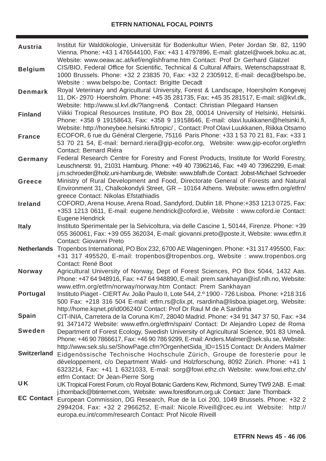| Austria            | Institut für Waldökologie, Universität für Bodenkultur Wien, Peter Jordan Str. 82, 1190<br>Vienna. Phone: +43 1 476544100, Fax: +43 1 4797896, E-mail: glatzel@woek.boku.ac.at,<br>Website: www.oeaw.ac.at/kef/englishframe.htm Contact: Prof Dr Gerhard Glatzel                         |
|--------------------|------------------------------------------------------------------------------------------------------------------------------------------------------------------------------------------------------------------------------------------------------------------------------------------|
| <b>Belgium</b>     | CIS/BIO, Federal Office for Scientific, Technical & Cultural Affairs, Wetenschapsstraat 8,<br>1000 Brussels. Phone: +32 2 23835 70, Fax: +32 2 2305912, E-mail: deca@belspo.be,<br>Website: www.belspo.be, Contact: Brigitte Decadt                                                      |
| <b>Denmark</b>     | Royal Veterinary and Agricultural University, Forest & Landscape, Hoersholm Kongevej<br>11, DK-2970 Hoersholm. Phone: +45 35 281735, Fax: +45 35 281517, E-mail: sl@kvl.dk,<br>Website: http://www.sl.kvl.dk/?lang=en& Contact: Christian Pilegaard Hansen                               |
| <b>Finland</b>     | Viikki Tropical Resources Institute, PO Box 28, 00014 University of Helsinki, Helsinki.<br>Phone: +358 9 19158643, Fax: +358 9 19158646, E-mail: olavi.luukkanen@helsinki.fi,<br>Website: http://honeybee.helsinki.fi/tropic/, Contact: Prof Olavi Luukkanen, Riikka Otsamo              |
| <b>France</b>      | ECOFOR, 6 rue du Général Clergerie, 75116 Paris Phone: +33 1 53 70 21 81, Fax: +33 1<br>53 70 21 54, E-mail: bernard.riera@gip-ecofor.org, Website: www.gip-ecofor.org/etfrn<br>Contact: Bernard Riéra                                                                                   |
| Germany            | Federal Research Centre for Forestry and Forest Products, Institute for World Forestry,<br>Leuschnerstr. 91, 21031 Hamburg. Phone: +49 40 73962146, Fax: +49 40 73962299, E-mail:<br>j.m.schroeder@holz.uni-hamburg.de, Website: www.bfafh.de Contact: Jobst-Michael Schroeder           |
| <b>Greece</b>      | Ministry of Rural Development and Food, Directorate General of Forests and Natural<br>Environment 31, Chalkokondyli Street, GR - 10164 Athens. Website: www.etfrn.org/etfrn/<br>greece Contact: Nikolas Efstathiadis                                                                     |
| <b>Ireland</b>     | COFORD, Arena House, Arena Road, Sandyford, Dublin 18. Phone:+353 1213 0725, Fax:<br>+353 1213 0611, E-mail: eugene.hendrick@coford.ie, Website: www.coford.ie Contact:<br>Eugene Hendrick                                                                                               |
| <b>Italy</b>       | Instituto Sperimentale per la Selvicoltura, via delle Cascine 1, 50144, Firenze. Phone: +39<br>055 360061, Fax: +39 055 362034, E-mail: giovanni.preto@poste.it, Website: www.etfrn.it<br>Contact: Giovanni Preto                                                                        |
| <b>Netherlands</b> | Tropenbos International, PO Box 232, 6700 AE Wageningen. Phone: +31 317 495500, Fax:<br>+31 317 495520, E-mail: tropenbos@tropenbos.org, Website: www.tropenbos.org<br>Contact: René Boot                                                                                                |
| <b>Norway</b>      | Agricultural University of Norway, Dept of Forest Sciences, PO Box 5044, 1432 Aas.<br>Phone: +47 64 948916, Fax: +47 64 948890, E-mail: prem.sankhayan@isf.nlh.no, Website:<br>www.etfrn.org/etfrn/norway/norway.htm Contact: Prem Sankhayan                                             |
| <b>Portugal</b>    | Instituto Piaget - CIERT Av. João Paulo II, Lote 544, 2.º 1900 - 726 Lisboa. Phone: +218 316<br>500 Fax: +218 316 504 E-mail: etfrn.rs@clix.pt, rsardinha@lisboa.ipiaget.org, Website:<br>http://home.kqnet.pt/id006240/ Contact: Prof Dr Raul M de A Sardinha                           |
| <b>Spain</b>       | CIT-INIA, Carretera de la Coruna Km7, 28040 Madrid. Phone: +34 91 347 37 50, Fax: +34<br>91 3471472 Website: www.etfrn.org/etfrn/spain/ Contact: Dr Alejandro Lopez de Roma                                                                                                              |
| <b>Sweden</b>      | Department of Forest Ecology, Swedish University of Agricultural Science, 901 83 Umeå.<br>Phone: +46 90 7866617, Fax: +46 90 786 9299, E-mail: Anders.Malmer@sek.slu.se, Website:<br>http://www.sek.slu.se/ShowPage.cfm?OrgenhetSida_ID=1515 Contact: Dr Anders Malmer                   |
| <b>Switzerland</b> | Eidgenössische Technische Hochschule Zürich, Groupe de foresterie pour le<br>développement, c/o Department Wald- und Holzforschung, 8092 Zürich. Phone: +41 1<br>6323214, Fax: +41 1 6321033, E-mail: sorg@fowi.ethz.ch Website: www.fowi.ethz.ch/<br>etfrn Contact: Dr Jean-Pierre Sorg |
| <b>UK</b>          | UK Tropical Forest Forum, c/o Royal Botanic Gardens Kew, Richmond, Surrey TW9 2AB. E-mail:<br>j.thornback@btinternet.com, Website: www.forestforum.org.uk Contact: Jane Thornback                                                                                                        |
| <b>EC Contact</b>  | European Commission, DG Research, Rue de la Loi 200, 1049 Brussels. Phone: +32 2<br>2994204, Fax: +32 2 2966252, E-mail: Nicole.Riveill@cec.eu.int Website:<br>http://<br>europa.eu.int/comm/research Contact: Prof Nicole Riveill                                                       |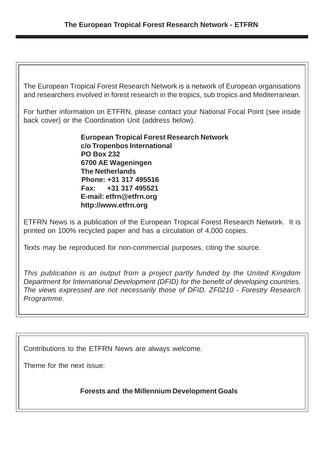The European Tropical Forest Research Network is a network of European organisations and researchers involved in forest research in the tropics, sub tropics and Mediterranean.

For further information on ETFRN, please contact your National Focal Point (see inside back cover) or the Coordination Unit (address below).

> **European Tropical Forest Research Network c/o Tropenbos International PO Box 232 6700 AE Wageningen The Netherlands Phone: +31 317 495516 Fax: +31 317 495521 E-mail: etfrn@etfrn.org http://www.etfrn.org**

ETFRN News is a publication of the European Tropical Forest Research Network. It is printed on 100% recycled paper and has a circulation of 4,000 copies.

Texts may be reproduced for non-commercial purposes, citing the source.

This publication is an output from a project partly funded by the United Kingdom Department for International Development (DFID) for the benefit of developing countries. The views expressed are not necessarily those of DFID. ZF0210 - Forestry Research Programme.

Contributions to the ETFRN News are always welcome.

Theme for the next issue:

**Forests and the Millennium Development Goals**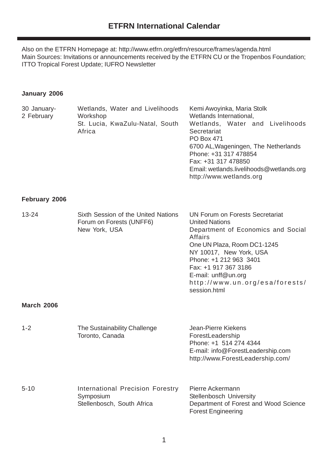Also on the ETFRN Homepage at: http://www.etfrn.org/etfrn/resource/frames/agenda.html Main Sources: Invitations or announcements received by the ETFRN CU or the Tropenbos Foundation; ITTO Tropical Forest Update; IUFRO Newsletter

#### **January 2006**

| 30 January-<br>2 February | Wetlands, Water and Livelihoods<br>Workshop                                        | Kemi Awoyinka, Maria Stolk<br>Wetlands International,                                                                                                                                                                                                                                                 |
|---------------------------|------------------------------------------------------------------------------------|-------------------------------------------------------------------------------------------------------------------------------------------------------------------------------------------------------------------------------------------------------------------------------------------------------|
|                           | St. Lucia, KwaZulu-Natal, South<br>Africa                                          | Wetlands, Water and Livelihoods<br>Secretariat<br><b>PO Box 471</b><br>6700 AL, Wageningen, The Netherlands<br>Phone: +31 317 478854<br>Fax: +31 317 478850<br>Email: wetlands.livelihoods@wetlands.org<br>http://www.wetlands.org                                                                    |
| February 2006             |                                                                                    |                                                                                                                                                                                                                                                                                                       |
| $13 - 24$                 | Sixth Session of the United Nations<br>Forum on Forests (UNFF6)<br>New York, USA   | <b>UN Forum on Forests Secretariat</b><br><b>United Nations</b><br>Department of Economics and Social<br>Affairs<br>One UN Plaza, Room DC1-1245<br>NY 10017, New York, USA<br>Phone: +1 212 963 3401<br>Fax: +1 917 367 3186<br>E-mail: unff@un.org<br>http://www.un.org/esa/forests/<br>session.html |
| <b>March 2006</b>         |                                                                                    |                                                                                                                                                                                                                                                                                                       |
| $1 - 2$                   | The Sustainability Challenge<br>Toronto, Canada                                    | Jean-Pierre Kiekens<br>ForestLeadership<br>Phone: +1 514 274 4344<br>E-mail: info@ForestLeadership.com<br>http://www.ForestLeadership.com/                                                                                                                                                            |
| $5 - 10$                  | <b>International Precision Forestry</b><br>Symposium<br>Stellenbosch, South Africa | Pierre Ackermann<br>Stellenbosch University<br>Department of Forest and Wood Science<br><b>Forest Engineering</b>                                                                                                                                                                                     |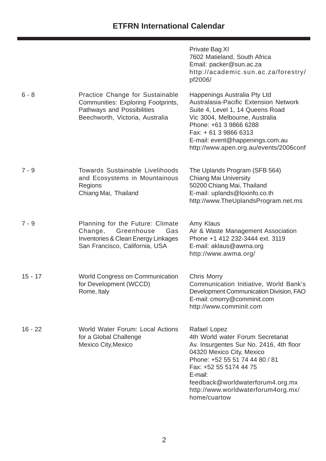# **ETFRN International Calendar**

|           |                                                                                                                                        | Private Bag XI<br>7602 Matieland, South Africa<br>Email: packer@sun.ac.za<br>http://academic.sun.ac.za/forestry/<br>pf2006/                                                                                                                                                                |
|-----------|----------------------------------------------------------------------------------------------------------------------------------------|--------------------------------------------------------------------------------------------------------------------------------------------------------------------------------------------------------------------------------------------------------------------------------------------|
| $6 - 8$   | Practice Change for Sustainable<br>Communities: Exploring Footprints,<br>Pathways and Possibilities<br>Beechworth, Victoria, Australia | Happenings Australia Pty Ltd<br>Australasia-Pacific Extension Network<br>Suite 4, Level 1, 14 Queens Road<br>Vic 3004, Melbourne, Australia<br>Phone: +61 3 9866 6288<br>Fax: + 61 3 9866 6313<br>E-mail: event@happenings.com.au<br>http://www.apen.org.au/events/2006conf                |
| $7 - 9$   | <b>Towards Sustainable Livelihoods</b><br>and Ecosystems in Mountainous<br>Regions<br>Chiang Mai, Thailand                             | The Uplands Program (SFB 564)<br><b>Chiang Mai University</b><br>50200 Chiang Mai, Thailand<br>E-mail: uplands@loxinfo.co.th<br>http://www.TheUplandsProgram.net.ms                                                                                                                        |
| $7 - 9$   | Planning for the Future: Climate<br>Change, Greenhouse<br>Gas<br>Inventories & Clean Energy Linkages<br>San Francisco, California, USA | Amy Klaus<br>Air & Waste Management Association<br>Phone +1 412 232-3444 ext. 3119<br>E-mail: aklaus@awma.org<br>http://www.awma.org/                                                                                                                                                      |
| $15 - 17$ | <b>World Congress on Communication</b><br>for Development (WCCD)<br>Rome, Italy                                                        | <b>Chris Morry</b><br>Communication Initiative, World Bank's<br>Development Communication Division, FAO<br>E-mail: cmorry@comminit.com<br>http://www.comminit.com                                                                                                                          |
| $16 - 22$ | World Water Forum: Local Actions<br>for a Global Challenge<br><b>Mexico City, Mexico</b>                                               | Rafael Lopez<br>4th World water Forum Secretariat<br>Av. Insurgentes Sur No. 2416, 4th floor<br>04320 Mexico City, Mexico<br>Phone: +52 55 51 74 44 80 / 81<br>Fax: +52 55 5174 44 75<br>E-mail:<br>feedback@worldwaterforum4.org.mx<br>http://www.worldwaterforum4org.mx/<br>home/cuartow |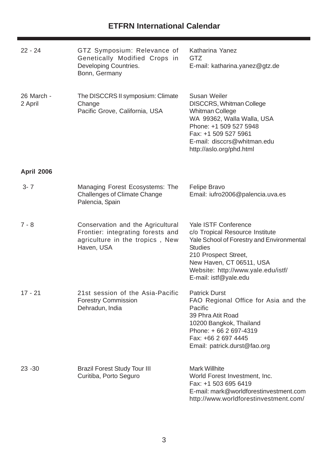# **ETFRN International Calendar**

| $22 - 24$             | GTZ Symposium: Relevance of<br>Genetically Modified Crops in<br>Developing Countries.<br>Bonn, Germany                  | Katharina Yanez<br><b>GTZ</b><br>E-mail: katharina.yanez@gtz.de                                                                                                                                                                           |
|-----------------------|-------------------------------------------------------------------------------------------------------------------------|-------------------------------------------------------------------------------------------------------------------------------------------------------------------------------------------------------------------------------------------|
| 26 March -<br>2 April | The DISCCRS II symposium: Climate<br>Change<br>Pacific Grove, California, USA                                           | <b>Susan Weiler</b><br><b>DISCCRS, Whitman College</b><br><b>Whitman College</b><br>WA 99362, Walla Walla, USA<br>Phone: +1 509 527 5948<br>Fax: +1 509 527 5961<br>E-mail: disccrs@whitman.edu<br>http://aslo.org/phd.html               |
| <b>April 2006</b>     |                                                                                                                         |                                                                                                                                                                                                                                           |
| $3 - 7$               | Managing Forest Ecosystems: The<br><b>Challenges of Climate Change</b><br>Palencia, Spain                               | <b>Felipe Bravo</b><br>Email: iufro2006@palencia.uva.es                                                                                                                                                                                   |
| $7 - 8$               | Conservation and the Agricultural<br>Frontier: integrating forests and<br>agriculture in the tropics, New<br>Haven, USA | Yale ISTF Conference<br>c/o Tropical Resource Institute<br>Yale School of Forestry and Environmental<br><b>Studies</b><br>210 Prospect Street,<br>New Haven, CT 06511, USA<br>Website: http://www.yale.edu/istf/<br>E-mail: istf@yale.edu |
| $17 - 21$             | 21st session of the Asia-Pacific<br><b>Forestry Commission</b><br>Dehradun, India                                       | <b>Patrick Durst</b><br>FAO Regional Office for Asia and the<br>Pacific<br>39 Phra Atit Road<br>10200 Bangkok, Thailand<br>Phone: +66 2 697-4319<br>Fax: +66 2 697 4445<br>Email: patrick.durst@fao.org                                   |
| $23 - 30$             | <b>Brazil Forest Study Tour III</b><br>Curitiba, Porto Seguro                                                           | <b>Mark Willhite</b><br>World Forest Investment, Inc.<br>Fax: +1 503 695 6419<br>E-mail: mark@worldforestinvestment.com<br>http://www.worldforestinvestment.com/                                                                          |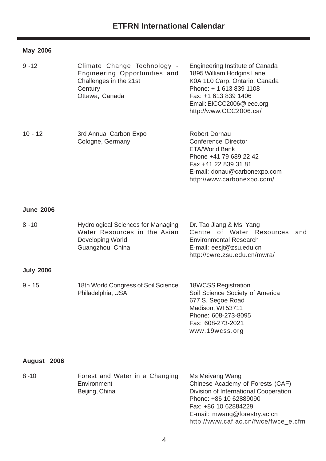#### **May 2006**

| $9 - 12$         | Climate Change Technology -<br>Engineering Opportunities and<br>Challenges in the 21st<br>Century<br>Ottawa, Canada | <b>Engineering Institute of Canada</b><br>1895 William Hodgins Lane<br>K0A 1L0 Carp, Ontario, Canada<br>Phone: + 1 613 839 1108<br>Fax: +1 613 839 1406<br>Email: EICCC2006@ieee.org<br>http://www.CCC2006.ca/ |
|------------------|---------------------------------------------------------------------------------------------------------------------|----------------------------------------------------------------------------------------------------------------------------------------------------------------------------------------------------------------|
| $10 - 12$        | 3rd Annual Carbon Expo<br>Cologne, Germany                                                                          | <b>Robert Dornau</b><br>Conference Director<br><b>ETA/World Bank</b><br>Phone +41 79 689 22 42<br>Fax +41 22 839 31 81<br>E-mail: donau@carbonexpo.com<br>http://www.carbonexpo.com/                           |
| <b>June 2006</b> |                                                                                                                     |                                                                                                                                                                                                                |
| $8 - 10$         | <b>Hydrological Sciences for Managing</b><br>Water Resources in the Asian<br>Developing World<br>Guangzhou, China   | Dr. Tao Jiang & Ms. Yang<br>Centre of Water Resources<br>and<br><b>Environmental Research</b><br>E-mail: eesjt@zsu.edu.cn<br>http://cwre.zsu.edu.cn/mwra/                                                      |
| <b>July 2006</b> |                                                                                                                     |                                                                                                                                                                                                                |
| $9 - 15$         | 18th World Congress of Soil Science<br>Philadelphia, USA                                                            | <b>18WCSS Registration</b><br>Soil Science Society of America<br>677 S. Segoe Road<br>Madison, WI 53711<br>Phone: 608-273-8095<br>Fax: 608-273-2021<br>www.19wcss.org                                          |
| August 2006      |                                                                                                                     |                                                                                                                                                                                                                |
| $8 - 10$         | Forest and Water in a Changing<br>Environment<br>Beijing, China                                                     | Ms Meiyang Wang<br>Chinese Academy of Forests (CAF)<br>Division of International Cooperation                                                                                                                   |

Phone: +86 10 62889090 Fax: +86 10 62884229

E-mail: mwang@forestry.ac.cn

http://www.caf.ac.cn/fwce/fwce\_e.cfm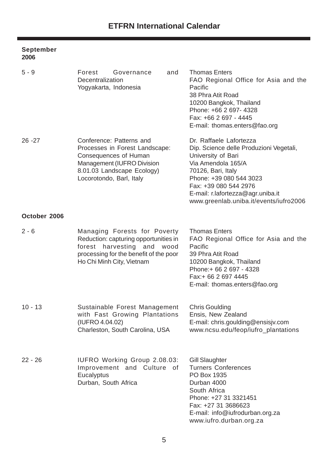#### **September 2006**

| $5 - 9$      | Forest<br>Governance<br>and<br>Decentralization<br>Yogyakarta, Indonesia                                                                                                    | <b>Thomas Enters</b><br>FAO Regional Office for Asia and the<br>Pacific<br>38 Phra Atit Road<br>10200 Bangkok, Thailand<br>Phone: +66 2 697- 4328<br>Fax: +66 2 697 - 4445<br>E-mail: thomas.enters@fao.org                                                             |
|--------------|-----------------------------------------------------------------------------------------------------------------------------------------------------------------------------|-------------------------------------------------------------------------------------------------------------------------------------------------------------------------------------------------------------------------------------------------------------------------|
| $26 - 27$    | Conference: Patterns and<br>Processes in Forest Landscape:<br>Consequences of Human<br>Management (IUFRO Division<br>8.01.03 Landscape Ecology)<br>Locorotondo, Barl, Italy | Dr. Raffaele Lafortezza<br>Dip. Science delle Produzioni Vegetali,<br>University of Bari<br>Via Amendola 165/A<br>70126, Bari, Italy<br>Phone: +39 080 544 3023<br>Fax: +39 080 544 2976<br>E-mail: r.lafortezza@agr.uniba.it<br>www.greenlab.uniba.it/events/iufro2006 |
| October 2006 |                                                                                                                                                                             |                                                                                                                                                                                                                                                                         |
| $2 - 6$      | Managing Forests for Poverty<br>Reduction: capturing opportunities in<br>forest harvesting and wood<br>processing for the benefit of the poor<br>Ho Chi Minh City, Vietnam  | <b>Thomas Enters</b><br>FAO Regional Office for Asia and the<br>Pacific<br>39 Phra Atit Road<br>10200 Bangkok, Thailand<br>Phone: + 66 2 697 - 4328<br>Fax:+ 66 2 697 4445<br>E-mail: thomas.enters@fao.org                                                             |
| $10 - 13$    | Sustainable Forest Management<br>with Fast Growing Plantations<br>(IUFRO 4.04.02)<br>Charleston, South Carolina, USA                                                        | <b>Chris Goulding</b><br>Ensis, New Zealand<br>E-mail: chris.goulding@ensisjv.com<br>www.ncsu.edu/feop/iufro_plantations                                                                                                                                                |
| $22 - 26$    | <b>IUFRO Working Group 2.08.03:</b><br>Improvement and Culture of<br>Eucalyptus<br>Durban, South Africa                                                                     | <b>Gill Slaughter</b><br><b>Turners Conferences</b><br>PO Box 1935<br>Durban 4000<br>South Africa<br>Phone: +27 31 3321451<br>Fax: +27 31 3686623<br>E-mail: info@iufrodurban.org.za<br>www.iufro.durban.org.za                                                         |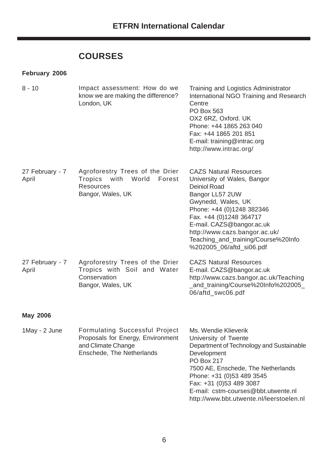# **COURSES**

#### **February 2006**

| $8 - 10$                 | Impact assessment: How do we<br>know we are making the difference?<br>London, UK                               | Training and Logistics Administrator<br>International NGO Training and Research<br>Centre<br>PO Box 563<br>OX2 6RZ, Oxford. UK<br>Phone: +44 1865 263 040<br>Fax: +44 1865 201 851<br>E-mail: training@intrac.org<br>http://www.intrac.org/                                                                           |
|--------------------------|----------------------------------------------------------------------------------------------------------------|-----------------------------------------------------------------------------------------------------------------------------------------------------------------------------------------------------------------------------------------------------------------------------------------------------------------------|
| 27 February - 7<br>April | Agroforestry Trees of the Drier<br>with<br>World<br>Tropics<br>Forest<br><b>Resources</b><br>Bangor, Wales, UK | <b>CAZS Natural Resources</b><br>University of Wales, Bangor<br><b>Deiniol Road</b><br>Bangor LL57 2UW<br>Gwynedd, Wales, UK<br>Phone: +44 (0)1248 382346<br>Fax. +44 (0)1248 364717<br>E-mail. CAZS@bangor.ac.uk<br>http://www.cazs.bangor.ac.uk/<br>Teaching_and_training/Course%20Info<br>%202005_06/aftd_si06.pdf |
| 27 February - 7<br>April | Agroforestry Trees of the Drier<br>Tropics with Soil and Water<br>Conservation<br>Bangor, Wales, UK            | <b>CAZS Natural Resources</b><br>E-mail. CAZS@bangor.ac.uk<br>http://www.cazs.bangor.ac.uk/Teaching<br>_and_training/Course%20Info%202005_<br>06/aftd_swc06.pdf                                                                                                                                                       |
| <b>May 2006</b>          |                                                                                                                |                                                                                                                                                                                                                                                                                                                       |

| 1May - 2 June | <b>Formulating Successful Project</b> | Ms. Wendie Klieverik                     |
|---------------|---------------------------------------|------------------------------------------|
|               | Proposals for Energy, Environment     | University of Twente                     |
|               | and Climate Change                    | Department of Technology and Sustainable |
|               | Enschede, The Netherlands             | Development                              |
|               |                                       | <b>PO Box 217</b>                        |
|               |                                       | 7500 AE, Enschede, The Netherlands       |
|               |                                       | Phone: +31 (0)53 489 3545                |
|               |                                       | Fax: +31 (0)53 489 3087                  |
|               |                                       | E-mail: cstm-courses@bbt.utwente.nl      |
|               |                                       | http://www.bbt.utwente.nl/leerstoelen.nl |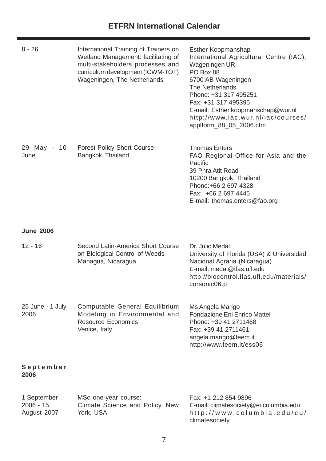| $8 - 26$                 | International Training of Trainers on<br>Wetland Management: facilitating of<br>multi-stakeholders processes and<br>curriculum development (ICWM-TOT)<br>Wageningen, The Netherlands | <b>Esther Koopmanshap</b><br>International Agricultural Centre (IAC),<br>Wageningen UR<br>PO Box 88<br>6700 AB Wageningen<br><b>The Netherlands</b><br>Phone: +31 317 495251<br>Fax: +31 317 495395<br>E-mail: Esther.koopmanschap@wur.nl<br>http://www.iac.wur.nl/iac/courses/<br>applform_88_05_2006.cfm |
|--------------------------|--------------------------------------------------------------------------------------------------------------------------------------------------------------------------------------|------------------------------------------------------------------------------------------------------------------------------------------------------------------------------------------------------------------------------------------------------------------------------------------------------------|
| 29 May - 10<br>June      | <b>Forest Policy Short Course</b><br>Bangkok, Thailand                                                                                                                               | <b>Thomas Enters</b><br>FAO Regional Office for Asia and the<br>Pacific<br>39 Phra Atit Road<br>10200 Bangkok, Thailand<br>Phone: +66 2 697 4328<br>Fax: +66 2 697 4445<br>E-mail: thomas.enters@fao.org                                                                                                   |
| <b>June 2006</b>         |                                                                                                                                                                                      |                                                                                                                                                                                                                                                                                                            |
| $12 - 16$                | Second Latin-America Short Course<br>on Biological Control of Weeds<br>Managua, Nicaragua                                                                                            | Dr. Julio Medal<br>University of Florida (USA) & Universidad<br>Nacional Agraria (Nicaragua)<br>E-mail: medal@ifas.ufl.edu<br>http://biocontrol.ifas.ufl.edu/materials/<br>corsonic06.p                                                                                                                    |
| 25 June - 1 July<br>2006 | Computable General Equilibrium<br>Modeling in Environmental and<br><b>Resource Economics</b><br>Venice, Italy                                                                        | Ms Angela Marigo<br>Fondazione Eni Enrico Mattei<br>Phone: +39 41 2711468<br>Fax: +39 41 2711461<br>angela.marigo@feem.it<br>http://www.feem.it/ess06                                                                                                                                                      |
| September<br>2006        |                                                                                                                                                                                      |                                                                                                                                                                                                                                                                                                            |

| 1 September | MSc one-year course:            | Fax: +1 212 854 9896                   |
|-------------|---------------------------------|----------------------------------------|
| 2006 - 15   | Climate Science and Policy, New | E-mail: climatesociety@ei.columbia.edu |
| August 2007 | York, USA                       | http://www.columbia.edu/cu/            |
|             |                                 | climatesociety                         |